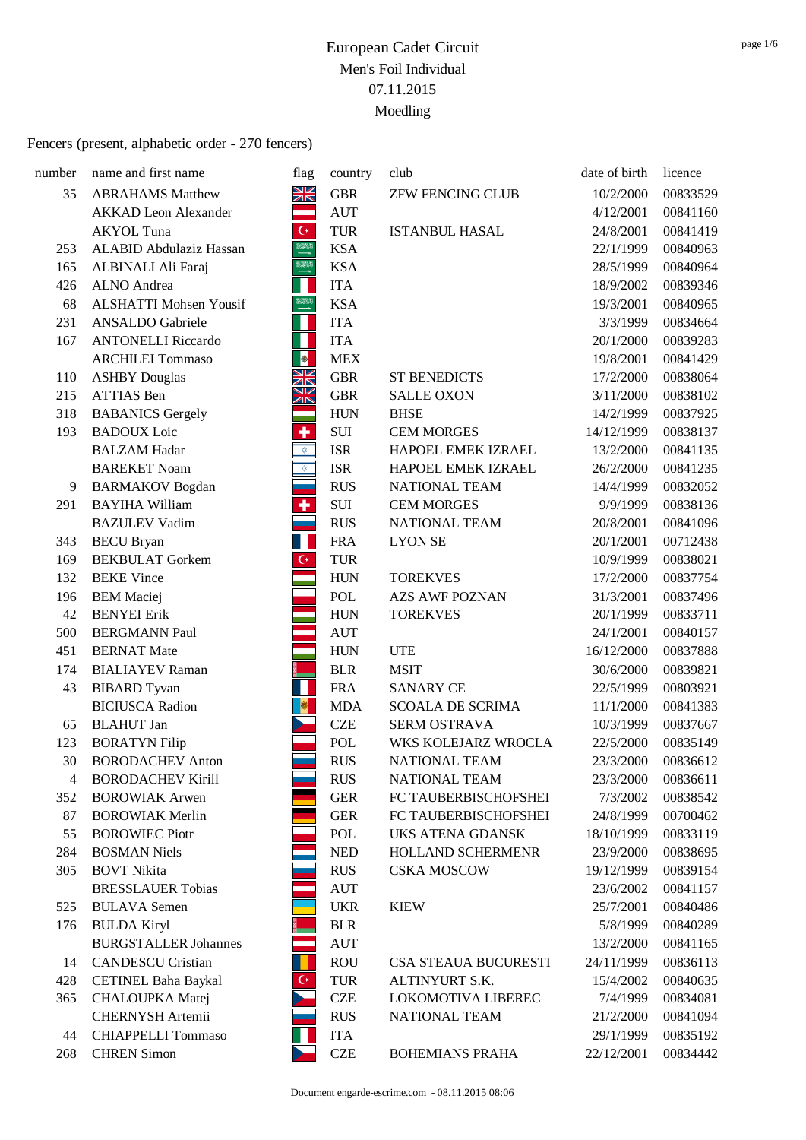| number | name and first name           | flag                    | country    | club                    | date of birth | licence  |
|--------|-------------------------------|-------------------------|------------|-------------------------|---------------|----------|
| 35     | <b>ABRAHAMS Matthew</b>       | XK                      | <b>GBR</b> | <b>ZFW FENCING CLUB</b> | 10/2/2000     | 00833529 |
|        | <b>AKKAD</b> Leon Alexander   | ═                       | <b>AUT</b> |                         | 4/12/2001     | 00841160 |
|        | <b>AKYOL</b> Tuna             | $\mathsf{C}^{\star}$    | <b>TUR</b> | <b>ISTANBUL HASAL</b>   | 24/8/2001     | 00841419 |
| 253    | ALABID Abdulaziz Hassan       | 93313)<br>——            | <b>KSA</b> |                         | 22/1/1999     | 00840963 |
| 165    | ALBINALI Ali Faraj            | <b>HIM</b>              | <b>KSA</b> |                         | 28/5/1999     | 00840964 |
| 426    | <b>ALNO</b> Andrea            | Н                       | <b>ITA</b> |                         | 18/9/2002     | 00839346 |
| 68     | <b>ALSHATTI Mohsen Yousif</b> | <b>XXXX</b>             | <b>KSA</b> |                         | 19/3/2001     | 00840965 |
| 231    | <b>ANSALDO</b> Gabriele       | Н                       | <b>ITA</b> |                         | 3/3/1999      | 00834664 |
| 167    | <b>ANTONELLI Riccardo</b>     | Ш                       | <b>ITA</b> |                         | 20/1/2000     | 00839283 |
|        | <b>ARCHILEI Tommaso</b>       | <b>B</b>                | <b>MEX</b> |                         | 19/8/2001     | 00841429 |
| 110    | <b>ASHBY Douglas</b>          | <u>NK NK</u>            | <b>GBR</b> | <b>ST BENEDICTS</b>     | 17/2/2000     | 00838064 |
| 215    | <b>ATTIAS</b> Ben             |                         | <b>GBR</b> | <b>SALLE OXON</b>       | 3/11/2000     | 00838102 |
| 318    | <b>BABANICS Gergely</b>       |                         | <b>HUN</b> | <b>BHSE</b>             | 14/2/1999     | 00837925 |
| 193    | <b>BADOUX</b> Loic            | ٠                       | SUI        | <b>CEM MORGES</b>       | 14/12/1999    | 00838137 |
|        | <b>BALZAM Hadar</b>           | $\hat{\mathbf{x}}$      | <b>ISR</b> | HAPOEL EMEK IZRAEL      | 13/2/2000     | 00841135 |
|        | <b>BAREKET Noam</b>           | $\bigtriangledown$      | <b>ISR</b> | HAPOEL EMEK IZRAEL      | 26/2/2000     | 00841235 |
| 9      | <b>BARMAKOV</b> Bogdan        |                         | <b>RUS</b> | NATIONAL TEAM           | 14/4/1999     | 00832052 |
| 291    | <b>BAYIHA William</b>         | $\overline{\textbf{r}}$ | SUI        | <b>CEM MORGES</b>       | 9/9/1999      | 00838136 |
|        | <b>BAZULEV Vadim</b>          |                         | <b>RUS</b> | NATIONAL TEAM           | 20/8/2001     | 00841096 |
| 343    | <b>BECU</b> Bryan             | H                       | <b>FRA</b> | <b>LYON SE</b>          | 20/1/2001     | 00712438 |
| 169    | <b>BEKBULAT</b> Gorkem        | $\overline{\mathbf{G}}$ | <b>TUR</b> |                         | 10/9/1999     | 00838021 |
| 132    | <b>BEKE</b> Vince             |                         | <b>HUN</b> | <b>TOREKVES</b>         | 17/2/2000     | 00837754 |
| 196    | <b>BEM</b> Maciej             |                         | POL        | <b>AZS AWF POZNAN</b>   | 31/3/2001     | 00837496 |
| 42     | <b>BENYEI</b> Erik            |                         | <b>HUN</b> | <b>TOREKVES</b>         | 20/1/1999     | 00833711 |
| 500    | <b>BERGMANN Paul</b>          |                         | <b>AUT</b> |                         | 24/1/2001     | 00840157 |
| 451    | <b>BERNAT Mate</b>            |                         | <b>HUN</b> | <b>UTE</b>              | 16/12/2000    | 00837888 |
| 174    | <b>BIALIAYEV Raman</b>        |                         | <b>BLR</b> | <b>MSIT</b>             | 30/6/2000     | 00839821 |
| 43     | <b>BIBARD</b> Tyvan           | $\mathcal{L}$           | <b>FRA</b> | <b>SANARY CE</b>        | 22/5/1999     | 00803921 |
|        | <b>BICIUSCA Radion</b>        | <b>B</b>                | <b>MDA</b> | <b>SCOALA DE SCRIMA</b> | 11/1/2000     | 00841383 |
| 65     | <b>BLAHUT</b> Jan             |                         | <b>CZE</b> | SERM OSTRAVA            | 10/3/1999     | 00837667 |
| 123    | <b>BORATYN Filip</b>          |                         | POL        | WKS KOLEJARZ WROCLA     | 22/5/2000     | 00835149 |
| 30     | <b>BORODACHEV Anton</b>       |                         | <b>RUS</b> | NATIONAL TEAM           | 23/3/2000     | 00836612 |
| 4      | <b>BORODACHEV Kirill</b>      |                         | <b>RUS</b> | NATIONAL TEAM           | 23/3/2000     | 00836611 |
| 352    | <b>BOROWIAK Arwen</b>         |                         | <b>GER</b> | FC TAUBERBISCHOFSHEI    | 7/3/2002      | 00838542 |
| 87     | <b>BOROWIAK Merlin</b>        |                         | <b>GER</b> | FC TAUBERBISCHOFSHEI    | 24/8/1999     | 00700462 |
| 55     | <b>BOROWIEC Piotr</b>         |                         | POL        | UKS ATENA GDANSK        | 18/10/1999    | 00833119 |
| 284    | <b>BOSMAN Niels</b>           |                         | <b>NED</b> | HOLLAND SCHERMENR       | 23/9/2000     | 00838695 |
| 305    | <b>BOVT Nikita</b>            |                         | <b>RUS</b> | <b>CSKA MOSCOW</b>      | 19/12/1999    | 00839154 |
|        | <b>BRESSLAUER Tobias</b>      |                         | <b>AUT</b> |                         | 23/6/2002     | 00841157 |
| 525    | <b>BULAVA</b> Semen           |                         | <b>UKR</b> | <b>KIEW</b>             | 25/7/2001     | 00840486 |
| 176    | <b>BULDA Kiryl</b>            |                         | <b>BLR</b> |                         | 5/8/1999      | 00840289 |
|        | <b>BURGSTALLER Johannes</b>   |                         | <b>AUT</b> |                         | 13/2/2000     | 00841165 |
| 14     | <b>CANDESCU Cristian</b>      | н                       | <b>ROU</b> | CSA STEAUA BUCURESTI    | 24/11/1999    | 00836113 |
| 428    | <b>CETINEL Baha Baykal</b>    | $\mathsf{C}^\star$      | <b>TUR</b> | ALTINYURT S.K.          | 15/4/2002     | 00840635 |
| 365    | <b>CHALOUPKA</b> Matej        |                         | <b>CZE</b> | LOKOMOTIVA LIBEREC      | 7/4/1999      | 00834081 |
|        | CHERNYSH Artemii              |                         | <b>RUS</b> | NATIONAL TEAM           | 21/2/2000     | 00841094 |
| 44     | <b>CHIAPPELLI Tommaso</b>     |                         | <b>ITA</b> |                         | 29/1/1999     | 00835192 |
| 268    | <b>CHREN</b> Simon            |                         | <b>CZE</b> | <b>BOHEMIANS PRAHA</b>  | 22/12/2001    | 00834442 |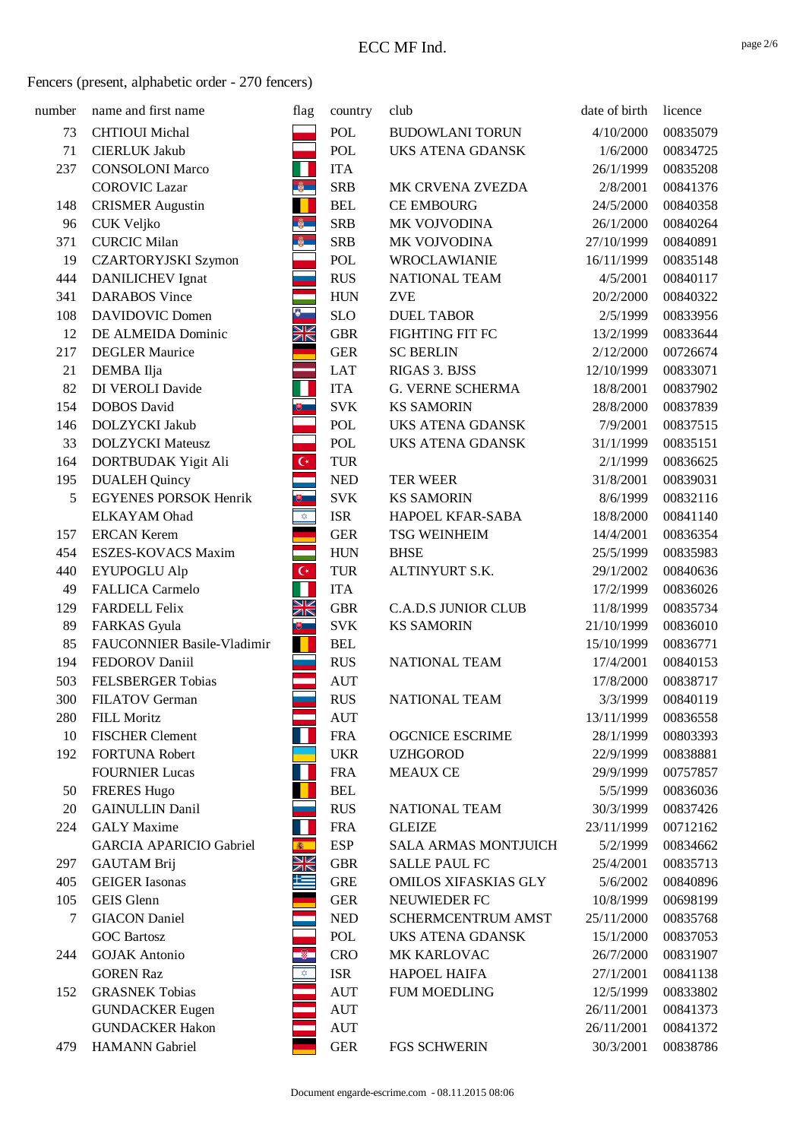| number | name and first name            | flag                    | country    | club                        | date of birth | licence  |
|--------|--------------------------------|-------------------------|------------|-----------------------------|---------------|----------|
| 73     | <b>CHTIOUI</b> Michal          |                         | POL        | <b>BUDOWLANI TORUN</b>      | 4/10/2000     | 00835079 |
| 71     | <b>CIERLUK Jakub</b>           |                         | POL        | UKS ATENA GDANSK            | 1/6/2000      | 00834725 |
| 237    | <b>CONSOLONI Marco</b>         | H                       | <b>ITA</b> |                             | 26/1/1999     | 00835208 |
|        | <b>COROVIC Lazar</b>           | $\frac{1}{2}$           | <b>SRB</b> | MK CRVENA ZVEZDA            | 2/8/2001      | 00841376 |
| 148    | <b>CRISMER Augustin</b>        |                         | <b>BEL</b> | <b>CE EMBOURG</b>           | 24/5/2000     | 00840358 |
| 96     | CUK Veljko                     | $\frac{a}{2}$           | <b>SRB</b> | MK VOJVODINA                | 26/1/2000     | 00840264 |
| 371    | <b>CURCIC Milan</b>            | $\frac{2}{9}$           | <b>SRB</b> | MK VOJVODINA                | 27/10/1999    | 00840891 |
| 19     | <b>CZARTORYJSKI Szymon</b>     |                         | POL        | <b>WROCLAWIANIE</b>         | 16/11/1999    | 00835148 |
| 444    | <b>DANILICHEV</b> Ignat        |                         | <b>RUS</b> | NATIONAL TEAM               | 4/5/2001      | 00840117 |
| 341    | <b>DARABOS</b> Vince           |                         | <b>HUN</b> | <b>ZVE</b>                  | 20/2/2000     | 00840322 |
| 108    | <b>DAVIDOVIC Domen</b>         | $\bullet$               | <b>SLO</b> | <b>DUEL TABOR</b>           | 2/5/1999      | 00833956 |
| 12     | DE ALMEIDA Dominic             | XK                      | <b>GBR</b> | FIGHTING FIT FC             | 13/2/1999     | 00833644 |
| 217    | <b>DEGLER Maurice</b>          |                         | <b>GER</b> | <b>SC BERLIN</b>            | 2/12/2000     | 00726674 |
| 21     | DEMBA Ilja                     |                         | <b>LAT</b> | RIGAS 3. BJSS               | 12/10/1999    | 00833071 |
| 82     | DI VEROLI Davide               |                         | <b>ITA</b> | G. VERNE SCHERMA            | 18/8/2001     | 00837902 |
| 154    | <b>DOBOS</b> David             |                         | <b>SVK</b> | <b>KS SAMORIN</b>           | 28/8/2000     | 00837839 |
| 146    | DOLZYCKI Jakub                 |                         | POL        | <b>UKS ATENA GDANSK</b>     | 7/9/2001      | 00837515 |
| 33     | <b>DOLZYCKI</b> Mateusz        |                         | POL        | UKS ATENA GDANSK            | 31/1/1999     | 00835151 |
| 164    | DORTBUDAK Yigit Ali            | $\overline{\mathsf{C}}$ | <b>TUR</b> |                             | 2/1/1999      | 00836625 |
| 195    | <b>DUALEH Quincy</b>           |                         | <b>NED</b> | <b>TER WEER</b>             | 31/8/2001     | 00839031 |
| 5      | <b>EGYENES PORSOK Henrik</b>   | U,                      | <b>SVK</b> | <b>KS SAMORIN</b>           | 8/6/1999      | 00832116 |
|        | <b>ELKAYAM</b> Ohad            | $\bigotimes$            | <b>ISR</b> | HAPOEL KFAR-SABA            | 18/8/2000     | 00841140 |
| 157    | <b>ERCAN Kerem</b>             |                         | <b>GER</b> | <b>TSG WEINHEIM</b>         | 14/4/2001     | 00836354 |
| 454    | ESZES-KOVACS Maxim             |                         | <b>HUN</b> | <b>BHSE</b>                 | 25/5/1999     | 00835983 |
| 440    | <b>EYUPOGLU Alp</b>            | $\overline{C}$          | TUR        | ALTINYURT S.K.              | 29/1/2002     | 00840636 |
| 49     | FALLICA Carmelo                | П                       | <b>ITA</b> |                             | 17/2/1999     | 00836026 |
| 129    | <b>FARDELL Felix</b>           | XK                      | <b>GBR</b> | <b>C.A.D.S JUNIOR CLUB</b>  | 11/8/1999     | 00835734 |
| 89     | FARKAS Gyula                   | $\overline{\mathbf{e}}$ | <b>SVK</b> | <b>KS SAMORIN</b>           | 21/10/1999    | 00836010 |
| 85     | FAUCONNIER Basile-Vladimir     | п                       | <b>BEL</b> |                             | 15/10/1999    | 00836771 |
| 194    | FEDOROV Daniil                 |                         | <b>RUS</b> | NATIONAL TEAM               | 17/4/2001     | 00840153 |
| 503    | <b>FELSBERGER Tobias</b>       |                         | <b>AUT</b> |                             | 17/8/2000     | 00838717 |
| 300    | FILATOV German                 |                         | <b>RUS</b> | NATIONAL TEAM               | 3/3/1999      | 00840119 |
| 280    | <b>FILL Moritz</b>             |                         | <b>AUT</b> |                             | 13/11/1999    | 00836558 |
| 10     | <b>FISCHER Clement</b>         |                         | <b>FRA</b> | <b>OGCNICE ESCRIME</b>      | 28/1/1999     | 00803393 |
| 192    | <b>FORTUNA Robert</b>          |                         | <b>UKR</b> | <b>UZHGOROD</b>             | 22/9/1999     | 00838881 |
|        | <b>FOURNIER Lucas</b>          | Н                       | <b>FRA</b> | <b>MEAUX CE</b>             | 29/9/1999     | 00757857 |
| 50     | <b>FRERES Hugo</b>             |                         | <b>BEL</b> |                             | 5/5/1999      | 00836036 |
| 20     | <b>GAINULLIN Danil</b>         |                         | <b>RUS</b> | NATIONAL TEAM               | 30/3/1999     | 00837426 |
| 224    | <b>GALY</b> Maxime             | Н                       | <b>FRA</b> | <b>GLEIZE</b>               | 23/11/1999    | 00712162 |
|        | <b>GARCIA APARICIO Gabriel</b> | 鑫                       | <b>ESP</b> | <b>SALA ARMAS MONTJUICH</b> | 5/2/1999      | 00834662 |
| 297    | <b>GAUTAM Brij</b>             | XK                      | <b>GBR</b> | <b>SALLE PAUL FC</b>        | 25/4/2001     | 00835713 |
| 405    | <b>GEIGER</b> Iasonas          | 些                       | <b>GRE</b> | <b>OMILOS XIFASKIAS GLY</b> | 5/6/2002      | 00840896 |
| 105    | <b>GEIS</b> Glenn              |                         | <b>GER</b> | NEUWIEDER FC                | 10/8/1999     | 00698199 |
| 7      | <b>GIACON</b> Daniel           |                         | <b>NED</b> | SCHERMCENTRUM AMST          | 25/11/2000    | 00835768 |
|        | <b>GOC Bartosz</b>             |                         | POL        | <b>UKS ATENA GDANSK</b>     | 15/1/2000     | 00837053 |
| 244    | <b>GOJAK</b> Antonio           |                         | <b>CRO</b> | MK KARLOVAC                 | 26/7/2000     | 00831907 |
|        | <b>GOREN Raz</b>               | $\hat{\varphi}$         | <b>ISR</b> | <b>HAPOEL HAIFA</b>         | 27/1/2001     | 00841138 |
| 152    | <b>GRASNEK Tobias</b>          |                         | <b>AUT</b> | <b>FUM MOEDLING</b>         | 12/5/1999     | 00833802 |
|        | <b>GUNDACKER Eugen</b>         |                         | <b>AUT</b> |                             | 26/11/2001    | 00841373 |
|        | <b>GUNDACKER Hakon</b>         |                         | <b>AUT</b> |                             | 26/11/2001    | 00841372 |
| 479    | <b>HAMANN</b> Gabriel          |                         | <b>GER</b> | <b>FGS SCHWERIN</b>         | 30/3/2001     | 00838786 |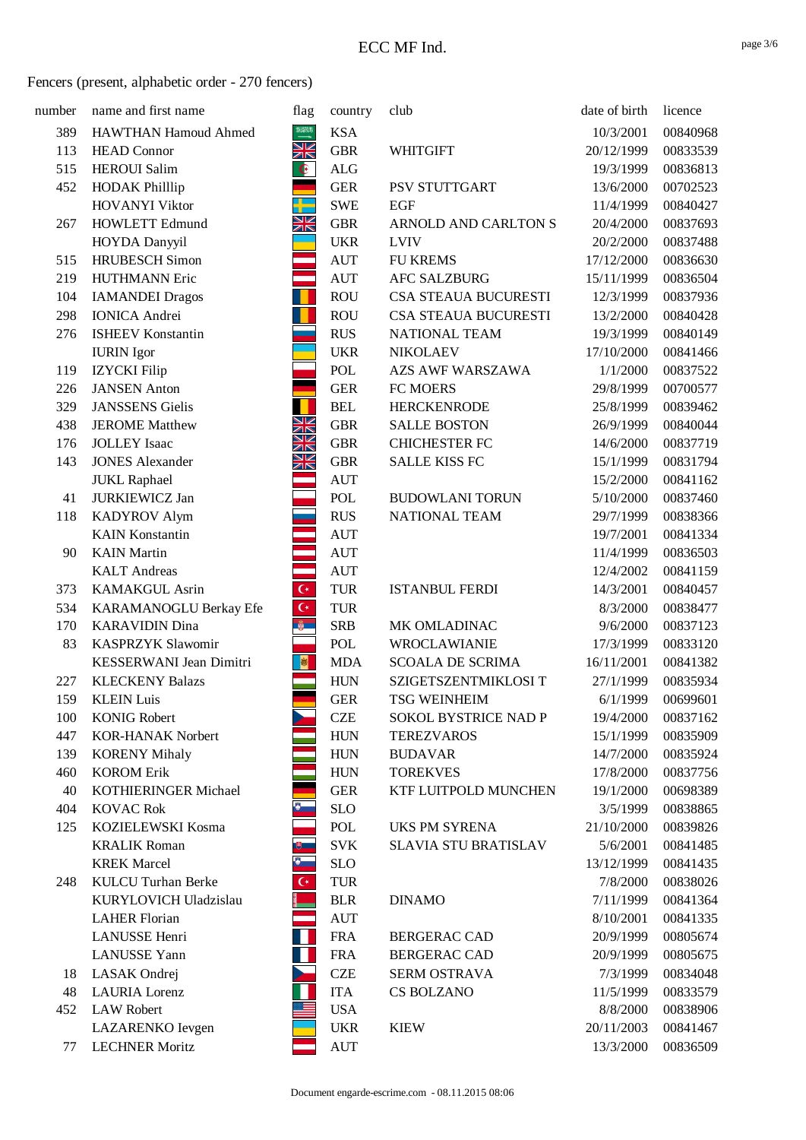| number     | name and first name                      | flag                        | country                  | club                                        | date of birth         | licence              |
|------------|------------------------------------------|-----------------------------|--------------------------|---------------------------------------------|-----------------------|----------------------|
| 389        | <b>HAWTHAN Hamoud Ahmed</b>              | $\frac{33203}{1}$           | <b>KSA</b>               |                                             | 10/3/2001             | 00840968             |
| 113        | <b>HEAD Connor</b>                       | <u>Ж</u>                    | <b>GBR</b>               | <b>WHITGIFT</b>                             | 20/12/1999            | 00833539             |
| 515        | <b>HEROUI</b> Salim                      | $\bullet$                   | <b>ALG</b>               |                                             | 19/3/1999             | 00836813             |
| 452        | <b>HODAK Philllip</b>                    |                             | <b>GER</b>               | PSV STUTTGART                               | 13/6/2000             | 00702523             |
|            | <b>HOVANYI Viktor</b>                    |                             | <b>SWE</b>               | <b>EGF</b>                                  | 11/4/1999             | 00840427             |
| 267        | <b>HOWLETT Edmund</b>                    | Ж                           | ${\rm GBR}$              | ARNOLD AND CARLTON S                        | 20/4/2000             | 00837693             |
|            | HOYDA Danyyil                            |                             | <b>UKR</b>               | <b>LVIV</b>                                 | 20/2/2000             | 00837488             |
| 515        | <b>HRUBESCH</b> Simon                    |                             | <b>AUT</b>               | <b>FU KREMS</b>                             | 17/12/2000            | 00836630             |
| 219        | <b>HUTHMANN Eric</b>                     | and and                     | <b>AUT</b>               | <b>AFC SALZBURG</b>                         | 15/11/1999            | 00836504             |
| 104        | <b>IAMANDEI Dragos</b>                   | ш                           | <b>ROU</b>               | CSA STEAUA BUCURESTI                        | 12/3/1999             | 00837936             |
| 298        | <b>IONICA</b> Andrei                     |                             | <b>ROU</b>               | CSA STEAUA BUCURESTI                        | 13/2/2000             | 00840428             |
| 276        | <b>ISHEEV Konstantin</b>                 |                             | <b>RUS</b>               | NATIONAL TEAM                               | 19/3/1999             | 00840149             |
|            | <b>IURIN</b> Igor                        |                             | <b>UKR</b>               | <b>NIKOLAEV</b>                             | 17/10/2000            | 00841466             |
| 119        | <b>IZYCKI</b> Filip                      |                             | POL                      | AZS AWF WARSZAWA                            | 1/1/2000              | 00837522             |
| 226        | <b>JANSEN</b> Anton                      |                             | <b>GER</b>               | FC MOERS                                    | 29/8/1999             | 00700577             |
| 329        | <b>JANSSENS</b> Gielis                   |                             | <b>BEL</b>               | <b>HERCKENRODE</b>                          | 25/8/1999             | 00839462             |
| 438        | <b>JEROME</b> Matthew                    | <b>ZKZAK</b>                | <b>GBR</b>               | <b>SALLE BOSTON</b>                         | 26/9/1999             | 00840044             |
| 176        | <b>JOLLEY</b> Isaac                      |                             | <b>GBR</b>               | <b>CHICHESTER FC</b>                        | 14/6/2000             | 00837719             |
| 143        | <b>JONES Alexander</b>                   | XK                          | <b>GBR</b>               | <b>SALLE KISS FC</b>                        | 15/1/1999             | 00831794             |
|            | <b>JUKL Raphael</b>                      |                             | <b>AUT</b>               |                                             | 15/2/2000             | 00841162             |
| 41         | <b>JURKIEWICZ Jan</b>                    |                             | POL                      | <b>BUDOWLANI TORUN</b>                      | 5/10/2000             | 00837460             |
| 118        | <b>KADYROV Alym</b>                      |                             | <b>RUS</b>               | NATIONAL TEAM                               | 29/7/1999             | 00838366             |
|            | <b>KAIN Konstantin</b>                   |                             | <b>AUT</b>               |                                             | 19/7/2001             | 00841334             |
| 90         | <b>KAIN</b> Martin                       |                             | <b>AUT</b>               |                                             | 11/4/1999             | 00836503             |
|            | <b>KALT</b> Andreas                      |                             | <b>AUT</b>               |                                             | 12/4/2002             | 00841159             |
| 373        | <b>KAMAKGUL Asrin</b>                    | $\mathsf{C}^\star$          | <b>TUR</b>               | <b>ISTANBUL FERDI</b>                       | 14/3/2001             | 00840457             |
| 534        | KARAMANOGLU Berkay Efe                   | $\overline{\mathbf{C}}{}^*$ | <b>TUR</b>               |                                             | 8/3/2000              | 00838477             |
| 170        | <b>KARAVIDIN Dina</b>                    | $\frac{2}{9}$               | <b>SRB</b>               | MK OMLADINAC                                | 9/6/2000              | 00837123             |
| 83         | <b>KASPRZYK Slawomir</b>                 |                             | POL                      | <b>WROCLAWIANIE</b>                         | 17/3/1999             | 00833120             |
|            | KESSERWANI Jean Dimitri                  | $\mathbf{R}$                | <b>MDA</b>               | <b>SCOALA DE SCRIMA</b>                     | 16/11/2001            | 00841382             |
| 227<br>159 | <b>KLECKENY Balazs</b>                   |                             | <b>HUN</b>               | SZIGETSZENTMIKLOSI T                        | 27/1/1999             | 00835934<br>00699601 |
| 100        | <b>KLEIN Luis</b><br><b>KONIG Robert</b> |                             | <b>GER</b><br><b>CZE</b> | <b>TSG WEINHEIM</b><br>SOKOL BYSTRICE NAD P | 6/1/1999<br>19/4/2000 | 00837162             |
| 447        | <b>KOR-HANAK Norbert</b>                 |                             | <b>HUN</b>               | <b>TEREZVAROS</b>                           | 15/1/1999             | 00835909             |
| 139        | <b>KORENY Mihaly</b>                     |                             | <b>HUN</b>               | <b>BUDAVAR</b>                              | 14/7/2000             | 00835924             |
| 460        | <b>KOROM Erik</b>                        |                             | <b>HUN</b>               | <b>TOREKVES</b>                             | 17/8/2000             | 00837756             |
| 40         | KOTHIERINGER Michael                     |                             | <b>GER</b>               | KTF LUITPOLD MUNCHEN                        | 19/1/2000             | 00698389             |
| 404        | <b>KOVAC Rok</b>                         | $\delta_{\perp}$            | <b>SLO</b>               |                                             | 3/5/1999              | 00838865             |
| 125        | KOZIELEWSKI Kosma                        |                             | POL                      | <b>UKS PM SYRENA</b>                        | 21/10/2000            | 00839826             |
|            | <b>KRALIK Roman</b>                      | <u>கு .</u>                 | <b>SVK</b>               | <b>SLAVIA STU BRATISLAV</b>                 | 5/6/2001              | 00841485             |
|            | <b>KREK</b> Marcel                       | $\bullet$                   | <b>SLO</b>               |                                             | 13/12/1999            | 00841435             |
| 248        | <b>KULCU Turhan Berke</b>                | $\mathsf{C}^\star$          | <b>TUR</b>               |                                             | 7/8/2000              | 00838026             |
|            | KURYLOVICH Uladzislau                    |                             | <b>BLR</b>               | <b>DINAMO</b>                               | 7/11/1999             | 00841364             |
|            | <b>LAHER Florian</b>                     |                             | <b>AUT</b>               |                                             | 8/10/2001             | 00841335             |
|            | <b>LANUSSE</b> Henri                     | H                           | <b>FRA</b>               | <b>BERGERAC CAD</b>                         | 20/9/1999             | 00805674             |
|            | <b>LANUSSE</b> Yann                      | Ш                           | <b>FRA</b>               | <b>BERGERAC CAD</b>                         | 20/9/1999             | 00805675             |
| 18         | LASAK Ondrej                             |                             | <b>CZE</b>               | SERM OSTRAVA                                | 7/3/1999              | 00834048             |
| 48         | <b>LAURIA</b> Lorenz                     |                             | <b>ITA</b>               | CS BOLZANO                                  | 11/5/1999             | 00833579             |
| 452        | <b>LAW Robert</b>                        |                             | <b>USA</b>               |                                             | 8/8/2000              | 00838906             |
|            | LAZARENKO Ievgen                         |                             | <b>UKR</b>               | <b>KIEW</b>                                 | 20/11/2003            | 00841467             |
| 77         | <b>LECHNER Moritz</b>                    |                             | <b>AUT</b>               |                                             | 13/3/2000             | 00836509             |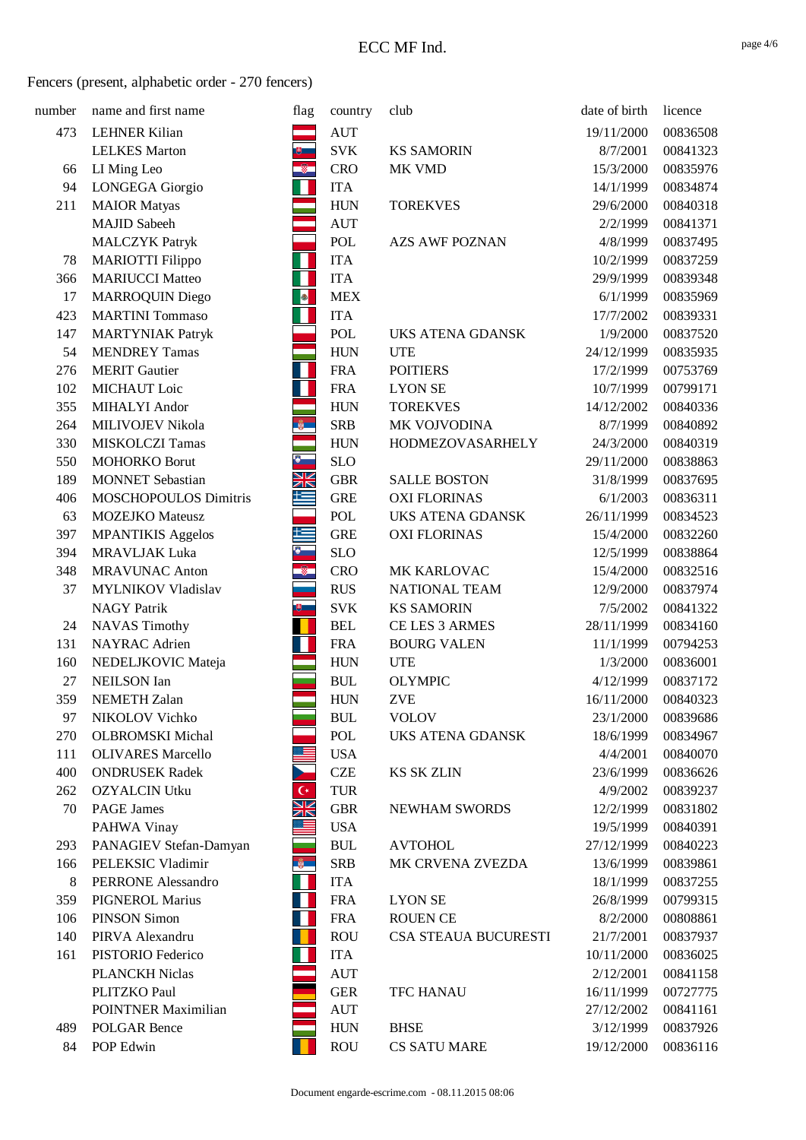| number | name and first name        | flag                | country    | club                    | date of birth | licence  |
|--------|----------------------------|---------------------|------------|-------------------------|---------------|----------|
| 473    | <b>LEHNER Kilian</b>       |                     | <b>AUT</b> |                         | 19/11/2000    | 00836508 |
|        | <b>LELKES</b> Marton       |                     | <b>SVK</b> | <b>KS SAMORIN</b>       | 8/7/2001      | 00841323 |
| 66     | LI Ming Leo                | $\ddot{\textbf{v}}$ | <b>CRO</b> | MK VMD                  | 15/3/2000     | 00835976 |
| 94     | LONGEGA Giorgio            |                     | <b>ITA</b> |                         | 14/1/1999     | 00834874 |
| 211    | <b>MAIOR</b> Matyas        |                     | <b>HUN</b> | <b>TOREKVES</b>         | 29/6/2000     | 00840318 |
|        | <b>MAJID</b> Sabeeh        |                     | <b>AUT</b> |                         | 2/2/1999      | 00841371 |
|        | <b>MALCZYK Patryk</b>      |                     | POL        | <b>AZS AWF POZNAN</b>   | 4/8/1999      | 00837495 |
| 78     | <b>MARIOTTI Filippo</b>    |                     | <b>ITA</b> |                         | 10/2/1999     | 00837259 |
| 366    | <b>MARIUCCI Matteo</b>     |                     | <b>ITA</b> |                         | 29/9/1999     | 00839348 |
| 17     | MARROQUIN Diego            |                     | <b>MEX</b> |                         | 6/1/1999      | 00835969 |
| 423    | <b>MARTINI</b> Tommaso     |                     | <b>ITA</b> |                         | 17/7/2002     | 00839331 |
| 147    | <b>MARTYNIAK Patryk</b>    |                     | POL        | <b>UKS ATENA GDANSK</b> | 1/9/2000      | 00837520 |
| 54     | <b>MENDREY Tamas</b>       |                     | <b>HUN</b> | <b>UTE</b>              | 24/12/1999    | 00835935 |
| 276    | <b>MERIT</b> Gautier       | Н                   | <b>FRA</b> | <b>POITIERS</b>         | 17/2/1999     | 00753769 |
| 102    | MICHAUT Loic               |                     | <b>FRA</b> | <b>LYON SE</b>          | 10/7/1999     | 00799171 |
| 355    | MIHALYI Andor              |                     | <b>HUN</b> | <b>TOREKVES</b>         | 14/12/2002    | 00840336 |
| 264    | MILIVOJEV Nikola           | $\frac{a}{2}$       | <b>SRB</b> | MK VOJVODINA            | 8/7/1999      | 00840892 |
| 330    | MISKOLCZI Tamas            |                     | <b>HUN</b> | HODMEZOVASARHELY        | 24/3/2000     | 00840319 |
| 550    | <b>MOHORKO Borut</b>       | 8-                  | <b>SLO</b> |                         | 29/11/2000    | 00838863 |
| 189    | <b>MONNET</b> Sebastian    | XK                  | <b>GBR</b> | <b>SALLE BOSTON</b>     | 31/8/1999     | 00837695 |
| 406    | MOSCHOPOULOS Dimitris      | 土                   | <b>GRE</b> | <b>OXI FLORINAS</b>     | 6/1/2003      | 00836311 |
| 63     | <b>MOZEJKO</b> Mateusz     |                     | POL        | UKS ATENA GDANSK        | 26/11/1999    | 00834523 |
| 397    | <b>MPANTIKIS</b> Aggelos   | 土                   | <b>GRE</b> | <b>OXI FLORINAS</b>     | 15/4/2000     | 00832260 |
| 394    | <b>MRAVLJAK Luka</b>       |                     | <b>SLO</b> |                         | 12/5/1999     | 00838864 |
| 348    | <b>MRAVUNAC Anton</b>      | $^{\circ}$          | <b>CRO</b> | MK KARLOVAC             | 15/4/2000     | 00832516 |
| 37     | MYLNIKOV Vladislav         |                     | <b>RUS</b> | NATIONAL TEAM           | 12/9/2000     | 00837974 |
|        | <b>NAGY Patrik</b>         | 問                   | <b>SVK</b> | <b>KS SAMORIN</b>       | 7/5/2002      | 00841322 |
| 24     | <b>NAVAS Timothy</b>       |                     | <b>BEL</b> | CE LES 3 ARMES          | 28/11/1999    | 00834160 |
| 131    | NAYRAC Adrien              |                     | <b>FRA</b> | <b>BOURG VALEN</b>      | 11/1/1999     | 00794253 |
| 160    | NEDELJKOVIC Mateja         |                     | <b>HUN</b> | <b>UTE</b>              | 1/3/2000      | 00836001 |
| $27\,$ | <b>NEILSON</b> Ian         |                     | <b>BUL</b> | <b>OLYMPIC</b>          | 4/12/1999     | 00837172 |
| 359    | <b>NEMETH Zalan</b>        |                     | <b>HUN</b> | <b>ZVE</b>              | 16/11/2000    | 00840323 |
| 97     | NIKOLOV Vichko             |                     | <b>BUL</b> | <b>VOLOV</b>            | 23/1/2000     | 00839686 |
| 270    | <b>OLBROMSKI</b> Michal    |                     | POL        | <b>UKS ATENA GDANSK</b> | 18/6/1999     | 00834967 |
| 111    | <b>OLIVARES Marcello</b>   |                     | <b>USA</b> |                         | 4/4/2001      | 00840070 |
| 400    | <b>ONDRUSEK Radek</b>      |                     | <b>CZE</b> | <b>KS SK ZLIN</b>       | 23/6/1999     | 00836626 |
| 262    | <b>OZYALCIN Utku</b>       | $\mathsf{C}^*$      | <b>TUR</b> |                         | 4/9/2002      | 00839237 |
| 70     | <b>PAGE James</b>          | Ж                   | <b>GBR</b> | <b>NEWHAM SWORDS</b>    | 12/2/1999     | 00831802 |
|        | PAHWA Vinay                |                     | <b>USA</b> |                         | 19/5/1999     | 00840391 |
| 293    | PANAGIEV Stefan-Damyan     |                     | <b>BUL</b> | <b>AVTOHOL</b>          | 27/12/1999    | 00840223 |
| 166    | PELEKSIC Vladimir          | $\frac{1}{2}$       | <b>SRB</b> | MK CRVENA ZVEZDA        | 13/6/1999     | 00839861 |
| $8\,$  | <b>PERRONE Alessandro</b>  |                     | <b>ITA</b> |                         | 18/1/1999     | 00837255 |
| 359    | <b>PIGNEROL Marius</b>     |                     | <b>FRA</b> | <b>LYON SE</b>          | 26/8/1999     | 00799315 |
| 106    | <b>PINSON Simon</b>        |                     | <b>FRA</b> | <b>ROUEN CE</b>         | 8/2/2000      | 00808861 |
| 140    | PIRVA Alexandru            |                     | <b>ROU</b> | CSA STEAUA BUCURESTI    | 21/7/2001     | 00837937 |
| 161    | PISTORIO Federico          |                     | <b>ITA</b> |                         | 10/11/2000    | 00836025 |
|        | <b>PLANCKH Niclas</b>      |                     | <b>AUT</b> |                         | 2/12/2001     | 00841158 |
|        | PLITZKO Paul               |                     | <b>GER</b> | <b>TFC HANAU</b>        | 16/11/1999    | 00727775 |
|        | <b>POINTNER Maximilian</b> |                     | <b>AUT</b> |                         | 27/12/2002    | 00841161 |
| 489    | <b>POLGAR Bence</b>        |                     | <b>HUN</b> | <b>BHSE</b>             | 3/12/1999     | 00837926 |
| 84     | POP Edwin                  |                     | <b>ROU</b> | <b>CS SATU MARE</b>     | 19/12/2000    | 00836116 |
|        |                            |                     |            |                         |               |          |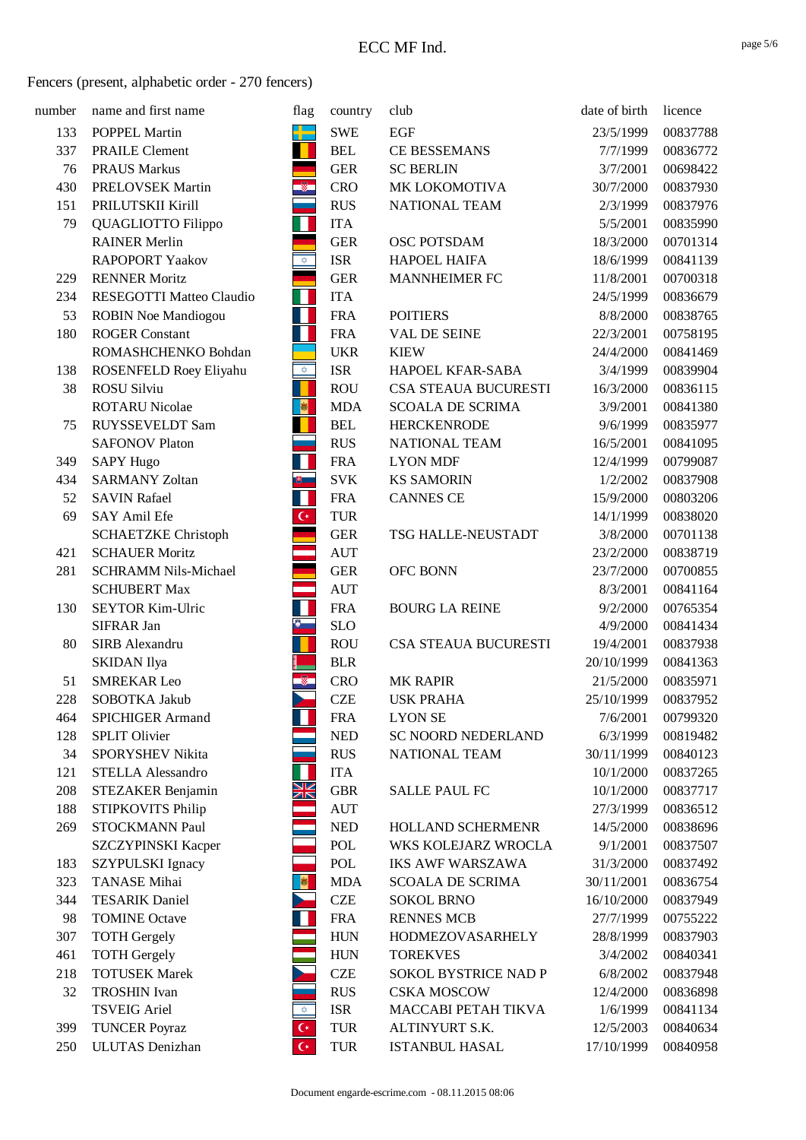| number | name and first name         | flag                               | country    | club                    | date of birth | licence  |
|--------|-----------------------------|------------------------------------|------------|-------------------------|---------------|----------|
| 133    | POPPEL Martin               | دي.<br>سا                          | <b>SWE</b> | EGF                     | 23/5/1999     | 00837788 |
| 337    | <b>PRAILE Clement</b>       |                                    | <b>BEL</b> | CE BESSEMANS            | 7/7/1999      | 00836772 |
| 76     | <b>PRAUS Markus</b>         |                                    | <b>GER</b> | <b>SC BERLIN</b>        | 3/7/2001      | 00698422 |
| 430    | PRELOVSEK Martin            | $^{\circ}$                         | <b>CRO</b> | MK LOKOMOTIVA           | 30/7/2000     | 00837930 |
| 151    | PRILUTSKII Kirill           |                                    | <b>RUS</b> | NATIONAL TEAM           | 2/3/1999      | 00837976 |
| 79     | QUAGLIOTTO Filippo          | Н                                  | <b>ITA</b> |                         | 5/5/2001      | 00835990 |
|        | <b>RAINER Merlin</b>        |                                    | <b>GER</b> | OSC POTSDAM             | 18/3/2000     | 00701314 |
|        | <b>RAPOPORT Yaakov</b>      | $\overline{\mathfrak{D}}$          | <b>ISR</b> | <b>HAPOEL HAIFA</b>     | 18/6/1999     | 00841139 |
| 229    | <b>RENNER Moritz</b>        | e e                                | <b>GER</b> | <b>MANNHEIMER FC</b>    | 11/8/2001     | 00700318 |
| 234    | RESEGOTTI Matteo Claudio    | Ш                                  | <b>ITA</b> |                         | 24/5/1999     | 00836679 |
| 53     | <b>ROBIN Noe Mandiogou</b>  | П                                  | <b>FRA</b> | <b>POITIERS</b>         | 8/8/2000      | 00838765 |
| 180    | <b>ROGER Constant</b>       |                                    | <b>FRA</b> | VAL DE SEINE            | 22/3/2001     | 00758195 |
|        | ROMASHCHENKO Bohdan         |                                    | <b>UKR</b> | <b>KIEW</b>             | 24/4/2000     | 00841469 |
| 138    | ROSENFELD Roey Eliyahu      | $\bigotimes$                       | <b>ISR</b> | HAPOEL KFAR-SABA        | 3/4/1999      | 00839904 |
| 38     | ROSU Silviu                 |                                    | <b>ROU</b> | CSA STEAUA BUCURESTI    | 16/3/2000     | 00836115 |
|        | <b>ROTARU Nicolae</b>       | 图                                  | <b>MDA</b> | <b>SCOALA DE SCRIMA</b> | 3/9/2001      | 00841380 |
| 75     | RUYSSEVELDT Sam             |                                    | <b>BEL</b> | <b>HERCKENRODE</b>      | 9/6/1999      | 00835977 |
|        | <b>SAFONOV Platon</b>       |                                    | <b>RUS</b> | NATIONAL TEAM           | 16/5/2001     | 00841095 |
| 349    | <b>SAPY Hugo</b>            | П                                  | <b>FRA</b> | <b>LYON MDF</b>         | 12/4/1999     | 00799087 |
| 434    | <b>SARMANY Zoltan</b>       | குட                                | <b>SVK</b> | <b>KS SAMORIN</b>       | 1/2/2002      | 00837908 |
| 52     | <b>SAVIN Rafael</b>         | Ш                                  | <b>FRA</b> | <b>CANNES CE</b>        | 15/9/2000     | 00803206 |
| 69     | SAY Amil Efe                | $\mathsf{C}^\star$                 | <b>TUR</b> |                         | 14/1/1999     | 00838020 |
|        | <b>SCHAETZKE Christoph</b>  |                                    | <b>GER</b> | TSG HALLE-NEUSTADT      | 3/8/2000      | 00701138 |
| 421    | <b>SCHAUER Moritz</b>       |                                    | <b>AUT</b> |                         | 23/2/2000     | 00838719 |
| 281    | <b>SCHRAMM Nils-Michael</b> |                                    | <b>GER</b> | OFC BONN                | 23/7/2000     | 00700855 |
|        | <b>SCHUBERT Max</b>         | and and                            | <b>AUT</b> |                         | 8/3/2001      | 00841164 |
| 130    | SEYTOR Kim-Ulric            | Н                                  | <b>FRA</b> | <b>BOURG LA REINE</b>   | 9/2/2000      | 00765354 |
|        | <b>SIFRAR Jan</b>           | 图<br>-                             | <b>SLO</b> |                         | 4/9/2000      | 00841434 |
| 80     | SIRB Alexandru              |                                    | <b>ROU</b> | CSA STEAUA BUCURESTI    | 19/4/2001     | 00837938 |
|        | <b>SKIDAN</b> Ilya          |                                    | <b>BLR</b> |                         | 20/10/1999    | 00841363 |
| 51     | <b>SMREKAR Leo</b>          |                                    | <b>CRO</b> | <b>MK RAPIR</b>         | 21/5/2000     | 00835971 |
| 228    | SOBOTKA Jakub               |                                    | <b>CZE</b> | <b>USK PRAHA</b>        | 25/10/1999    | 00837952 |
| 464    | <b>SPICHIGER Armand</b>     |                                    | <b>FRA</b> | <b>LYON SE</b>          | 7/6/2001      | 00799320 |
| 128    | <b>SPLIT Olivier</b>        |                                    | <b>NED</b> | SC NOORD NEDERLAND      | 6/3/1999      | 00819482 |
| 34     | SPORYSHEV Nikita            |                                    | <b>RUS</b> | NATIONAL TEAM           | 30/11/1999    | 00840123 |
| 121    | STELLA Alessandro           |                                    | <b>ITA</b> |                         | 10/1/2000     | 00837265 |
| 208    | STEZAKER Benjamin           | XK                                 | <b>GBR</b> | <b>SALLE PAUL FC</b>    | 10/1/2000     | 00837717 |
| 188    | STIPKOVITS Philip           |                                    | <b>AUT</b> |                         | 27/3/1999     | 00836512 |
| 269    | STOCKMANN Paul              |                                    | $\rm NED$  | HOLLAND SCHERMENR       | 14/5/2000     | 00838696 |
|        | <b>SZCZYPINSKI Kacper</b>   |                                    | POL        | WKS KOLEJARZ WROCLA     | 9/1/2001      | 00837507 |
| 183    | SZYPULSKI Ignacy            |                                    | POL        | <b>IKS AWF WARSZAWA</b> | 31/3/2000     | 00837492 |
| 323    | <b>TANASE Mihai</b>         | 剛                                  | <b>MDA</b> | <b>SCOALA DE SCRIMA</b> | 30/11/2001    | 00836754 |
| 344    | <b>TESARIK Daniel</b>       |                                    | <b>CZE</b> | <b>SOKOL BRNO</b>       | 16/10/2000    | 00837949 |
| 98     | <b>TOMINE Octave</b>        |                                    | <b>FRA</b> | <b>RENNES MCB</b>       | 27/7/1999     | 00755222 |
| 307    | <b>TOTH</b> Gergely         |                                    | <b>HUN</b> | <b>HODMEZOVASARHELY</b> | 28/8/1999     | 00837903 |
| 461    | <b>TOTH Gergely</b>         |                                    | <b>HUN</b> | <b>TOREKVES</b>         | 3/4/2002      | 00840341 |
| 218    | <b>TOTUSEK Marek</b>        |                                    | <b>CZE</b> | SOKOL BYSTRICE NAD P    | 6/8/2002      | 00837948 |
| 32     | <b>TROSHIN</b> Ivan         |                                    | <b>RUS</b> | <b>CSKA MOSCOW</b>      | 12/4/2000     | 00836898 |
|        | <b>TSVEIG Ariel</b>         | $\stackrel{\leftrightarrow}{\sim}$ | <b>ISR</b> | MACCABI PETAH TIKVA     | 1/6/1999      | 00841134 |
| 399    | <b>TUNCER Poyraz</b>        | $\mathsf{C}^\star$                 | <b>TUR</b> | ALTINYURT S.K.          | 12/5/2003     | 00840634 |
| 250    | <b>ULUTAS</b> Denizhan      | $\mathsf{C}^*$                     | <b>TUR</b> | ISTANBUL HASAL          | 17/10/1999    | 00840958 |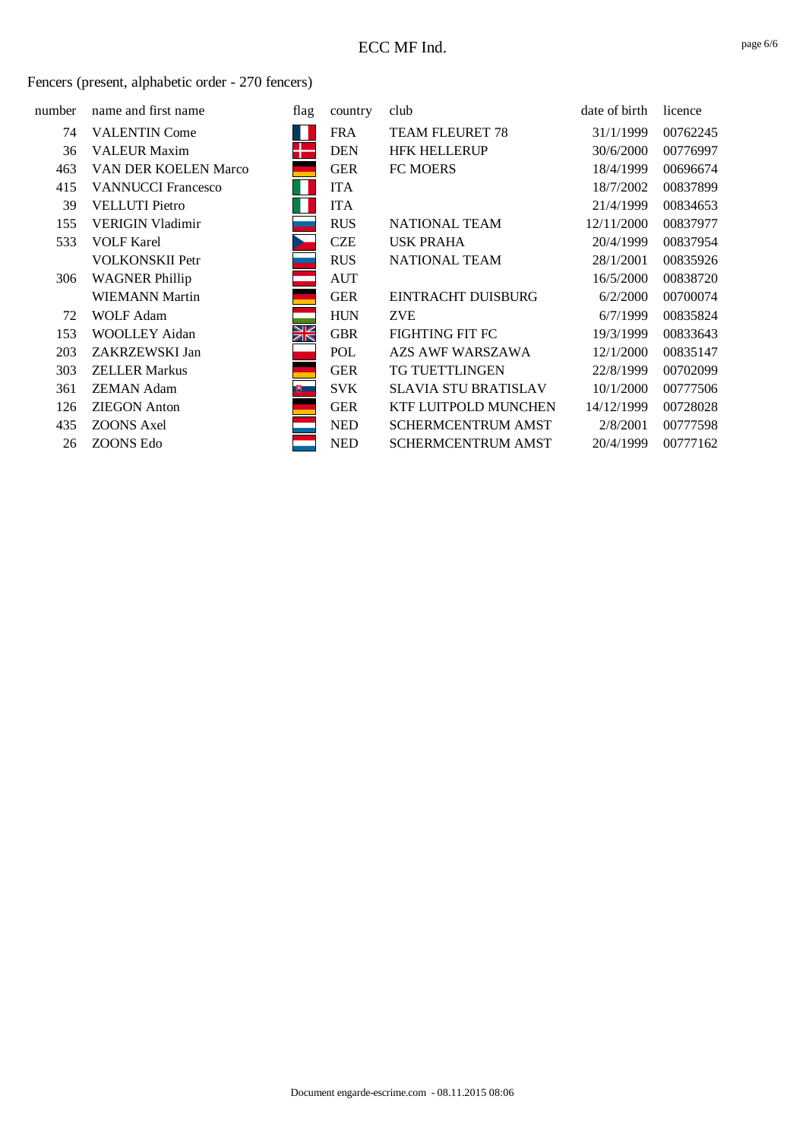| number | name and first name         | flag  | country    | club                        | date of birth | licence  |
|--------|-----------------------------|-------|------------|-----------------------------|---------------|----------|
| 74     | <b>VALENTIN Come</b>        |       | <b>FRA</b> | <b>TEAM FLEURET 78</b>      | 31/1/1999     | 00762245 |
| 36     | <b>VALEUR Maxim</b>         |       | <b>DEN</b> | <b>HFK HELLERUP</b>         | 30/6/2000     | 00776997 |
| 463    | <b>VAN DER KOELEN Marco</b> |       | <b>GER</b> | FC MOERS                    | 18/4/1999     | 00696674 |
| 415    | <b>VANNUCCI Francesco</b>   |       | <b>ITA</b> |                             | 18/7/2002     | 00837899 |
| 39     | <b>VELLUTI</b> Pietro       |       | <b>ITA</b> |                             | 21/4/1999     | 00834653 |
| 155    | <b>VERIGIN Vladimir</b>     |       | <b>RUS</b> | NATIONAL TEAM               | 12/11/2000    | 00837977 |
| 533    | <b>VOLF Karel</b>           |       | <b>CZE</b> | <b>USK PRAHA</b>            | 20/4/1999     | 00837954 |
|        | <b>VOLKONSKII Petr</b>      |       | <b>RUS</b> | NATIONAL TEAM               | 28/1/2001     | 00835926 |
| 306    | <b>WAGNER Phillip</b>       |       | <b>AUT</b> |                             | 16/5/2000     | 00838720 |
|        | <b>WIEMANN Martin</b>       |       | <b>GER</b> | <b>EINTRACHT DUISBURG</b>   | 6/2/2000      | 00700074 |
| 72     | <b>WOLF Adam</b>            |       | <b>HUN</b> | <b>ZVE</b>                  | 6/7/1999      | 00835824 |
| 153    | WOOLLEY Aidan               | XK    | <b>GBR</b> | <b>FIGHTING FIT FC</b>      | 19/3/1999     | 00833643 |
| 203    | ZAKRZEWSKI Jan              |       | POL        | <b>AZS AWF WARSZAWA</b>     | 12/1/2000     | 00835147 |
| 303    | <b>ZELLER Markus</b>        |       | <b>GER</b> | <b>TG TUETTLINGEN</b>       | 22/8/1999     | 00702099 |
| 361    | <b>ZEMAN Adam</b>           | (明) 二 | <b>SVK</b> | <b>SLAVIA STU BRATISLAV</b> | 10/1/2000     | 00777506 |
| 126    | <b>ZIEGON</b> Anton         |       | <b>GER</b> | <b>KTF LUITPOLD MUNCHEN</b> | 14/12/1999    | 00728028 |
| 435    | ZOONS Axel                  |       | <b>NED</b> | <b>SCHERMCENTRUM AMST</b>   | 2/8/2001      | 00777598 |
| 26     | ZOONS Edo                   |       | <b>NED</b> | <b>SCHERMCENTRUM AMST</b>   | 20/4/1999     | 00777162 |
|        |                             |       |            |                             |               |          |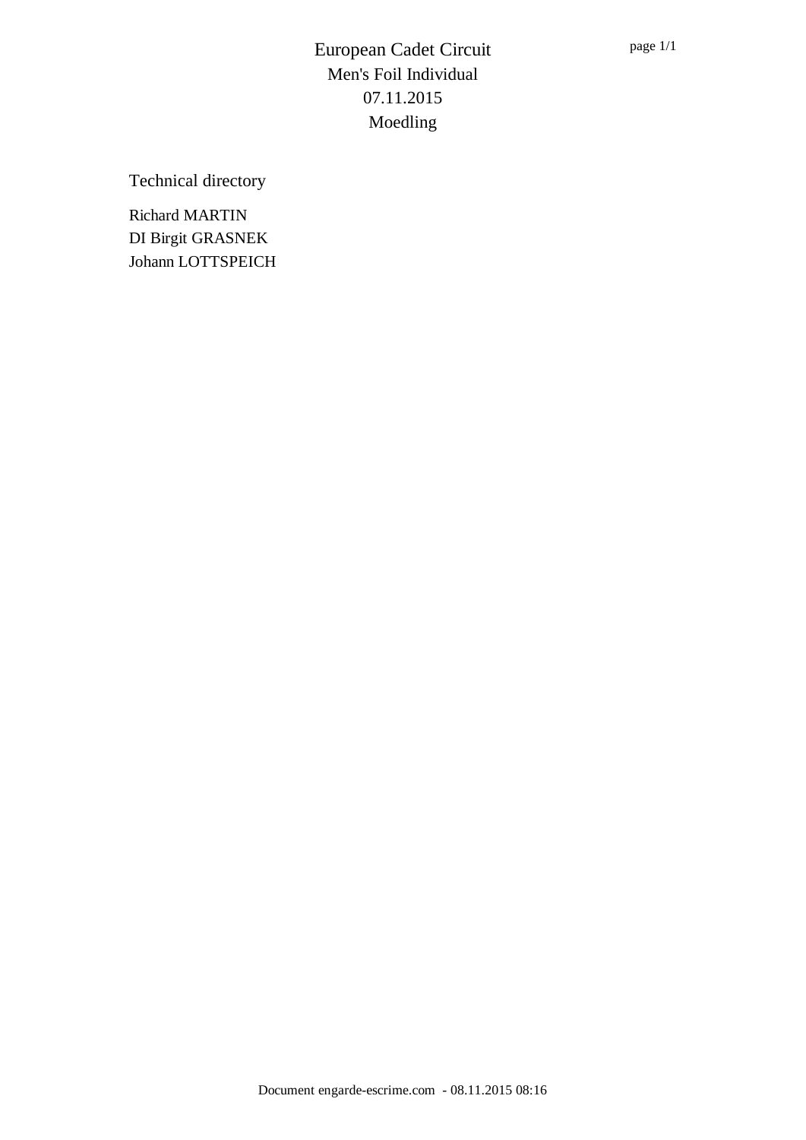Technical directory

Richard MARTIN DI Birgit GRASNEK Johann LOTTSPEICH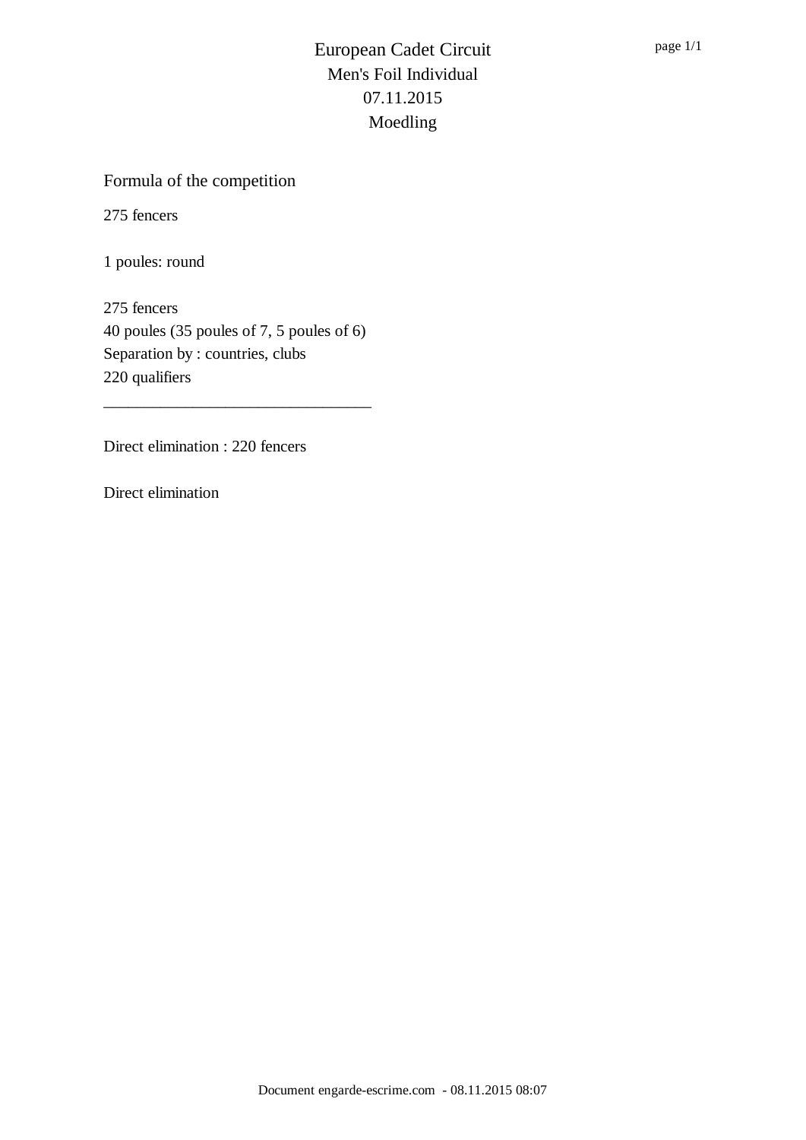## Formula of the competition

275 fencers

1 poules: round

275 fencers 40 poules (35 poules of 7, 5 poules of 6) Separation by : countries, clubs 220 qualifiers

\_\_\_\_\_\_\_\_\_\_\_\_\_\_\_\_\_\_\_\_\_\_\_\_\_\_\_\_\_\_\_\_\_

Direct elimination : 220 fencers

Direct elimination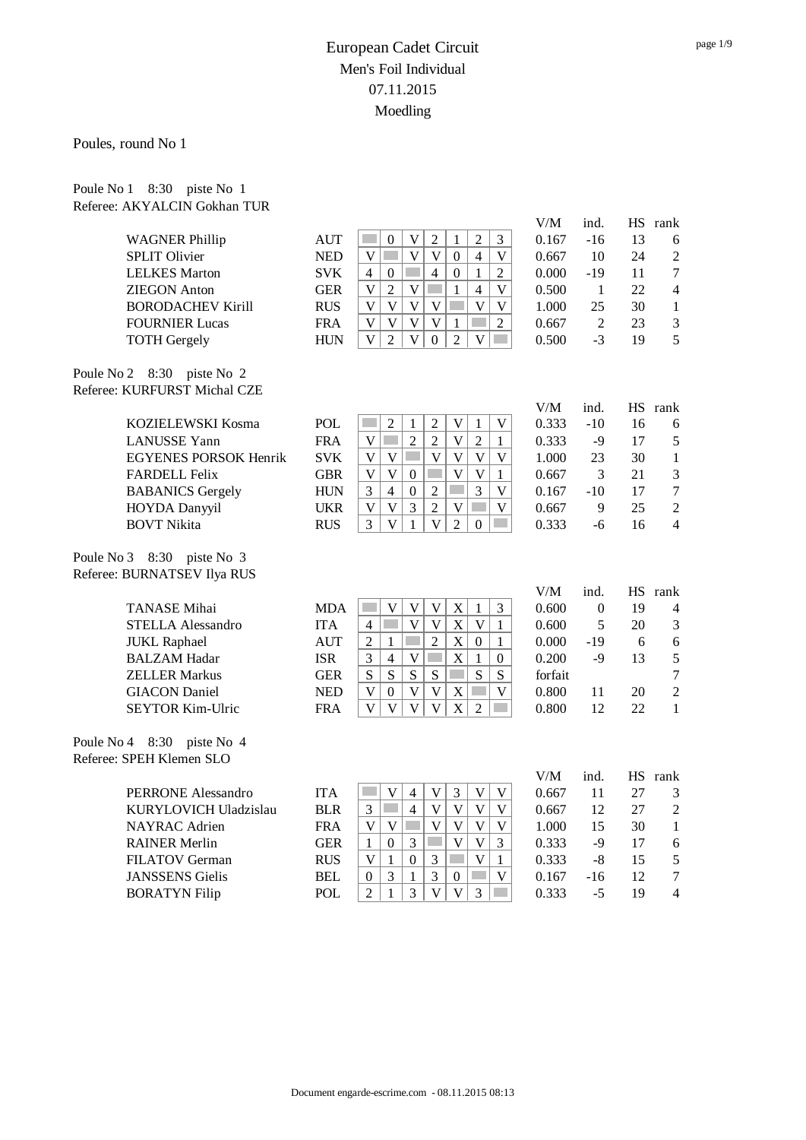Poules, round No 1

Poule No 1 8:30 piste No 1 Referee: AKYALCIN Gokhan TUR

|                                                           |            |                                                                                                                                                | V/M     | ind.           |    | HS rank          |
|-----------------------------------------------------------|------------|------------------------------------------------------------------------------------------------------------------------------------------------|---------|----------------|----|------------------|
| <b>WAGNER Phillip</b>                                     | <b>AUT</b> | $\mathbf V$<br>$\sqrt{2}$<br>$\mathbf{1}$<br>$\overline{2}$<br>3<br>in a<br>$\boldsymbol{0}$                                                   | 0.167   | $-16$          | 13 | 6                |
| <b>SPLIT Olivier</b>                                      | <b>NED</b> | $\overline{V}$<br>$\mathbf{V}$<br>$\mathcal{L}^{\text{max}}$<br>$\mathbf{V}$<br>$\boldsymbol{0}$<br>$\overline{4}$<br>$\mathbf V$              | 0.667   | 10             | 24 | $\overline{2}$   |
| <b>LELKES</b> Marton                                      | <b>SVK</b> | <b>T</b><br>$\overline{4}$<br>$\boldsymbol{0}$<br>$\overline{2}$<br>$\overline{4}$<br>$\boldsymbol{0}$<br>1                                    | 0.000   | $-19$          | 11 | $\overline{7}$   |
| <b>ZIEGON</b> Anton                                       | <b>GER</b> | $\mathbf{V}$<br>$\overline{2}$<br>$\overline{\mathsf{V}}$<br>$\overline{V}$<br>$\mathbf{1}$<br>$\overline{4}$                                  | 0.500   | $\mathbf{1}$   | 22 | $\overline{4}$   |
| <b>BORODACHEV Kirill</b>                                  | <b>RUS</b> | $\overline{\mathsf{V}}$<br>$\ensuremath{\mathsf{V}}$<br>$\mathbf V$<br>$\mathbf V$<br>$\overline{\mathsf{V}}$<br>$\mathbf V$<br>$\mathbb{R}^n$ | 1.000   | 25             | 30 | $\mathbf{1}$     |
| <b>FOURNIER Lucas</b>                                     | <b>FRA</b> | $\overline{\mathsf{V}}$<br>$\mathbf V$<br>$\mathbf{V}$<br>$\overline{2}$<br>$\mathbf V$<br>$\mathbf{1}$                                        | 0.667   | $\overline{2}$ | 23 | 3                |
| <b>TOTH Gergely</b>                                       | <b>HUN</b> | $\mathbf V$<br>$\overline{2}$<br>$\overline{\mathsf{V}}$<br>$\overline{2}$<br>$\mathbf V$<br>$\Omega$                                          | 0.500   | $-3$           | 19 | 5                |
| Poule No 2 8:30 piste No 2                                |            |                                                                                                                                                |         |                |    |                  |
| Referee: KURFURST Michal CZE                              |            |                                                                                                                                                |         |                |    |                  |
|                                                           |            |                                                                                                                                                | V/M     | ind.           |    | HS rank          |
| KOZIELEWSKI Kosma                                         | <b>POL</b> | $\overline{2}$<br>$\sqrt{2}$<br>$\ensuremath{\mathsf{V}}$<br>$\mathbf V$<br>$\mathbf{1}$<br>$\mathbf{1}$                                       | 0.333   | $-10$          | 16 | 6                |
| <b>LANUSSE</b> Yann                                       | <b>FRA</b> | $\overline{2}$<br>$\overline{\mathsf{V}}$<br>$\mathcal{L}^{\text{max}}$<br>$\overline{2}$<br>$\overline{2}$<br>$\mathbf V$<br>$\mathbf{1}$     | 0.333   | $-9$           | 17 | 5                |
| <b>EGYENES PORSOK Henrik</b>                              | <b>SVK</b> | $\overline{V}$<br>$\mathbf V$<br>$\mathbf{V}$<br>$\mathbf V$<br>$\mathbf V$<br>$\mathbf V$                                                     | 1.000   | 23             | 30 | $\mathbf{1}$     |
| <b>FARDELL Felix</b>                                      | <b>GBR</b> | $\overline{\mathsf{V}}$<br>$\overline{\mathsf{V}}$<br>$\mathbf V$<br>$\boldsymbol{0}$<br>V<br>1                                                | 0.667   | 3              | 21 | 3                |
| <b>BABANICS Gergely</b>                                   | <b>HUN</b> | $\overline{2}$<br><b>Tara</b><br>$\overline{3}$<br>3<br>$\overline{4}$<br>$\overline{V}$<br>$\boldsymbol{0}$                                   | 0.167   | $-10$          | 17 | $\boldsymbol{7}$ |
| HOYDA Danyyil                                             | <b>UKR</b> | $\overline{\mathsf{V}}$<br>3<br>$\overline{2}$<br>$\overline{\mathsf{V}}$<br>$\mathbf V$<br>$\mathbf V$                                        | 0.667   | 9              | 25 | $\sqrt{2}$       |
| <b>BOVT Nikita</b>                                        | <b>RUS</b> | $\overline{V}$<br>$\overline{3}$<br>$\mathbf{V}$<br>$\overline{2}$<br>$\mathbf{1}$<br>$\mathbf{0}$<br>m.                                       | 0.333   | $-6$           | 16 | $\overline{4}$   |
| Poule No 3 8:30 piste No 3<br>Referee: BURNATSEV Ilya RUS |            |                                                                                                                                                |         |                |    |                  |
|                                                           |            |                                                                                                                                                | V/M     | ind.           |    | HS rank          |
| <b>TANASE</b> Mihai                                       | <b>MDA</b> | $\mathbf X$<br>$\mathbf V$<br>$\mathbf V$<br>$\mathbf V$<br>$\mathfrak{Z}$<br>1                                                                | 0.600   | $\mathbf{0}$   | 19 | $\overline{4}$   |
| <b>STELLA Alessandro</b>                                  | <b>ITA</b> | <b>Tale</b><br>$\overline{X}$<br>$\overline{\mathsf{V}}$<br>$\mathbf V$<br>$\mathbf V$<br>$\overline{4}$<br>$\mathbf{1}$                       | 0.600   | 5              | 20 | $\mathfrak{Z}$   |
| <b>JUKL Raphael</b>                                       | <b>AUT</b> | $\overline{2}$<br>$\mathbf X$<br>$\overline{2}$<br>$\mathbf{1}$<br>$\mathbf{0}$<br>$\mathbf{1}$                                                | 0.000   | $-19$          | 6  | 6                |
| <b>BALZAM Hadar</b>                                       | <b>ISR</b> | $\boldsymbol{\mathrm{X}}$<br>3<br>$\overline{4}$<br>$\mathbf V$<br>$\mathbf{1}$<br>$\boldsymbol{0}$                                            | 0.200   | $-9$           | 13 | 5                |
| <b>ZELLER Markus</b>                                      | <b>GER</b> | S<br>S<br><b>Tara</b><br>S<br>S<br>S<br>S                                                                                                      | forfait |                |    | $\overline{7}$   |
| <b>GIACON</b> Daniel                                      | <b>NED</b> | $\mathbf{V}$<br>$\mathbf V$<br>$\boldsymbol{0}$<br>$\mathbf V$<br>$\mathbf X$<br>$\mathbf V$                                                   | 0.800   | 11             | 20 | $\overline{2}$   |
| <b>SEYTOR Kim-Ulric</b>                                   | <b>FRA</b> | $\overline{V}$<br>$\overline{V}$<br>$\mathbf X$<br>$\mathbf{V}$<br>$\overline{V}$<br>$\overline{2}$                                            | 0.800   | 12             | 22 | $\mathbf{1}$     |
| Poule No $4$ 8:30<br>piste No 4                           |            |                                                                                                                                                |         |                |    |                  |
| Referee: SPEH Klemen SLO                                  |            |                                                                                                                                                |         |                |    |                  |
|                                                           |            |                                                                                                                                                | V/M     | ind.           |    | HS rank          |
| <b>PERRONE Alessandro</b>                                 | <b>ITA</b> | $\overline{V}$<br>$\mathbf V$<br>$\overline{3}$<br>$\mathbf V$<br>$\overline{4}$<br>$\mathbf V$                                                | 0.667   | 11             | 27 | 3                |
| KURYLOVICH Uladzislau                                     | <b>BLR</b> | $\overline{\mathsf{V}}$<br>Ξ<br>$\mathbf{V}$<br>$\mathbf V$<br>3<br>$\overline{4}$<br>V                                                        | 0.667   | 12             | 27 | $\overline{2}$   |
| NAYRAC Adrien                                             | <b>FRA</b> | $\mathbf V$<br>$\overline{\mathsf{V}}$<br>$\mathbf{V}$<br>$\mathbf V$<br>$\mathbf V$<br>$\overline{V}$                                         | 1.000   | 15             | 30 | $\mathbf{1}$     |
| <b>RAINER Merlin</b>                                      | <b>GER</b> | $\overline{\mathsf{V}}$<br>$\mathbf V$<br>3<br>$\mathfrak{Z}$<br>$\mathbf{1}$<br>$\boldsymbol{0}$<br>a i                                       | 0.333   | $-9$           | 17 | 6                |
| <b>FILATOV German</b>                                     | <b>RUS</b> | 3<br>$\mathbf{V}$<br>$\mathbf{0}$<br>$\mathbf V$<br>$\mathbf{1}$<br>1                                                                          | 0.333   | $-8$           | 15 | 5                |
| <b>JANSSENS</b> Gielis                                    | <b>BEL</b> | $\overline{3}$<br>$\overline{3}$<br>$\mathbf{1}$<br>V<br>$\Omega$<br>$\boldsymbol{0}$                                                          | 0.167   | $-16$          | 12 | $\overline{7}$   |

BORATYN Filip POL 2 1 3 V V 3 0.333 -5 19 4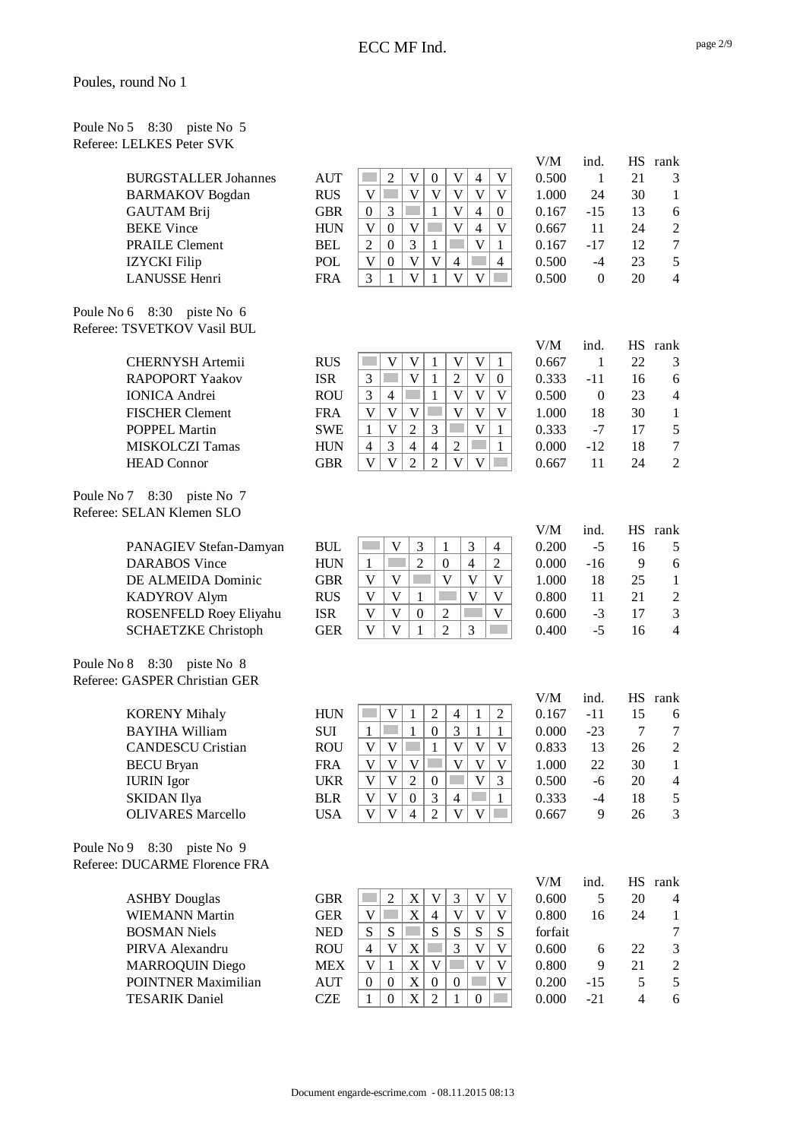| Poule No 5 8:30 piste No 5 |  |  |
|----------------------------|--|--|
| Referee: LELKES Peter SVK  |  |  |

| <b>BURGSTALLER Johannes</b> |
|-----------------------------|
| <b>BARMAKOV</b> Bogdan      |
| <b>GAUTAM Brij</b>          |
| <b>BEKE Vince</b>           |
| <b>PRAILE Clement</b>       |
| <b>IZYCKI</b> Filip         |
| <b>LANUSSE</b> Henri        |

Poule No 6 8:30 piste No 6 Referee: TSVETKOV Vasil BUL

Poule No 7 8:30 piste No 7 Referee: SELAN Klemen SLO

Poule No 8 8:30 piste No 8 Referee: GASPER Christian GER

| KORENY Mihaly            |
|--------------------------|
| <b>BAYIHA William</b>    |
| <b>CANDESCU Cristian</b> |
| BECU Bryan               |
| <b>IURIN</b> Igor        |
| SKIDAN Ilya              |
| <b>OLIVARES Marcello</b> |

Poule No 9 8:30 piste No 9 Referee: DUCARME Florence FRA

|                             |            |  |  |  |   | V/IVI | mu.   |    | тю таши |
|-----------------------------|------------|--|--|--|---|-------|-------|----|---------|
| <b>BURGSTALLER Johannes</b> | <b>AUT</b> |  |  |  |   | 0.500 |       | 21 |         |
| <b>BARMAKOV</b> Bogdan      | <b>RUS</b> |  |  |  |   | 1.000 | 24    | 30 |         |
| <b>GAUTAM Brij</b>          | <b>GBR</b> |  |  |  |   | 0.167 | $-15$ | 13 | 6       |
| <b>BEKE Vince</b>           | <b>HUN</b> |  |  |  |   | 0.667 |       | 24 |         |
| <b>PRAILE Clement</b>       | <b>BEL</b> |  |  |  |   | 0.167 | $-17$ | 12 | 7       |
| <b>IZYCKI</b> Filip         | POL        |  |  |  | 4 | 0.500 | -4    | 23 |         |
| LANUSSE Henri               | <b>FRA</b> |  |  |  |   | 0.500 |       | 20 | 4       |
|                             |            |  |  |  |   |       |       |    |         |

| V/M   | ind.  | <b>HS</b> | rank |
|-------|-------|-----------|------|
| 0.500 | 1     | 21        | 3    |
| 1.000 | 24    | 30        | 1    |
| 0.167 | $-15$ | 13        | 6    |
| 0.667 | 11    | 24        | 2    |
| 0.167 | $-17$ | 12        | 7    |
| 0.500 | $-4$  | 23        | 5    |
| 0.500 | 0     | 20        | 4    |

| <b>CHERNYSH Artemii</b> | <b>RUS</b> |  |  |  |  |
|-------------------------|------------|--|--|--|--|
| <b>RAPOPORT Yaakov</b>  | <b>ISR</b> |  |  |  |  |
| <b>IONICA</b> Andrei    | <b>ROU</b> |  |  |  |  |
| <b>FISCHER Clement</b>  | <b>FRA</b> |  |  |  |  |
| <b>POPPEL Martin</b>    | <b>SWE</b> |  |  |  |  |
| <b>MISKOLCZI Tamas</b>  | <b>HUN</b> |  |  |  |  |
| <b>HEAD</b> Connor      | GBR        |  |  |  |  |
|                         |            |  |  |  |  |

| PANAGIEV Stefan-Damyan     | <b>BUL</b> |  |   |  | 0 |
|----------------------------|------------|--|---|--|---|
| <b>DARABOS</b> Vince       | <b>HUN</b> |  |   |  | 0 |
| DE ALMEIDA Dominic         | GBR        |  |   |  | 1 |
| <b>KADYROV Alym</b>        | <b>RUS</b> |  |   |  | 0 |
| ROSENFELD Roey Eliyahu     | <b>ISR</b> |  | ◠ |  | 0 |
| <b>SCHAETZKE Christoph</b> | GER        |  |   |  | 0 |

|                          |            |  |   |          |   |   | V/M   | ind.  |    | HS rank |
|--------------------------|------------|--|---|----------|---|---|-------|-------|----|---------|
| <b>KORENY Mihaly</b>     | <b>HUN</b> |  |   |          | 4 | 2 | 0.167 | -11   | 15 | 6       |
| BAYIHA William           | <b>SUI</b> |  |   |          |   |   | 0.000 | $-23$ |    |         |
| <b>CANDESCU Cristian</b> | <b>ROU</b> |  |   |          |   |   | 0.833 | 13    | 26 |         |
| <b>BECU Bryan</b>        | <b>FRA</b> |  |   |          |   |   | 1.000 | 22    | 30 |         |
| <b>IURIN</b> Igor        | UKR        |  | ∍ | $\theta$ |   |   | 0.500 | -6    | 20 | 4       |
| SKIDAN Ilya              | <b>BLR</b> |  |   | 2        | 4 |   | 0.333 | -4    | 18 |         |
| <b>OLIVARES Marcello</b> | USA        |  |   |          |   |   | 0.667 | 9     | 26 | 3       |
|                          |            |  |   |          |   |   |       |       |    |         |

|                            |            |   |   |   |   |   |   |   | V/M     | ind.  |    | rank          |
|----------------------------|------------|---|---|---|---|---|---|---|---------|-------|----|---------------|
| <b>ASHBY Douglas</b>       | GBR        |   |   |   |   |   |   |   | 0.600   |       | 20 | 4             |
| <b>WIEMANN Martin</b>      | <b>GER</b> |   |   | X | 4 |   |   |   | 0.800   | 16    | 24 |               |
| <b>BOSMAN Niels</b>        | <b>NED</b> | S | S |   | S | S | S | S | forfait |       |    |               |
| PIRVA Alexandru            | <b>ROU</b> |   | V |   |   | 2 |   |   | 0.600   | 6     | 22 | 3             |
| <b>MARROQUIN Diego</b>     | <b>MEX</b> |   |   |   |   |   |   |   | 0.800   | 9     | 21 | $\mathcal{D}$ |
| <b>POINTNER Maximilian</b> | <b>AUT</b> |   |   |   |   |   |   |   | 0.200   | $-15$ |    |               |
| <b>TESARIK Daniel</b>      | CZE        |   |   |   |   |   |   |   | 0.000   | $-21$ | 4  | 6             |

| 667 | 1     | 22 | 3 |
|-----|-------|----|---|
| 333 | -11   | 16 | 6 |
| 500 | 0     | 23 | 4 |
| 000 | 18    | 30 | 1 |
| 333 | -7    | 17 | 5 |
| 000 | $-12$ | 18 | 7 |
| 667 | 11    | 24 | 2 |
|     |       |    |   |

V/M ind. HS rank

| V/M   | ind. | HS | rank |
|-------|------|----|------|
| 0.200 | -5   | 16 | 5    |
| 0.000 | -16  | 9  | 6    |
| 1.000 | 18   | 25 | 1    |
| 0.800 | 11   | 21 | 2    |
| 0.600 | $-3$ | 17 | 3    |
| 0.400 | $-5$ | 16 | 4    |

| V/M   | ind.  | HS | rank |
|-------|-------|----|------|
| 0.167 | -11   | 15 | 6    |
| 0.000 | $-23$ | 7  | 7    |
| 0.833 | 13    | 26 | 2    |
| 1.000 | 22    | 30 | 1    |
| 0.500 | -6    | 20 | 4    |
| 0.333 | -4    | 18 | 5    |
| 0.667 | 9     | 26 | 3    |

| V/M          | ind.  | <b>HS</b> | rank           |
|--------------|-------|-----------|----------------|
| 0.600        | 5     | 20        | 4              |
| 0.800        | 16    | 24        | 1              |
| forfait      |       |           | 7              |
| 0.600        | 6     | 22        | 3              |
| 0.800        | 9     | 21        | $\mathfrak{D}$ |
| 0.200        | $-15$ | .5        | 5              |
| <u>N V V</u> | -21   | Λ         | ħ              |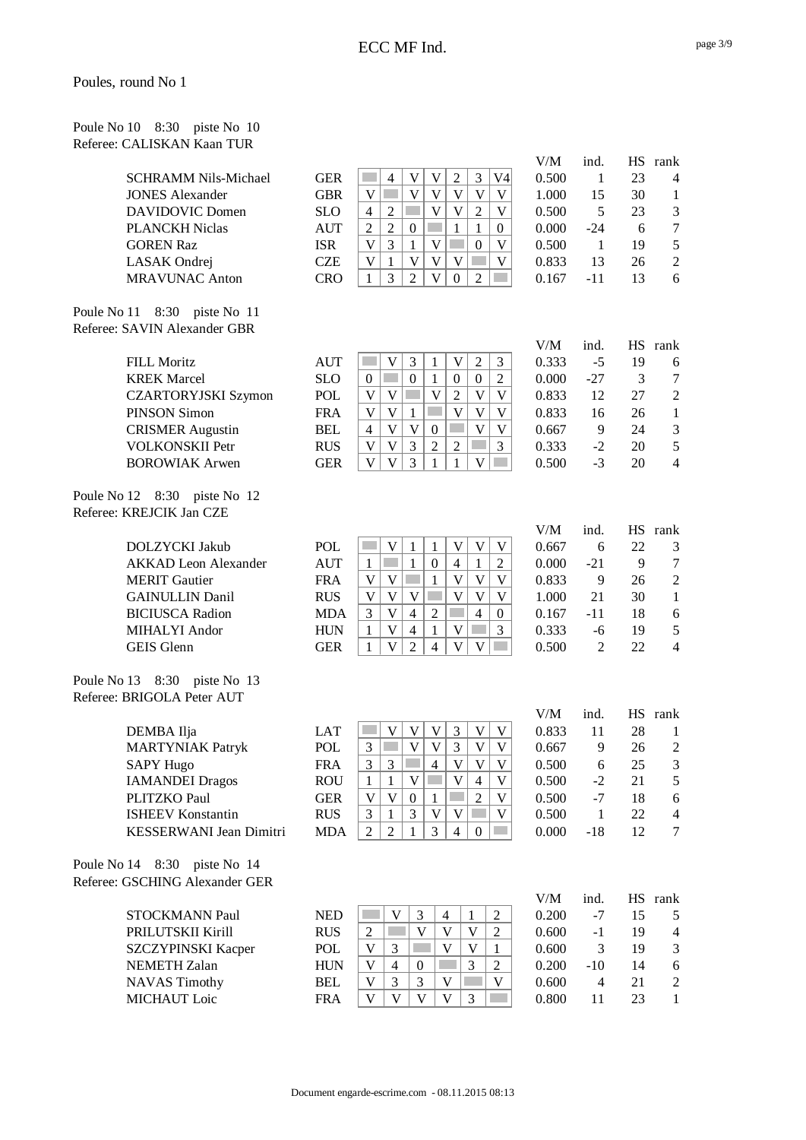| Poule No 10 8:30 piste No 10 |  |  |
|------------------------------|--|--|
| Referee: CALISKAN Kaan TUR   |  |  |

| <b>SCHRAMM Nils-Michael</b> |
|-----------------------------|
| <b>JONES Alexander</b>      |
| DAVIDOVIC Domen             |
| <b>PLANCKH Niclas</b>       |
| <b>GOREN Raz</b>            |
| LASAK Ondrej                |
| <b>MRAVUNAC Anton</b>       |

Poule No 11 8:30 piste No 11 Referee: SAVIN Alexander GBR

| FILL Moritz                |
|----------------------------|
| <b>KREK Marcel</b>         |
| <b>CZARTORYJSKI Szymon</b> |
| PINSON Simon               |
| <b>CRISMER Augustin</b>    |
| <b>VOLKONSKII Petr</b>     |
| <b>BOROWIAK Arwen</b>      |

Poule No 12 8:30 piste No 12 Referee: KREJCIK Jan CZE

Poule No 13 8:30 piste No 13 Referee: BRIGOLA Peter AUT

| DEMBA Ilja               |
|--------------------------|
| <b>MARTYNIAK Patryk</b>  |
| <b>SAPY Hugo</b>         |
| <b>IAMANDEI Dragos</b>   |
| <b>PLITZKO Paul</b>      |
| <b>ISHEEV Konstantin</b> |
| KESSERWANI Jean Dimitri  |

Poule No 14 8:30 piste No 14 Referee: GSCHING Alexander GER

|                        |            |                |   |  |  |    | v / IVI | 1114. | .  | 1 ann |
|------------------------|------------|----------------|---|--|--|----|---------|-------|----|-------|
| SCHRAMM Nils-Michael   | <b>GER</b> |                | 4 |  |  | V4 | 0.500   |       | 23 | Δ     |
| <b>JONES Alexander</b> | GBR        |                |   |  |  |    | 1.000   | 15    | 30 |       |
| DAVIDOVIC Domen        | <b>SLO</b> | $\overline{4}$ |   |  |  |    | 0.500   |       | 23 | 3     |
| PLANCKH Niclas         | <b>AUT</b> |                |   |  |  |    | 0.000   | $-24$ |    |       |
| <b>GOREN Raz</b>       | <b>ISR</b> |                |   |  |  |    | 0.500   |       | 19 |       |
| LASAK Ondrej           | CZE        |                |   |  |  |    | 0.833   | 13    | 26 |       |
| <b>MRAVUNAC Anton</b>  | CRO        |                |   |  |  |    | 0.167   |       |    |       |

| V/M   | ind.  | HS | rank |
|-------|-------|----|------|
| 0.500 | 1     | 23 | 4    |
| 1.000 | 15    | 30 | 1    |
| 0.500 | 5     | 23 | 3    |
| 0.000 | $-24$ | 6  | 7    |
| 0.500 | 1     | 19 | 5    |
| 0.833 | 13    | 26 | 2    |
| 0.167 | -11   | 13 | 6    |

| <b>FILL Moritz</b>         | <b>AUT</b> |   |  |  |  | 0.333 | -5    | 19 |   |
|----------------------------|------------|---|--|--|--|-------|-------|----|---|
| <b>KREK Marcel</b>         | <b>SLO</b> |   |  |  |  | 0.000 | $-27$ |    |   |
| <b>CZARTORYJSKI Szymon</b> | POL        |   |  |  |  | 0.833 | 12    | 27 |   |
| PINSON Simon               | <b>FRA</b> |   |  |  |  | 0.833 | 16    | 26 |   |
| <b>CRISMER Augustin</b>    | <b>BEL</b> | 4 |  |  |  | 0.667 |       | 24 | 3 |
| <b>VOLKONSKII Petr</b>     | <b>RUS</b> |   |  |  |  | 0.333 | $-2$  | 20 | 5 |
| <b>BOROWIAK Arwen</b>      | GER        |   |  |  |  | 0.500 | $-3$  | 20 | 4 |
|                            |            |   |  |  |  |       |       |    |   |

| DOLZYCKI Jakub         | <b>POL</b> |   |   |                   |   |  |
|------------------------|------------|---|---|-------------------|---|--|
| AKKAD Leon Alexander   | <b>AUT</b> |   |   | $\mathbf{\Omega}$ | 4 |  |
| <b>MERIT</b> Gautier   | <b>FRA</b> |   |   |                   |   |  |
| <b>GAINULLIN Danil</b> | <b>RUS</b> |   |   |                   |   |  |
| <b>BICIUSCA Radion</b> | <b>MDA</b> | 3 | 4 | 2                 |   |  |
| MIHALYI Andor          | HUN        |   | 4 |                   |   |  |
| <b>GEIS</b> Glenn      | GER        |   |   |                   |   |  |

|                                |            |  |   |  |  | <b>V/IVI</b> |       |    | 110 IUIIN      |
|--------------------------------|------------|--|---|--|--|--------------|-------|----|----------------|
| DEMBA Ilja                     | <b>LAT</b> |  |   |  |  | 0.833        | 11    | 28 |                |
| <b>MARTYNIAK Patryk</b>        | POL        |  |   |  |  | 0.667        |       | 26 | $\overline{2}$ |
| SAPY Hugo                      | <b>FRA</b> |  | 4 |  |  | 0.500        | 6     | 25 | 3              |
| <b>IAMANDEI Dragos</b>         | <b>ROU</b> |  |   |  |  | 0.500        | $-2$  | 21 |                |
| PLITZKO Paul                   | <b>GER</b> |  |   |  |  | 0.500        | $-7$  | 18 | 6              |
| <b>ISHEEV Konstantin</b>       | <b>RUS</b> |  |   |  |  | 0.500        |       | 22 | 4              |
| <b>KESSERWANI Jean Dimitri</b> | <b>MDA</b> |  |   |  |  | 0.000        | $-18$ | 12 |                |
|                                |            |  |   |  |  |              |       |    |                |

|            |  |   |  | V/IVI | шч.   | пo |
|------------|--|---|--|-------|-------|----|
| <b>NED</b> |  | 4 |  | 0.200 | -7    | 15 |
| <b>RUS</b> |  |   |  | 0.600 | -1    | 19 |
| <b>POL</b> |  |   |  | 0.600 |       | 19 |
| <b>HUN</b> |  |   |  | 0.200 | $-10$ | 14 |
| <b>BEL</b> |  |   |  | 0.600 |       | 21 |
| <b>FRA</b> |  |   |  | 0.800 |       | 23 |
|            |  |   |  |       |       |    |

| V/M   | ind. | <b>HS</b> | rank           |
|-------|------|-----------|----------------|
| 0.333 | $-5$ | 19        | 6              |
| 0.000 | -27  | 3         | 7              |
| 0.833 | 12   | 27        | $\mathfrak{D}$ |
| 0.833 | 16   | 26        | 1              |
| 0.667 | 9    | 24        | 3              |
| 0.333 | $-2$ | 20        | 5              |
| 0.500 | $-3$ | 20        | 4              |

| V/M   | ind.           | HS | rank |
|-------|----------------|----|------|
| 0.667 | 6              | 22 | 3    |
| 0.000 | $-21$          | 9  | 7    |
| 0.833 | 9              | 26 | 2    |
| 1.000 | 21             | 30 | 1    |
| 0.167 | -11            | 18 | 6    |
| 0.333 | -6             | 19 | 5    |
| 0.500 | $\mathfrak{D}$ | 22 | 4    |
|       |                |    |      |

| V/M   | ind.  | HS | rank |
|-------|-------|----|------|
| 0.833 | 11    | 28 | 1    |
| 0.667 | 9     | 26 | 2    |
| 0.500 | 6     | 25 | 3    |
| 0.500 | $-2$  | 21 | 5    |
| 0.500 | $-7$  | 18 | 6    |
| 0.500 | 1     | 22 | 4    |
| 0.000 | $-18$ | 12 | 7    |

| V/M   | ind.  | <b>HS</b> | rank |
|-------|-------|-----------|------|
| 0.200 | -7    | 15        | 5    |
| 0.600 | -1    | 19        | 4    |
| 0.600 | 3     | 19        | 3    |
| 0.200 | $-10$ | 14        | 6    |
| 0.600 | 4     | 21        | 2    |
| 0.800 | 11    | つく        | 1    |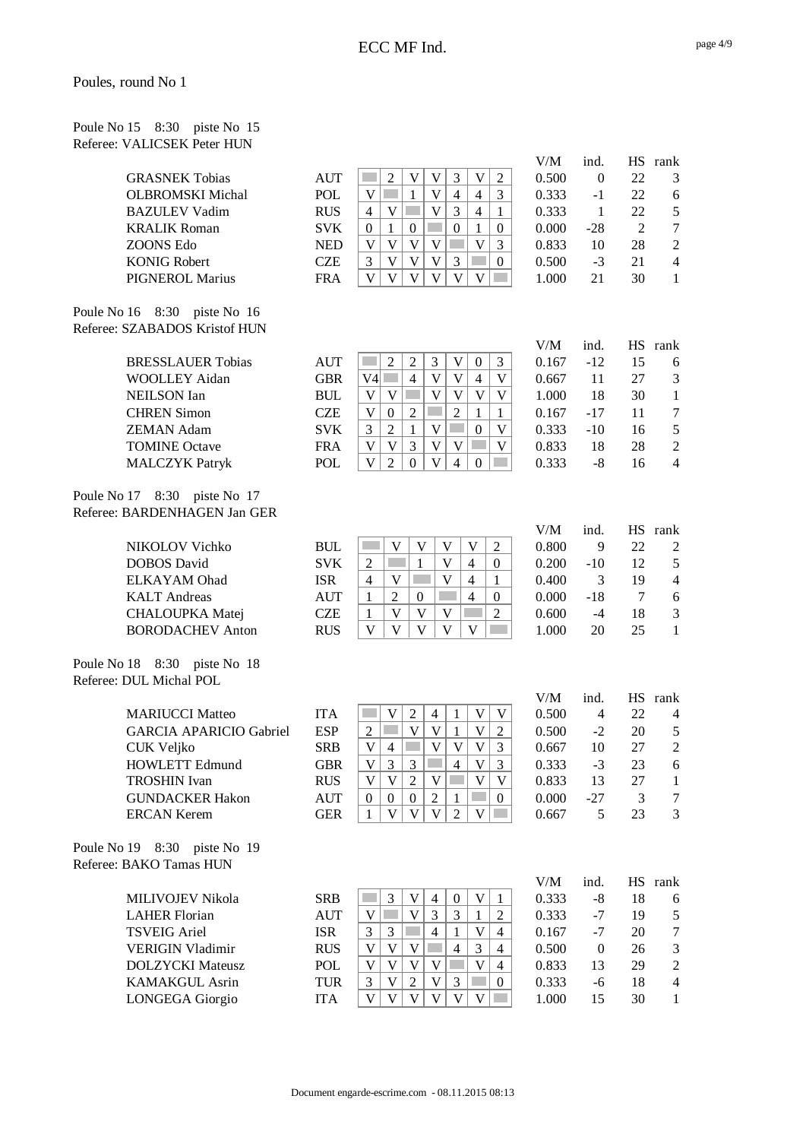Poule No 15 8:30 piste No 15 Referee: VALICSEK Peter HUN

| <b>GRASNEK Tobias</b>   |
|-------------------------|
| <b>OLBROMSKI Michal</b> |
| <b>BAZULEV Vadim</b>    |
| <b>KRALIK Roman</b>     |
| ZOONS Edo               |
| <b>KONIG Robert</b>     |
| <b>PIGNEROL Marius</b>  |
|                         |

Poule No 16 8:30 piste No 16 Referee: SZABADOS Kristof HUN

| <b>BRESSLAUER Tobias</b> |
|--------------------------|
| WOOLLEY Aidan            |
| <b>NEILSON</b> Ian       |
| <b>CHREN Simon</b>       |
| <b>ZEMAN Adam</b>        |
| <b>TOMINE Octave</b>     |
| <b>MALCZYK Patryk</b>    |

Poule No 17 8:30 piste No 17 Referee: BARDENHAGEN Jan GER

| NIKOLOV Vichko          |
|-------------------------|
| <b>DOBOS</b> David      |
| <b>ELKAYAM</b> Ohad     |
| <b>KALT</b> Andreas     |
| <b>CHALOUPKA</b> Matej  |
| <b>BORODACHEV Anton</b> |
|                         |

Poule No 18 8:30 piste No 18 Referee: DUL Michal POL

| MARIUCCI Matteo                |  |
|--------------------------------|--|
| <b>GARCIA APARICIO Gabriel</b> |  |
| CUK Veljko                     |  |
| <b>HOWLETT Edmund</b>          |  |
| <b>TROSHIN Ivan</b>            |  |
| <b>GUNDACKER Hakon</b>         |  |
| $\mathsf{ERCAN}$ Kerem         |  |

Poule No 19 8:30 piste No 19 Referee: BAKO Tamas HUN

|                       |            |   |  |  |  | <b>V/1VI</b> |       | .  | 1. und                  |
|-----------------------|------------|---|--|--|--|--------------|-------|----|-------------------------|
| <b>GRASNEK Tobias</b> | <b>AUT</b> |   |  |  |  | 0.500        |       | 22 | $\mathbf{\overline{3}}$ |
| OLBROMSKI Michal      | POL        |   |  |  |  | 0.333        | -1    | 22 | 6                       |
| <b>BAZULEV Vadim</b>  | <b>RUS</b> | 4 |  |  |  | 0.333        |       | 22 | 5                       |
| KRALIK Roman          | <b>SVK</b> |   |  |  |  | 0.000        | $-28$ |    | 7                       |
| ZOONS Edo             | <b>NED</b> |   |  |  |  | 0.833        | 10    | 28 | $\mathcal{D}$           |
| <b>KONIG Robert</b>   | CZE        |   |  |  |  | 0.500        | -3    | 21 | $\Lambda$               |
| PIGNEROL Marius       | FRA        |   |  |  |  | 1.000        |       | 30 |                         |

| V/M   | ind.  | HS. | rank |
|-------|-------|-----|------|
| 0.500 | 0     | 22  | 3    |
| 0.333 | -1    | 22  | 6    |
| 0.333 | 1     | 22  | 5    |
| 0.000 | $-28$ | 2   | 7    |
| 0.833 | 10    | 28  | 2    |
| 0.500 | $-3$  | 21  | 4    |
| 1.000 | 21    | 30  | 1    |
|       |       |     |      |

|                          |            |  |   |  |  | V/IVI | mu.   |    | ію і апл       |
|--------------------------|------------|--|---|--|--|-------|-------|----|----------------|
| <b>BRESSLAUER Tobias</b> | <b>AUT</b> |  |   |  |  | 0.167 | $-12$ |    | 6              |
| WOOLLEY Aidan            | <b>GBR</b> |  | 4 |  |  | 0.667 |       | 27 | 3              |
| <b>NEILSON Ian</b>       | BUL        |  |   |  |  | 1.000 | 18    | 30 |                |
| <b>CHREN Simon</b>       | <b>CZE</b> |  |   |  |  | 0.167 | $-17$ |    | 7              |
| <b>ZEMAN Adam</b>        | <b>SVK</b> |  |   |  |  | 0.333 | $-10$ | 16 |                |
| <b>TOMINE Octave</b>     | <b>FRA</b> |  |   |  |  | 0.833 | 18    | 28 | $\overline{2}$ |
| <b>MALCZYK Patryk</b>    | POL        |  |   |  |  | 0.333 | -8    | 16 | $\overline{4}$ |

|                         |            |  |  |   |   | v / IVI | $\cdots$ |    | ію ішп |
|-------------------------|------------|--|--|---|---|---------|----------|----|--------|
| NIKOLOV Vichko          | <b>BUL</b> |  |  |   |   | 0.800   |          | 22 |        |
| DOBOS David             | <b>SVK</b> |  |  |   | 0 | 0.200   | $-10$    | 12 |        |
| ELKAYAM Ohad            | <b>ISR</b> |  |  |   |   | 0.400   |          | 19 | Δ      |
| <b>KALT</b> Andreas     | AUT        |  |  | 4 |   | 0.000   | -18      |    |        |
| <b>CHALOUPKA Matej</b>  | <b>CZE</b> |  |  |   |   | 0.600   | -4       | 18 | 3      |
| <b>BORODACHEV Anton</b> | <b>RUS</b> |  |  |   |   | 1.000   | 20       | 25 |        |

|                                |            |  |  |   |  | V/M   | 1nd.  | НS | rank |
|--------------------------------|------------|--|--|---|--|-------|-------|----|------|
| <b>MARIUCCI Matteo</b>         | <b>ITA</b> |  |  |   |  | 0.500 | 4     | 22 | 4    |
| <b>GARCIA APARICIO Gabriel</b> | <b>ESP</b> |  |  |   |  | 0.500 | $-2$  | 20 |      |
| CUK Veljko                     | <b>SRB</b> |  |  |   |  | 0.667 | 10    | 27 |      |
| <b>HOWLETT Edmund</b>          | GBR        |  |  | 4 |  | 0.333 | $-3$  | 23 | 6    |
| <b>TROSHIN</b> Ivan            | <b>RUS</b> |  |  |   |  | 0.833 | 13    | 27 |      |
| <b>GUNDACKER Hakon</b>         | <b>AUT</b> |  |  |   |  | 0.000 | $-27$ |    | 7    |
| <b>ERCAN Kerem</b>             | GER        |  |  |   |  | 0.667 |       | フ3 | 3    |
|                                |            |  |  |   |  |       |       |    |      |

|                         |            |   |  |   |   |  | V/M   | ind.     |    | rank |
|-------------------------|------------|---|--|---|---|--|-------|----------|----|------|
| <b>MILIVOJEV Nikola</b> | <b>SRB</b> |   |  | 4 |   |  | 0.333 | -8       | 18 | 6    |
| <b>LAHER Florian</b>    | <b>AUT</b> |   |  |   |   |  | 0.333 | -7       | 19 |      |
| <b>TSVEIG Ariel</b>     | <b>ISR</b> | 3 |  | 4 |   |  | 0.167 | -7       | 20 | 7    |
| <b>VERIGIN Vladimir</b> | <b>RUS</b> |   |  |   | 4 |  | 0.500 | $\theta$ | 26 |      |
| <b>DOLZYCKI</b> Mateusz | <b>POL</b> |   |  |   |   |  | 0.833 | 13       | 29 |      |
| <b>KAMAKGUL Asrin</b>   | TUR        |   |  |   |   |  | 0.333 | -6       | 18 |      |
| LONGEGA Giorgio         | ITA        |   |  |   |   |  | 1.000 |          | 30 |      |

| v.vvv | −∠∧  | ∠  |      |
|-------|------|----|------|
| 0.833 | 10   | 28 | 2    |
| 0.500 | $-3$ | 21 | 4    |
| 1.000 | 21   | 30 | 1    |
|       |      |    |      |
|       |      |    |      |
|       |      |    |      |
| V/M   | ind. | HS | rank |
| 0.167 | -12  | 15 | 6    |
| 0.667 | 11   | 27 | 3    |
|       |      |    |      |

| -12   | 15 | 6 |
|-------|----|---|
| 11    | 27 | 3 |
| 18    | 30 | 1 |
| $-17$ | 11 | 7 |
| $-10$ | 16 | 5 |
| 18    | 28 | 2 |
| -8    | 16 | 4 |
|       |    |   |

| V/M   | ind.  | HS | rank |
|-------|-------|----|------|
| 0.800 | 9     | 22 | 2    |
| 0.200 | $-10$ | 12 | 5    |
| 0.400 | 3     | 19 | 4    |
| 0.000 | $-18$ | 7  | 6    |
| 0.600 | $-4$  | 18 | 3    |
| 1.000 | 20    | 25 | 1    |

| V/M   | ind. | HS | rank |
|-------|------|----|------|
| 0.500 | 4    | 22 | 4    |
| 0.500 | $-2$ | 20 | 5    |
| 0.667 | 10   | 27 | 2    |
| 0.333 | $-3$ | 23 | 6    |
| 0.833 | 13   | 27 | 1    |
| 0.000 | -27  | 3  | 7    |
| 0.667 | 5    | 23 | 3    |

| V/M   | ind. | HS | rank |
|-------|------|----|------|
| 0.333 | -8   | 18 | 6    |
| 0.333 | $-7$ | 19 | 5    |
| 0.167 | -7   | 20 | 7    |
| 0.500 | 0    | 26 | 3    |
| 0.833 | 13   | 29 | 2    |
| 0.333 | -6   | 18 | 4    |
| 1.000 | 15   | 30 | 1    |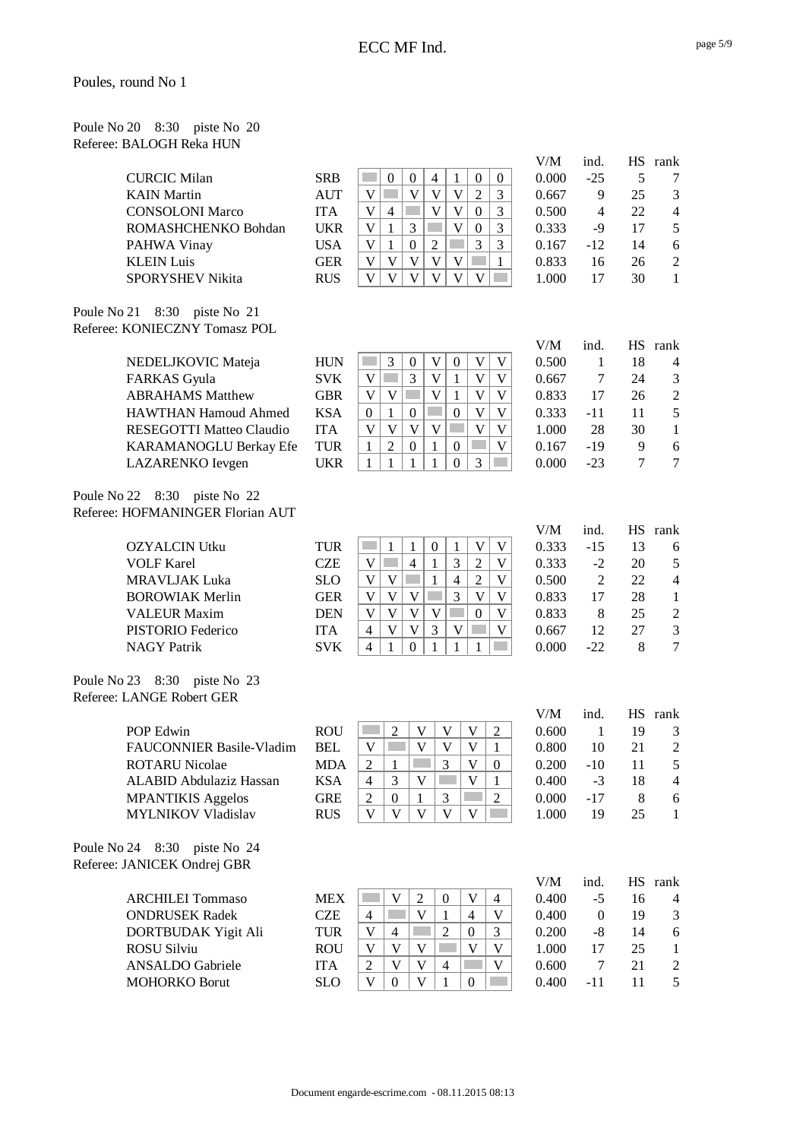| Poule No 20 8:30 piste No 20 |  |  |
|------------------------------|--|--|
| Referee: BALOGH Reka HUN     |  |  |

| <b>CURCIC Milan</b>     | <b>SRB</b> |  |  |  |              | 0.000 | $-25$ |    |   |
|-------------------------|------------|--|--|--|--------------|-------|-------|----|---|
| <b>KAIN</b> Martin      | <b>AUT</b> |  |  |  |              | 0.667 |       | 25 |   |
| <b>CONSOLONI Marco</b>  | <b>ITA</b> |  |  |  |              | 0.500 |       | 22 | Δ |
| ROMASHCHENKO Bohdan     | UKR        |  |  |  | $\mathbf{c}$ | 0.333 | -9    |    |   |
| PAHWA Vinay             | USA        |  |  |  | 2            | 0.167 | $-12$ | 14 | 6 |
| <b>KLEIN Luis</b>       | <b>GER</b> |  |  |  |              | 0.833 | 16    | 26 |   |
| <b>SPORYSHEV Nikita</b> | <b>RUS</b> |  |  |  |              | 1.000 |       | 30 |   |

Poule No 21 8:30 piste No 21 Referee: KONIECZNY Tomasz POL

Poule No 22 8:30 piste No 22 Referee: HOFMANINGER Florian AUT

Poule No 23 8:30 piste No 23 Referee: LANGE Robert GER

| <b>POP Edwin</b>          |  |
|---------------------------|--|
| FAUCONNIER Basile-Vladim  |  |
| <b>ROTARU Nicolae</b>     |  |
| ALABID Abdulaziz Hassan   |  |
| <b>MPANTIKIS Aggelos</b>  |  |
| <b>MYLNIKOV Vladislav</b> |  |

Poule No 24 8:30 piste No 24 Referee: JANICEK Ondrej GBR

| RB        |    | $\Omega$ | 0        | 4              |    | 0        | $\Omega$ |
|-----------|----|----------|----------|----------------|----|----------|----------|
| <b>UT</b> | V  |          | V        | V              | V  | 2        | 3        |
| ГA        | J) |          |          | V              | V  | $\Omega$ | 3        |
| JKR       | V  |          | 3        |                | V  | $\Omega$ | 3        |
| JSA       | V  |          | $\theta$ | $\overline{c}$ |    | 3        | 3        |
| ïЕR       | V  | V)       | V        | V              | V) |          |          |
| <b>US</b> | ۲J |          | 17       | 17             |    |          |          |

| 0              | 0 | 0.000 | $-25$ |                |
|----------------|---|-------|-------|----------------|
| $\overline{c}$ | 3 | 0.667 | 9     | 25             |
| 0              | 3 | 0.500 | 4     | $2^{\prime}$   |
| 0              | 3 | 0.333 | $-9$  | $1^\circ$      |
| 3              | 3 | 0.167 | $-12$ | 14             |
|                |   | 0.833 | 16    | 26             |
|                |   | 1.000 | 17    | 3 <sup>0</sup> |
|                |   |       |       |                |
|                |   |       |       |                |

| NEDELJKOVIC Mateja          | <b>HUN</b> |  |                   |  |  | $\Omega$ |
|-----------------------------|------------|--|-------------------|--|--|----------|
| <b>FARKAS</b> Gyula         | <b>SVK</b> |  |                   |  |  | $\Omega$ |
| <b>ABRAHAMS Matthew</b>     | <b>GBR</b> |  |                   |  |  | $\Omega$ |
| <b>HAWTHAN Hamoud Ahmed</b> | <b>KSA</b> |  | $\mathbf{\Omega}$ |  |  | $\Omega$ |
| RESEGOTTI Matteo Claudio    | <b>ITA</b> |  |                   |  |  |          |
| KARAMANOGLU Berkay Efe      | <b>TUR</b> |  |                   |  |  | $\Omega$ |
| LAZARENKO Ievgen            | UKR        |  |                   |  |  | $\Omega$ |
|                             |            |  |                   |  |  |          |

| V/M   | ind.  | <b>HS</b> | rank |
|-------|-------|-----------|------|
| 0.500 | 1     | 18        | 4    |
| 0.667 | 7     | 24        | 3    |
| 0.833 | 17    | 26        | 2    |
| 0.333 | -11   | 11        | 5    |
| 1.000 | 28    | 30        | 1    |
| 0.167 | $-19$ | 9         | 6    |
| 0.000 | $-23$ | 7         | 7    |
|       |       |           |      |

V/M ind. HS rank

| <b>OZYALCIN</b> Utku   | <b>TUR</b> |   |  |  |  | 0 |
|------------------------|------------|---|--|--|--|---|
| <b>VOLF Karel</b>      | CZE        |   |  |  |  | 0 |
| <b>MRAVLJAK Luka</b>   | <b>SLO</b> |   |  |  |  | 0 |
| <b>BOROWIAK Merlin</b> | <b>GER</b> |   |  |  |  | 0 |
| <b>VALEUR Maxim</b>    | <b>DEN</b> |   |  |  |  | 0 |
| PISTORIO Federico      | ITA        | 4 |  |  |  | 0 |
| <b>NAGY Patrik</b>     | <b>SVK</b> |   |  |  |  |   |

| POP Edwin                | <b>ROU</b> |   |  |  |  | 0.600 |       | 19 | 3 |
|--------------------------|------------|---|--|--|--|-------|-------|----|---|
| FAUCONNIER Basile-Vladim | BEL        |   |  |  |  | 0.800 | 10    | 21 |   |
| ROTARU Nicolae           | <b>MDA</b> |   |  |  |  | 0.200 | $-10$ |    |   |
| ALABID Abdulaziz Hassan  | <b>KSA</b> | 4 |  |  |  | 0.400 | $-3$  | 18 | Л |
| <b>MPANTIKIS Aggelos</b> | <b>GRE</b> |   |  |  |  | 0.000 | $-17$ |    | 6 |
| MYLNIKOV Vladislav       | <b>RUS</b> |   |  |  |  | 1.000 | 19    | 25 |   |
|                          |            |   |  |  |  |       |       |    |   |

| <b>MEX</b> |  |  |  | $\Omega$ |
|------------|--|--|--|----------|
| <b>CZE</b> |  |  |  | $\Omega$ |
| <b>TUR</b> |  |  |  | $\Omega$ |
| <b>ROU</b> |  |  |  |          |
| <b>ITA</b> |  |  |  | $\Omega$ |
| SLO        |  |  |  | $\Omega$ |
|            |  |  |  |          |

| V/M   | ind.           | HS | rank |
|-------|----------------|----|------|
| 0.333 | -15            | 13 | 6    |
| 0.333 | $-2$           | 20 | 5    |
| 0.500 | $\mathfrak{D}$ | 22 | 4    |
| 0.833 | 17             | 28 | 1    |
| 0.833 | 8              | 25 | 2    |
| 0.667 | 12             | 27 | 3    |
| 0.000 | $-22$          | 8  | 7    |

| V/M   | ind.  | HS | rank |
|-------|-------|----|------|
| 0.600 | 1     | 19 | 3    |
| 0.800 | 10    | 21 | 2    |
| 0.200 | $-10$ | 11 | 5    |
| 0.400 | $-3$  | 18 | 4    |
| 0.000 | -17   | 8  | 6    |
| 1.000 | 19    | 25 | 1    |

| V/M   | ind. | HS. | rank |
|-------|------|-----|------|
| 0.400 | $-5$ | 16  | 4    |
| 0.400 | 0    | 19  | 3    |
| 0.200 | -8   | 14  | 6    |
| 1.000 | 17   | 25  | 1    |
| 0.600 | 7    | 21  | 2    |
| 0.400 | -11  | 11  | 5    |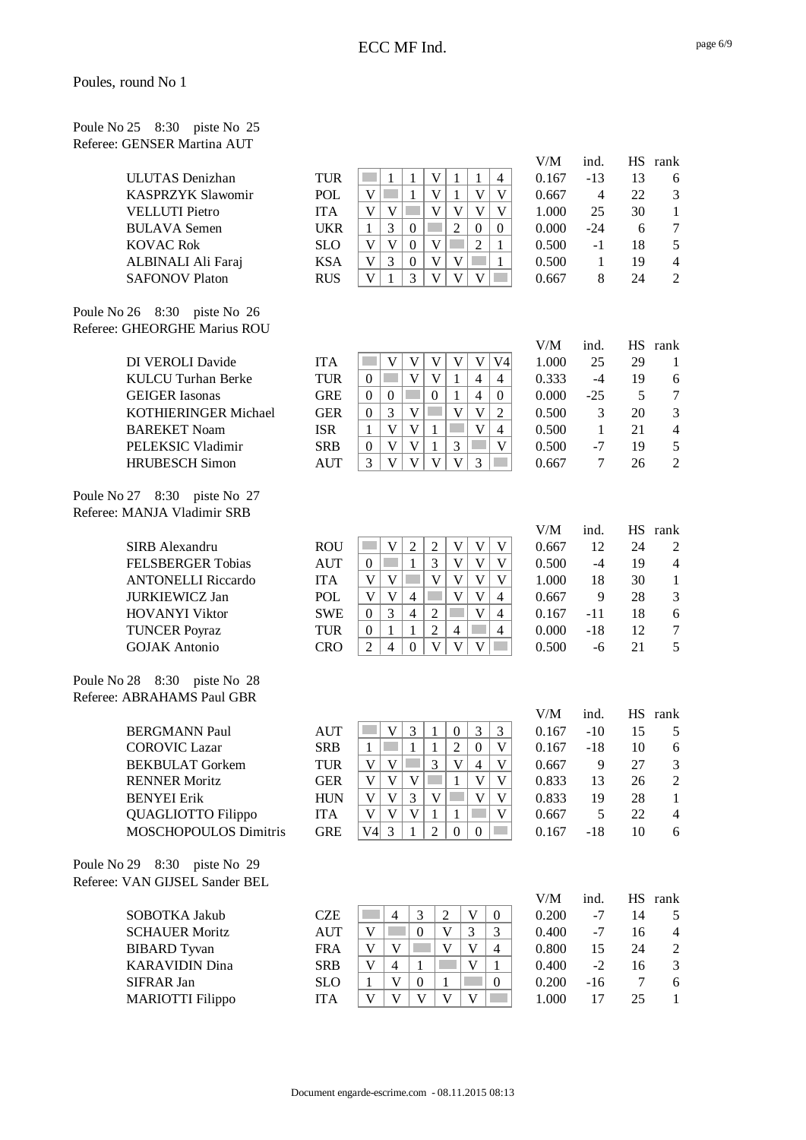Poule No 25 8:30 piste No 25 Referee: GENSER Martina AUT

| ULUTAS Denizhan          |
|--------------------------|
| <b>KASPRZYK Slawomir</b> |
| <b>VELLUTI</b> Pietro    |
| <b>BULAVA Semen</b>      |
| <b>KOVAC Rok</b>         |
| ALBINALI Ali Faraj       |
| <b>SAFONOV Platon</b>    |

Poule No 26 8:30 piste No 26 Referee: GHEORGHE Marius ROU

Poule No 27 8:30 piste No 27 Referee: MANJA Vladimir SRB

Poule No 28 8:30 piste No 28 Referee: ABRAHAMS Paul GBR

Poule No 29 8:30 piste No 29 Referee: VAN GIJSEL Sander BEL

|                          |            |  |  |  |                | v / IVI | 1114. |    | TID TAIIN      |
|--------------------------|------------|--|--|--|----------------|---------|-------|----|----------------|
| ULUTAS Denizhan          | <b>TUR</b> |  |  |  | $\overline{4}$ | 0.167   | $-13$ |    | 6              |
| <b>KASPRZYK Slawomir</b> | <b>POL</b> |  |  |  |                | 0.667   | 4     | 22 | 3              |
| <b>VELLUTI Pietro</b>    | <b>ITA</b> |  |  |  |                | 1.000   | 25    | 30 |                |
| <b>BULAVA Semen</b>      | UKR        |  |  |  |                | 0.000   | $-24$ |    |                |
| <b>KOVAC Rok</b>         | <b>SLO</b> |  |  |  |                | 0.500   | $-1$  | 18 | 5              |
| ALBINALI Ali Faraj       | <b>KSA</b> |  |  |  |                | 0.500   |       | 19 | $\overline{4}$ |
| <b>SAFONOV Platon</b>    | <b>RUS</b> |  |  |  |                | 0.667   |       | 24 |                |

| DI VEROLI Davide            | <b>ITA</b> |  |  |   |   |
|-----------------------------|------------|--|--|---|---|
| <b>KULCU</b> Turhan Berke   | <b>TUR</b> |  |  | 4 | 4 |
| <b>GEIGER</b> Iasonas       | <b>GRE</b> |  |  |   |   |
| <b>KOTHIERINGER Michael</b> | <b>GER</b> |  |  |   |   |
| <b>BAREKET Noam</b>         | <b>ISR</b> |  |  |   |   |
| PELEKSIC Vladimir           | <b>SRB</b> |  |  |   |   |
| <b>HRUBESCH Simon</b>       | <b>AUT</b> |  |  |   |   |
|                             |            |  |  |   |   |

| <b>ROU</b> |   |   |   |  | 0 |
|------------|---|---|---|--|---|
| <b>AUT</b> |   |   |   |  | 0 |
| <b>ITA</b> |   |   |   |  | 1 |
| <b>POL</b> |   | 4 |   |  | 0 |
| <b>SWE</b> |   | 4 |   |  | 0 |
| <b>TUR</b> |   |   | 4 |  | 0 |
| ≅R∩        | Δ |   |   |  | 0 |
|            |   |   |   |  |   |

| <b>BERGMANN Paul</b>         | <b>AUT</b> |  |  |  | $\Omega$ |
|------------------------------|------------|--|--|--|----------|
| <b>COROVIC Lazar</b>         | <b>SRB</b> |  |  |  | $\Omega$ |
| <b>BEKBULAT</b> Gorkem       | <b>TUR</b> |  |  |  | $\Omega$ |
| <b>RENNER Moritz</b>         | <b>GER</b> |  |  |  | $\Omega$ |
| <b>BENYEI</b> Erik           | <b>HUN</b> |  |  |  | $\Omega$ |
| QUAGLIOTTO Filippo           | <b>ITA</b> |  |  |  | $\Omega$ |
| <b>MOSCHOPOULOS Dimitris</b> | <b>GRE</b> |  |  |  | $\Omega$ |
|                              |            |  |  |  |          |

|                         |            |  |  |  | V/IVI | 1114. | 1 I.J |
|-------------------------|------------|--|--|--|-------|-------|-------|
| <b>SOBOTKA Jakub</b>    | <b>CZE</b> |  |  |  | 0.200 | -7    | 14    |
| <b>SCHAUER Moritz</b>   | <b>AUT</b> |  |  |  | 0.400 | -7    | 16    |
| <b>BIBARD</b> Tyvan     | <b>FRA</b> |  |  |  | 0.800 |       | 24    |
| <b>KARAVIDIN Dina</b>   | <b>SRB</b> |  |  |  | 0.400 | $-2$  | 16    |
| <b>SIFRAR Jan</b>       | <b>SLO</b> |  |  |  | 0.200 | $-16$ | 7     |
| <b>MARIOTTI Filippo</b> | ITA        |  |  |  |       |       | 25    |

| V/M   | ind.         | <b>HS</b> | rank           |
|-------|--------------|-----------|----------------|
| 0.167 | $-13$        | 13        | 6              |
| 0.667 | 4            | 22        | 3              |
| 1.000 | 25           | 30        | 1              |
| 0.000 | -24          | 6         | 7              |
| 0.500 | $-1$         | 18        | 5              |
| 0.500 | $\mathbf{1}$ | 19        | 4              |
| 0.667 | 8            | 24        | $\overline{c}$ |
|       |              |           |                |

| ind.  | <b>HS</b> | rank           |
|-------|-----------|----------------|
| 25    | 29        | 1              |
| -4    | 19        | 6              |
| $-25$ | .5        | 7              |
| 3     | 20        | 3              |
| 1     | 21        | 4              |
| -7    | 19        | 5              |
| 7     | 26        | $\overline{c}$ |
|       |           |                |

| V/M   | ind.  | HS | rank |
|-------|-------|----|------|
| 0.667 | 12    | 24 | 2    |
| 0.500 | $-4$  | 19 | 4    |
| 1.000 | 18    | 30 | 1    |
| 0.667 | 9     | 28 | 3    |
| 0.167 | -11   | 18 | 6    |
| 0.000 | $-18$ | 12 | 7    |
| 0.500 | -6    | 21 | 5    |
|       |       |    |      |

| V/M   | ind.  | HS | rank |
|-------|-------|----|------|
| 0.167 | $-10$ | 15 | 5    |
| 0.167 | $-18$ | 10 | 6    |
| 0.667 | 9     | 27 | 3    |
| 0.833 | 13    | 26 | 2    |
| 0.833 | 19    | 28 | 1    |
| 0.667 | 5     | 22 | 4    |
| 0.167 | $-18$ | 10 | 6    |
|       |       |    |      |

| V/M   | ind. | <b>HS</b> | rank |
|-------|------|-----------|------|
| 0.200 | -7   | 14        | 5    |
| 0.400 | $-7$ | 16        | 4    |
| 0.800 | 15   | 24        | 2    |
| 0.400 | $-2$ | 16        | 3    |
| 0.200 | -16  | 7         | 6    |
| 1.000 | 17   | 25        | 1    |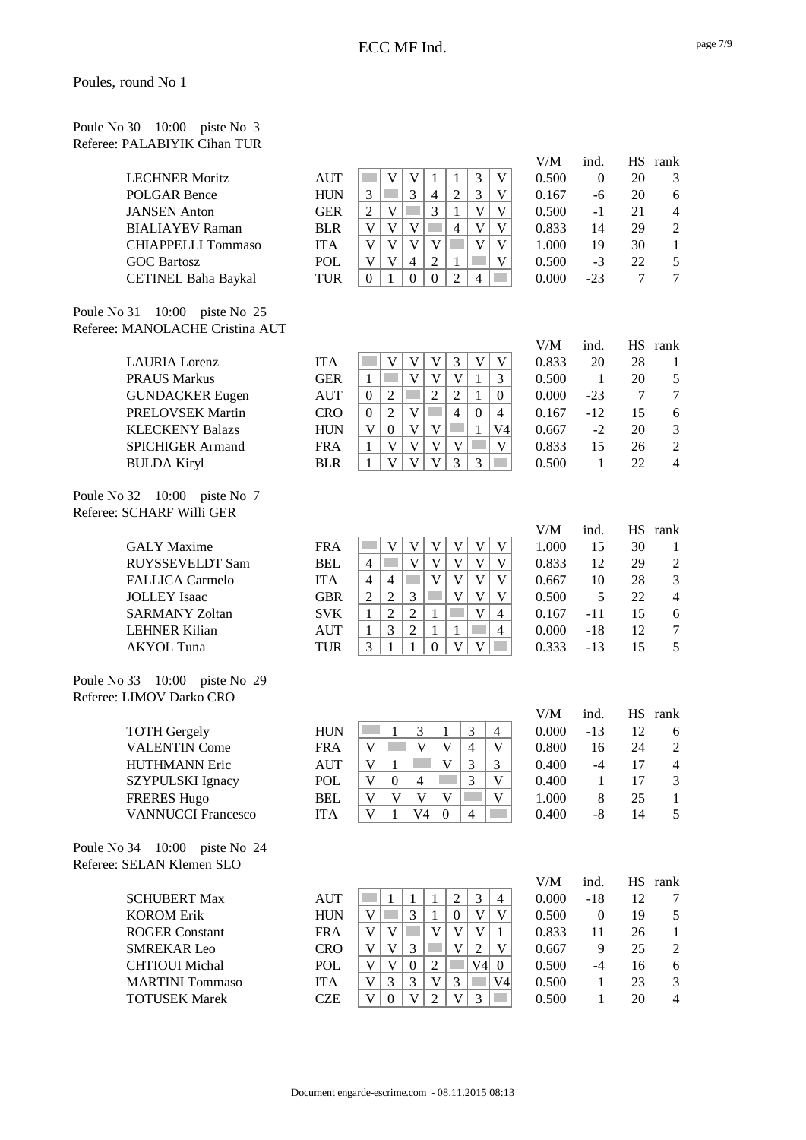| Poule No 30 10:00 piste No 3 |  |  |
|------------------------------|--|--|
| Referee: PALABIYIK Cihan TUR |  |  |

| <b>LECHNER Moritz</b>      |
|----------------------------|
| POLGAR Bence               |
| <b>JANSEN</b> Anton        |
| <b>BIALIAYEV Raman</b>     |
| <b>CHIAPPELLI Tommaso</b>  |
| <b>GOC Bartosz</b>         |
| <b>CETINEL Baha Baykal</b> |

Poule No 31 10:00 piste No 25 Referee: MANOLACHE Cristina AUT

BULDA Kiryl BLR  $\left| \begin{array}{c|c|c|c} 1 & v & v & 3 & 3 & \cdots \end{array} \right|$  0.

Poule No 32 10:00 piste No 7 Referee: SCHARF Willi GER

Poule No 33 10:00 piste No 29 Referee: LIMOV Darko CRO

| <b>TOTH Gergely</b>       |
|---------------------------|
| <b>VALENTIN Come</b>      |
| HUTHMANN Eric             |
| SZYPULSKI Ignacy          |
| <b>FRERES Hugo</b>        |
| <b>VANNUCCI Francesco</b> |

Poule No 34 10:00 piste No 24 Referee: SELAN Klemen SLO

|                           |            |  |   |  | V/IVI | шч.   |    | пэ ташк |
|---------------------------|------------|--|---|--|-------|-------|----|---------|
| <b>LECHNER Moritz</b>     | <b>AUT</b> |  |   |  | 0.500 |       | 20 | 3       |
| POLGAR Bence              | <b>HUN</b> |  | 4 |  | 0.167 | -6    | 20 | 6       |
| <b>JANSEN</b> Anton       | GER        |  |   |  | 0.500 | -1    | 21 | Δ       |
| <b>BIALIAYEV Raman</b>    | <b>BLR</b> |  |   |  | 0.833 | 14    | 29 |         |
| <b>CHIAPPELLI Tommaso</b> | <b>ITA</b> |  |   |  | 1.000 | 19    | 30 |         |
| <b>GOC Bartosz</b>        | POL        |  |   |  | 0.500 | -3    | 22 | 5       |
| CETINEL Baha Baykal       | TUR        |  |   |  | 0.000 | $-23$ |    |         |

| $51 - 10.00 - 100010 = 20$<br><b>MANOLACHE Cristina AUT</b> |            |   |                             |    |                             |   |   |  |
|-------------------------------------------------------------|------------|---|-----------------------------|----|-----------------------------|---|---|--|
| <b>LAURIA</b> Lorenz                                        | <b>ITA</b> |   |                             |    |                             |   |   |  |
| <b>PRAUS Markus</b>                                         | <b>GER</b> |   |                             |    |                             |   |   |  |
| <b>GUNDACKER Eugen</b>                                      | <b>AUT</b> | 0 | $\mathcal{D}_{\mathcal{L}}$ |    | $\mathcal{D}_{\mathcal{L}}$ |   |   |  |
| PRELOVSEK Martin                                            | <b>CRO</b> |   |                             |    |                             |   |   |  |
| <b>KLECKENY Balazs</b>                                      | <b>HUN</b> |   |                             |    |                             |   |   |  |
| <b>SPICHIGER Armand</b>                                     | FR A       |   |                             |    |                             |   |   |  |
| $DTH$ $D \land H'$                                          | ח זח       |   | T T                         | 17 | τT                          | っ | ⌒ |  |

| <b>GALY Maxime</b>     | <b>FRA</b> |   |   |  |  |   |
|------------------------|------------|---|---|--|--|---|
| <b>RUYSSEVELDT Sam</b> | <b>BEL</b> | 4 |   |  |  | 0 |
| <b>FALLICA Carmelo</b> | <b>ITA</b> | 4 | 4 |  |  | 0 |
| <b>JOLLEY</b> Isaac    | <b>GBR</b> |   |   |  |  | 0 |
| <b>SARMANY Zoltan</b>  | <b>SVK</b> |   |   |  |  | 0 |
| <b>LEHNER Kilian</b>   | <b>AUT</b> |   |   |  |  | 0 |
| AKYOL Tuna             | <b>TUR</b> |   |   |  |  |   |
|                        |            |   |   |  |  |   |

|                           |            |  |    |   |   | <b>. .</b> . |       |    | in iain                 |
|---------------------------|------------|--|----|---|---|--------------|-------|----|-------------------------|
| <b>TOTH Gergely</b>       | <b>HUN</b> |  | ⌒  |   | 4 | 0.000        | $-13$ |    |                         |
| <b>VALENTIN Come</b>      | FRA        |  |    |   |   | 0.800        | 16    | 24 |                         |
| HUTHMANN Eric             | AUT        |  |    |   |   | 0.400        | -4    |    | Δ                       |
| <b>SZYPULSKI Ignacy</b>   | POL        |  | 4  |   |   | 0.400        |       |    | $\mathbf{\overline{3}}$ |
| <b>FRERES Hugo</b>        | <b>BEL</b> |  |    |   |   | 1.000        | 8     | 25 |                         |
| <b>VANNUCCI Francesco</b> | <b>ITA</b> |  | V4 | 4 |   | 0.400        | -8    | 14 |                         |
|                           |            |  |    |   |   |              |       |    |                         |

|                        |            |   |  |    |                | V/M   | ind.  | НS |
|------------------------|------------|---|--|----|----------------|-------|-------|----|
| <b>SCHUBERT Max</b>    | <b>AUT</b> |   |  |    | $\overline{4}$ | 0.000 | $-18$ | 12 |
| <b>KOROM Erik</b>      | <b>HUN</b> |   |  |    | V              | 0.500 |       | 19 |
| <b>ROGER Constant</b>  | <b>FRA</b> |   |  |    |                | 0.833 | 11    | 26 |
| <b>SMREKAR Leo</b>     | CRO        |   |  |    | V              | 0.667 | 9     | 25 |
| <b>CHTIOUI Michal</b>  | POL        |   |  | V4 | $\Omega$       | 0.500 | -4    | 16 |
| <b>MARTINI</b> Tommaso | <b>ITA</b> | 2 |  |    | V4             | 0.500 |       | 23 |
| <b>TOTUSEK Marek</b>   | CZE        |   |  |    |                | 0.500 |       | 20 |

| V/M   | ind.  | <b>HS</b> | rank |
|-------|-------|-----------|------|
| 0.500 | 0     | 20        | 3    |
| 0.167 | -6    | 20        | 6    |
| 0.500 | -1    | 21        | 4    |
| 0.833 | 14    | 29        | 2    |
| 1.000 | 19    | 30        | 1    |
| 0.500 | $-3$  | 22        | 5    |
| 0.000 | $-23$ | 7         | 7    |

| V/M   | ind.  | HS | rank           |
|-------|-------|----|----------------|
| 0.833 | 20    | 28 | 1              |
| 0.500 | 1     | 20 | 5              |
| 0.000 | $-23$ | 7  | 7              |
| 0.167 | -12   | 15 | 6              |
| 0.667 | $-2$  | 20 | 3              |
| 0.833 | 15    | 26 | $\mathfrak{D}$ |
| 0.500 | 1     | 22 | 4              |

| V/M   | ind.  | <b>HS</b> | rank |
|-------|-------|-----------|------|
| 1.000 | 15    | 30        | 1    |
| 0.833 | 12    | 29        | 2    |
| 0.667 | 10    | 28        | 3    |
| 0.500 | 5     | 22        | 4    |
| 0.167 | -11   | 15        | 6    |
| 0.000 | $-18$ | 12        | 7    |
| 0.333 | $-13$ | 15        | 5    |
|       |       |           |      |

| V/M   | ind. | HS | rank |
|-------|------|----|------|
| 0.000 | -13  | 12 | 6    |
| 0.800 | 16   | 24 | 2    |
| 0.400 | $-4$ | 17 | 4    |
| 0.400 | 1    | 17 | 3    |
| 1.000 | 8    | 25 | 1    |
| 0.400 | -8   | 14 | 5    |

| V/M          | ind.         | HS | rank |
|--------------|--------------|----|------|
| 0.000        | -18          | 12 | 7    |
| 0.500        | 0            | 19 | 5    |
| 0.833        | 11           | 26 | 1    |
| 0.667        | 9            | 25 | 2    |
| 0.500        | -4           | 16 | 6    |
| 0.500        | $\mathbf{1}$ | 23 | 3    |
| <u>N 500</u> | 1            | 20 | Λ    |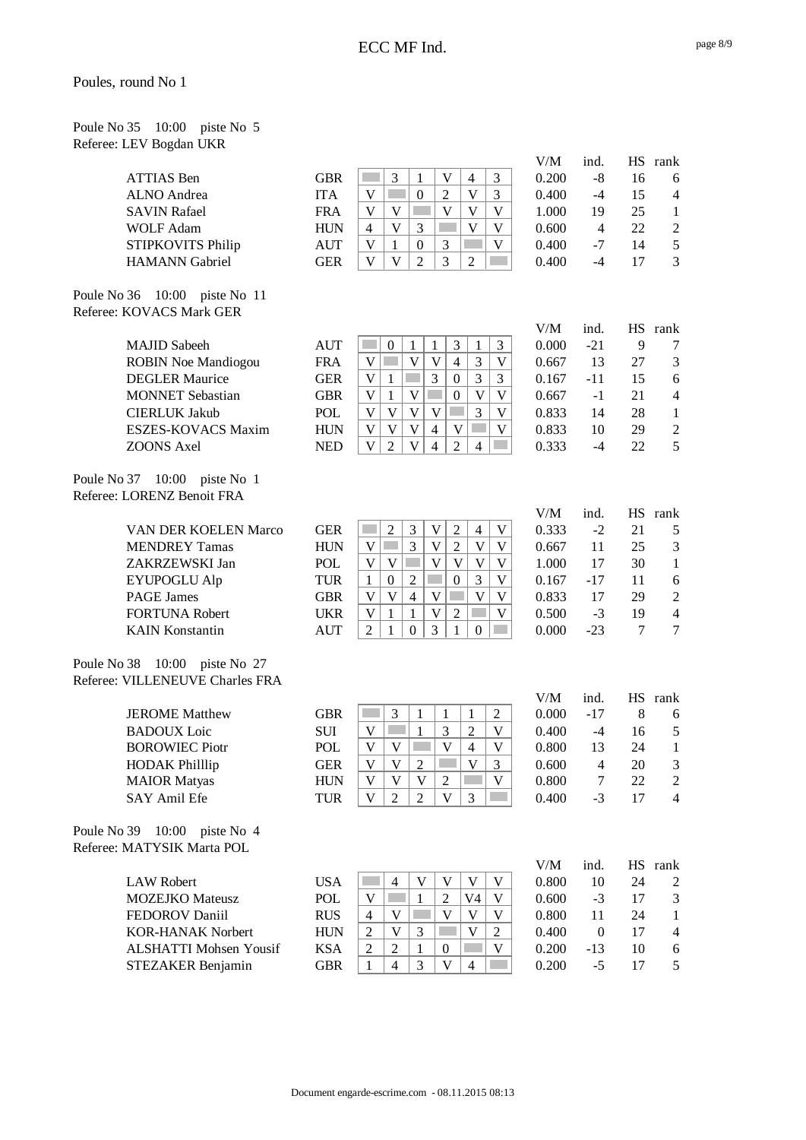| Poule No 35 10:00 piste No 5 |  |  |
|------------------------------|--|--|
| Referee: LEV Bogdan UKR      |  |  |

|                                                                  |                               |            |                                                                                                           | V/M   | ind.             |    | HS rank        |
|------------------------------------------------------------------|-------------------------------|------------|-----------------------------------------------------------------------------------------------------------|-------|------------------|----|----------------|
| <b>ATTIAS</b> Ben                                                |                               | <b>GBR</b> | 3<br>3<br>$\mathbf{1}$<br>V<br>$\overline{4}$                                                             | 0.200 | $-8$             | 16 | 6              |
| <b>ALNO</b> Andrea                                               |                               | <b>ITA</b> | $\mathbf V$<br>$\boldsymbol{0}$<br>$\mathbf V$<br>3<br>$\overline{2}$                                     | 0.400 | $-4$             | 15 | $\overline{4}$ |
| <b>SAVIN Rafael</b>                                              |                               | <b>FRA</b> | V<br>$\mathbf V$<br>V<br>V<br>V                                                                           | 1.000 | 19               | 25 | 1              |
| <b>WOLF Adam</b>                                                 |                               | <b>HUN</b> | $\mathbf V$<br>V<br>3<br>V<br>4                                                                           | 0.600 | $\overline{4}$   | 22 | $\overline{2}$ |
| STIPKOVITS Philip                                                |                               | <b>AUT</b> | $\mathbf V$<br>$\mathbf{1}$<br>$\boldsymbol{0}$<br>3<br>$\mathbf V$                                       | 0.400 | $-7$             | 14 | 5              |
| <b>HAMANN</b> Gabriel                                            |                               | <b>GER</b> | $\mathbf{V}$<br>$\overline{2}$<br>3<br>$\mathbf V$<br>$\overline{c}$                                      | 0.400 | $-4$             | 17 | 3              |
|                                                                  |                               |            |                                                                                                           |       |                  |    |                |
| Poule No 36 10:00 piste No 11<br>Referee: KOVACS Mark GER        |                               |            |                                                                                                           |       |                  |    |                |
|                                                                  |                               |            |                                                                                                           | V/M   | ind.             |    | HS rank        |
| <b>MAJID</b> Sabeeh                                              |                               | <b>AUT</b> | 3<br>3<br>$\boldsymbol{0}$<br>$\mathbf{1}$<br>$\mathbf{1}$<br>1                                           | 0.000 | $-21$            | 9  | 7              |
|                                                                  | <b>ROBIN Noe Mandiogou</b>    | <b>FRA</b> | $\mathbf V$<br>3<br>$\mathbf V$<br>$\ensuremath{\mathsf{V}}$<br>$\overline{4}$<br>V                       | 0.667 | 13               | 27 | 3              |
| <b>DEGLER Maurice</b>                                            |                               | <b>GER</b> | 3<br>3<br>$\boldsymbol{0}$<br>3<br>$\mathbf V$<br>$\mathbf{1}$                                            | 0.167 | $-11$            | 15 | 6              |
| <b>MONNET</b> Sebastian                                          |                               | <b>GBR</b> | $\overline{V}$<br>$\overline{V}$<br>$\overline{\mathsf{V}}$<br>$\boldsymbol{0}$<br>V<br>1                 | 0.667 | $-1$             | 21 | $\overline{4}$ |
| <b>CIERLUK Jakub</b>                                             |                               | POL        | $\mathbf V$<br>3<br>$\mathbf V$<br>V<br>$\ensuremath{\mathsf{V}}$<br><b>Tara</b><br>$\mathbf V$           | 0.833 | 14               | 28 | $\mathbf{1}$   |
|                                                                  | <b>ESZES-KOVACS Maxim</b>     | <b>HUN</b> | $\mathbf{V}$<br>$\overline{\mathsf{V}}$<br>$\overline{4}$<br>V<br>$\mathbf V$<br>V                        | 0.833 | 10               | 29 | $\overline{2}$ |
| <b>ZOONS</b> Axel                                                |                               | <b>NED</b> | $\overline{V}$<br>$\overline{4}$<br>$\overline{2}$<br>$\mathbf V$<br>$\overline{2}$<br>$\overline{4}$     | 0.333 | $-4$             | 22 | 5              |
| Poule No 37 10:00 piste No 1<br>Referee: LORENZ Benoit FRA       |                               |            |                                                                                                           |       |                  |    |                |
|                                                                  |                               |            |                                                                                                           | V/M   | ind.             |    | HS rank        |
|                                                                  | VAN DER KOELEN Marco          | <b>GER</b> | $\overline{2}$<br>$\mathfrak{Z}$<br>$\ensuremath{\mathsf{V}}$<br>$\overline{2}$<br>$\overline{4}$<br>V    | 0.333 | $-2$             | 21 | 5              |
| <b>MENDREY Tamas</b>                                             |                               | <b>HUN</b> | 3<br>$\mathbf V$<br>$\sqrt{2}$<br>$\mathbf V$<br>V<br>$\sim$<br>V                                         | 0.667 | 11               | 25 | 3              |
| ZAKRZEWSKI Jan                                                   |                               | POL        | $\overline{\mathsf{V}}$<br>$\overline{V}$<br>$\mathbf V$<br>V<br>V<br>V                                   | 1.000 | 17               | 30 | 1              |
| <b>EYUPOGLU Alp</b>                                              |                               | <b>TUR</b> | 3<br>$\overline{2}$<br>$\mathbf{1}$<br>$\boldsymbol{0}$<br>V<br>$\boldsymbol{0}$                          | 0.167 | $-17$            | 11 | 6              |
| <b>PAGE James</b>                                                |                               | <b>GBR</b> | $\mathbf{V}$<br>$\overline{\mathsf{V}}$<br>$\overline{V}$<br>$\mathbf V$<br>$\overline{4}$<br>$\mathbf V$ | 0.833 | 17               | 29 | $\mathbf{2}$   |
| <b>FORTUNA Robert</b>                                            |                               | <b>UKR</b> | $\overline{\mathsf{V}}$<br>$\mathbf{1}$<br>$\overline{2}$<br>$\mathbf V$<br>$\mathbf V$<br>$\mathbf{1}$   | 0.500 | $-3$             | 19 | $\overline{4}$ |
| <b>KAIN Konstantin</b>                                           |                               | <b>AUT</b> | $\overline{3}$<br>$\overline{2}$<br>$\mathbf{0}$<br>$\mathbf{1}$<br>$\boldsymbol{0}$<br>1                 | 0.000 | $-23$            | 7  | $\tau$         |
|                                                                  |                               |            |                                                                                                           |       |                  |    |                |
| Poule No 38 10:00 piste No 27<br>Referee: VILLENEUVE Charles FRA |                               |            |                                                                                                           |       |                  |    |                |
|                                                                  |                               |            |                                                                                                           | V/M   | ind.             |    | HS rank        |
| <b>JEROME</b> Matthew                                            |                               | <b>GBR</b> | $\mathfrak{Z}$<br>$\mathbf{1}$<br>$\mathbf{1}$<br>$\mathbf{1}$<br>$\overline{c}$                          | 0.000 | $-17$            | 8  | 6              |
| <b>BADOUX</b> Loic                                               |                               | <b>SUI</b> | 3<br>$\overline{c}$<br>V<br>1<br>V                                                                        | 0.400 | $-4$             | 16 | 5              |
| <b>BOROWIEC Piotr</b>                                            |                               | <b>POL</b> | $\overline{\mathsf{V}}$<br>V<br>V<br>$\overline{4}$<br>V                                                  | 0.800 | 13               | 24 | 1              |
| <b>HODAK Philllip</b>                                            |                               | <b>GER</b> | V<br>V<br>$\overline{c}$<br>V<br>3                                                                        | 0.600 | $\overline{4}$   | 20 | 3              |
| <b>MAIOR</b> Matyas                                              |                               | <b>HUN</b> | $\mathbf V$<br>V<br>$\mathbf{V}$<br>$\overline{2}$<br>$\mathbf V$                                         | 0.800 | 7                | 22 | $\overline{2}$ |
| SAY Amil Efe                                                     |                               | <b>TUR</b> | $\ensuremath{\mathbf{V}}$<br>$\overline{2}$<br>$\mathbf V$<br>$\overline{2}$<br>3                         | 0.400 | $-3$             | 17 | $\overline{4}$ |
| Poule No 39<br>10:00<br>Referee: MATYSIK Marta POL               | piste No 4                    |            |                                                                                                           |       |                  |    |                |
|                                                                  |                               |            |                                                                                                           | V/M   | ind.             |    | HS rank        |
| <b>LAW Robert</b>                                                |                               | <b>USA</b> | $\boldsymbol{\mathrm{V}}$<br>V<br>V<br>$\overline{4}$<br>V                                                | 0.800 | 10               | 24 | 2              |
| <b>MOZEJKO</b> Mateusz                                           |                               | POL        | $\mathbf{1}$<br>$\ensuremath{\mathsf{V}}$<br>$\overline{2}$<br>V <sub>4</sub><br>V                        | 0.600 | $-3$             | 17 | 3              |
| FEDOROV Daniil                                                   |                               | <b>RUS</b> | $\mathbf V$<br>$\overline{4}$<br>V<br>V<br>$\mathbf V$                                                    | 0.800 | 11               | 24 | 1              |
| <b>KOR-HANAK Norbert</b>                                         |                               | <b>HUN</b> | $\sqrt{2}$<br>V<br>3<br>$\mathbf V$<br>$\boldsymbol{2}$                                                   | 0.400 | $\boldsymbol{0}$ | 17 | $\overline{4}$ |
|                                                                  | <b>ALSHATTI Mohsen Yousif</b> | <b>KSA</b> | $\sqrt{2}$<br>$\overline{2}$<br>$\mathbf V$<br>$\mathbf{1}$<br>$\boldsymbol{0}$                           | 0.200 | $-13$            | 10 | 6              |
| STEZAKER Benjamin                                                |                               | <b>GBR</b> | 3<br>$\mathbf{V}$<br>$\overline{4}$<br>$\overline{4}$<br>1                                                | 0.200 | $-5$             | 17 | 5              |
|                                                                  |                               |            |                                                                                                           |       |                  |    |                |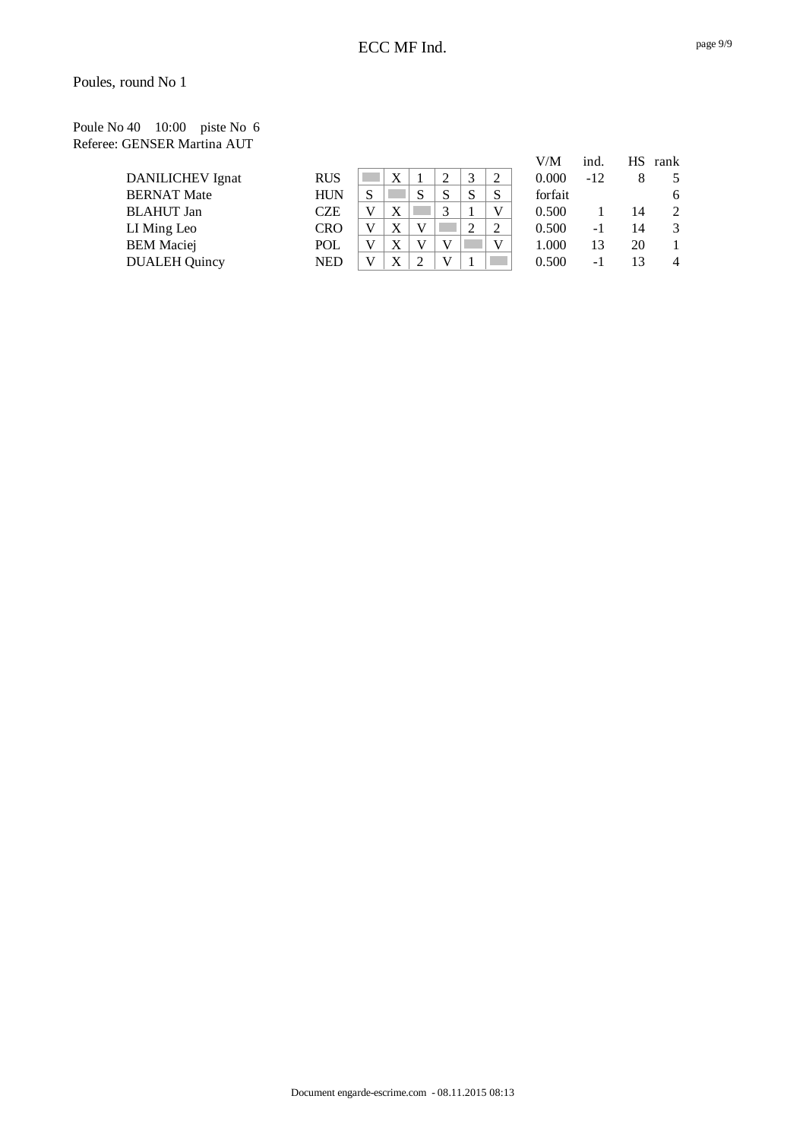Poule No 40 10:00 piste No 6 Referee: GENSER Martina AUT

|                         |            |   |   |   |   |   | V/M     | ind.  |    | HS rank       |
|-------------------------|------------|---|---|---|---|---|---------|-------|----|---------------|
| <b>DANILICHEV</b> Ignat | <b>RUS</b> |   | X |   | 3 | 2 | 0.000   | $-12$ |    | 5             |
| <b>BERNAT Mate</b>      | <b>HUN</b> | S |   | S | S | S | forfait |       |    | 6             |
| <b>BLAHUT</b> Jan       | CZE        |   | X |   |   | V | 0.500   |       | 14 | 2             |
| LI Ming Leo             | <b>CRO</b> |   | Х |   | 2 | 2 | 0.500   | $-1$  | 14 | $\mathcal{R}$ |
| <b>BEM</b> Maciej       | POL        |   | X |   |   | V | 1.000   | 13    | 20 |               |
| <b>DUALEH</b> Quincy    | <b>NED</b> |   | X |   |   |   | 0.500   | - 1   |    | 4             |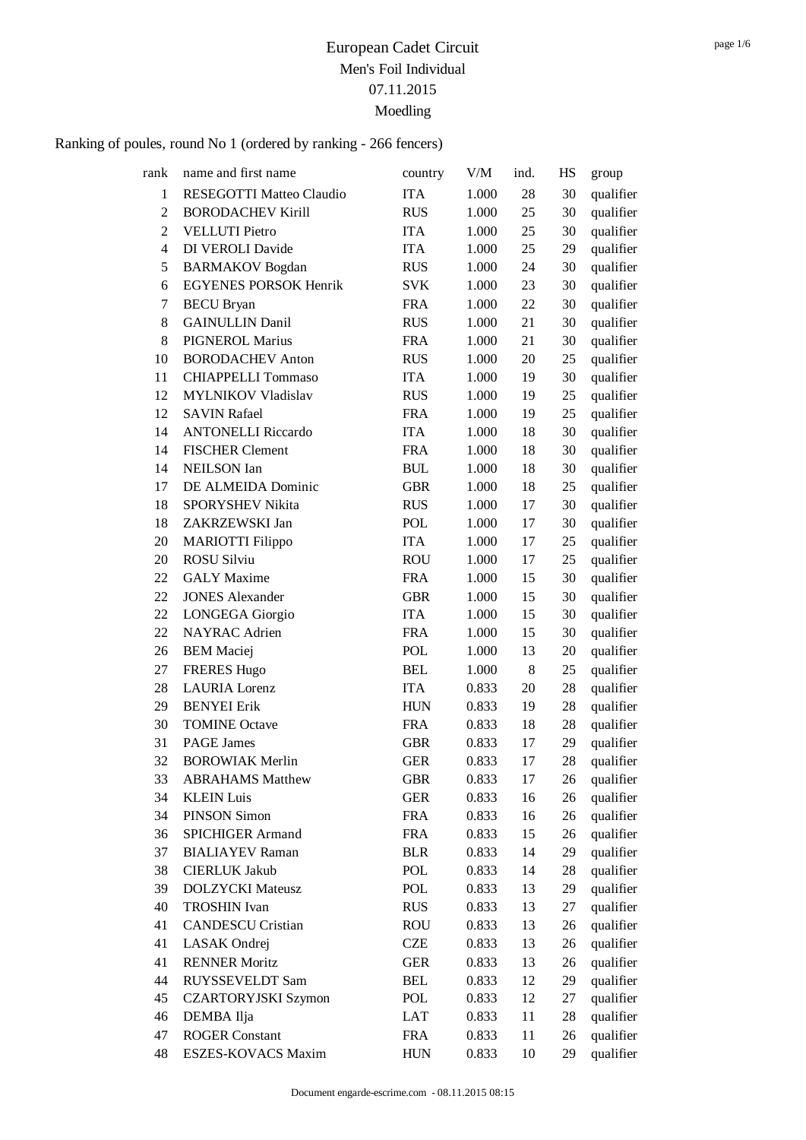| rank           | name and first name          | country    | ${\rm V/M}$ | ind. | HS     | group     |
|----------------|------------------------------|------------|-------------|------|--------|-----------|
| 1              | RESEGOTTI Matteo Claudio     | <b>ITA</b> | 1.000       | 28   | 30     | qualifier |
| $\overline{2}$ | <b>BORODACHEV Kirill</b>     | <b>RUS</b> | 1.000       | 25   | 30     | qualifier |
| $\overline{2}$ | <b>VELLUTI Pietro</b>        | <b>ITA</b> | 1.000       | 25   | 30     | qualifier |
| 4              | <b>DI VEROLI Davide</b>      | <b>ITA</b> | 1.000       | 25   | 29     | qualifier |
| 5              | <b>BARMAKOV</b> Bogdan       | <b>RUS</b> | 1.000       | 24   | 30     | qualifier |
| 6              | <b>EGYENES PORSOK Henrik</b> | <b>SVK</b> | $1.000\,$   | 23   | 30     | qualifier |
| 7              | <b>BECU</b> Bryan            | <b>FRA</b> | 1.000       | 22   | 30     | qualifier |
| 8              | <b>GAINULLIN Danil</b>       | <b>RUS</b> | 1.000       | 21   | 30     | qualifier |
| 8              | <b>PIGNEROL Marius</b>       | <b>FRA</b> | 1.000       | 21   | 30     | qualifier |
| 10             | <b>BORODACHEV Anton</b>      | <b>RUS</b> | 1.000       | 20   | $25\,$ | qualifier |
| 11             | <b>CHIAPPELLI Tommaso</b>    | <b>ITA</b> | 1.000       | 19   | 30     | qualifier |
| 12             | <b>MYLNIKOV Vladislav</b>    | <b>RUS</b> | 1.000       | 19   | 25     | qualifier |
| 12             | <b>SAVIN Rafael</b>          | <b>FRA</b> | 1.000       | 19   | 25     | qualifier |
| 14             | <b>ANTONELLI Riccardo</b>    | <b>ITA</b> | 1.000       | 18   | 30     | qualifier |
| 14             | <b>FISCHER Clement</b>       | <b>FRA</b> | 1.000       | 18   | 30     | qualifier |
| 14             | <b>NEILSON</b> Ian           | <b>BUL</b> | 1.000       | 18   | 30     | qualifier |
| 17             | DE ALMEIDA Dominic           | <b>GBR</b> | 1.000       | 18   | 25     | qualifier |
| 18             | SPORYSHEV Nikita             | <b>RUS</b> | 1.000       | 17   | 30     | qualifier |
| 18             | ZAKRZEWSKI Jan               | <b>POL</b> | 1.000       | 17   | 30     | qualifier |
| 20             | <b>MARIOTTI Filippo</b>      | <b>ITA</b> | 1.000       | 17   | 25     | qualifier |
| 20             | <b>ROSU Silviu</b>           | <b>ROU</b> | 1.000       | 17   | 25     | qualifier |
| 22             | <b>GALY</b> Maxime           | <b>FRA</b> | 1.000       | 15   | 30     | qualifier |
| 22             | <b>JONES Alexander</b>       | <b>GBR</b> | 1.000       | 15   | 30     | qualifier |
| 22             | <b>LONGEGA</b> Giorgio       | <b>ITA</b> | 1.000       | 15   | 30     | qualifier |
| 22             | NAYRAC Adrien                | <b>FRA</b> | 1.000       | 15   | 30     | qualifier |
| 26             | <b>BEM</b> Maciej            | <b>POL</b> | 1.000       | 13   | 20     | qualifier |
| 27             | <b>FRERES Hugo</b>           | <b>BEL</b> | 1.000       | 8    | 25     | qualifier |
| 28             | <b>LAURIA</b> Lorenz         | <b>ITA</b> | 0.833       | 20   | 28     | qualifier |
| 29             | <b>BENYEI</b> Erik           | <b>HUN</b> | 0.833       | 19   | 28     | qualifier |
| 30             | <b>TOMINE Octave</b>         | <b>FRA</b> | 0.833       | 18   | 28     | qualifier |
| 31             | <b>PAGE</b> James            | <b>GBR</b> | 0.833       | 17   | 29     | qualifier |
| 32             | <b>BOROWIAK Merlin</b>       | <b>GER</b> | 0.833       | 17   | 28     | qualifier |
| 33             | <b>ABRAHAMS Matthew</b>      | <b>GBR</b> | 0.833       | 17   | 26     | qualifier |
| 34             | <b>KLEIN Luis</b>            | <b>GER</b> | 0.833       | 16   | 26     | qualifier |
| 34             | <b>PINSON Simon</b>          | <b>FRA</b> | 0.833       | 16   | $26\,$ | qualifier |
| 36             | <b>SPICHIGER Armand</b>      | <b>FRA</b> | 0.833       | 15   | 26     | qualifier |
| 37             | <b>BIALIAYEV</b> Raman       | <b>BLR</b> | 0.833       | 14   | 29     | qualifier |
| 38             | <b>CIERLUK Jakub</b>         | POL        | 0.833       | 14   | 28     | qualifier |
| 39             | <b>DOLZYCKI</b> Mateusz      | <b>POL</b> | 0.833       | 13   | 29     | qualifier |
| 40             | <b>TROSHIN Ivan</b>          | <b>RUS</b> | 0.833       | 13   | 27     | qualifier |
| 41             | <b>CANDESCU Cristian</b>     | <b>ROU</b> | 0.833       | 13   | 26     | qualifier |
| 41             | LASAK Ondrej                 | <b>CZE</b> | 0.833       | 13   | 26     | qualifier |
| 41             | <b>RENNER Moritz</b>         | <b>GER</b> | 0.833       | 13   | 26     | qualifier |
| 44             | RUYSSEVELDT Sam              | BEL        | 0.833       | 12   | 29     | qualifier |
| 45             | <b>CZARTORYJSKI Szymon</b>   | POL        | 0.833       | 12   | 27     | qualifier |
| 46             | DEMBA Ilja                   | LAT        | 0.833       | 11   | 28     | qualifier |
| 47             | <b>ROGER Constant</b>        | <b>FRA</b> | 0.833       | 11   | 26     | qualifier |
| 48             | ESZES-KOVACS Maxim           | <b>HUN</b> | 0.833       | 10   | 29     | qualifier |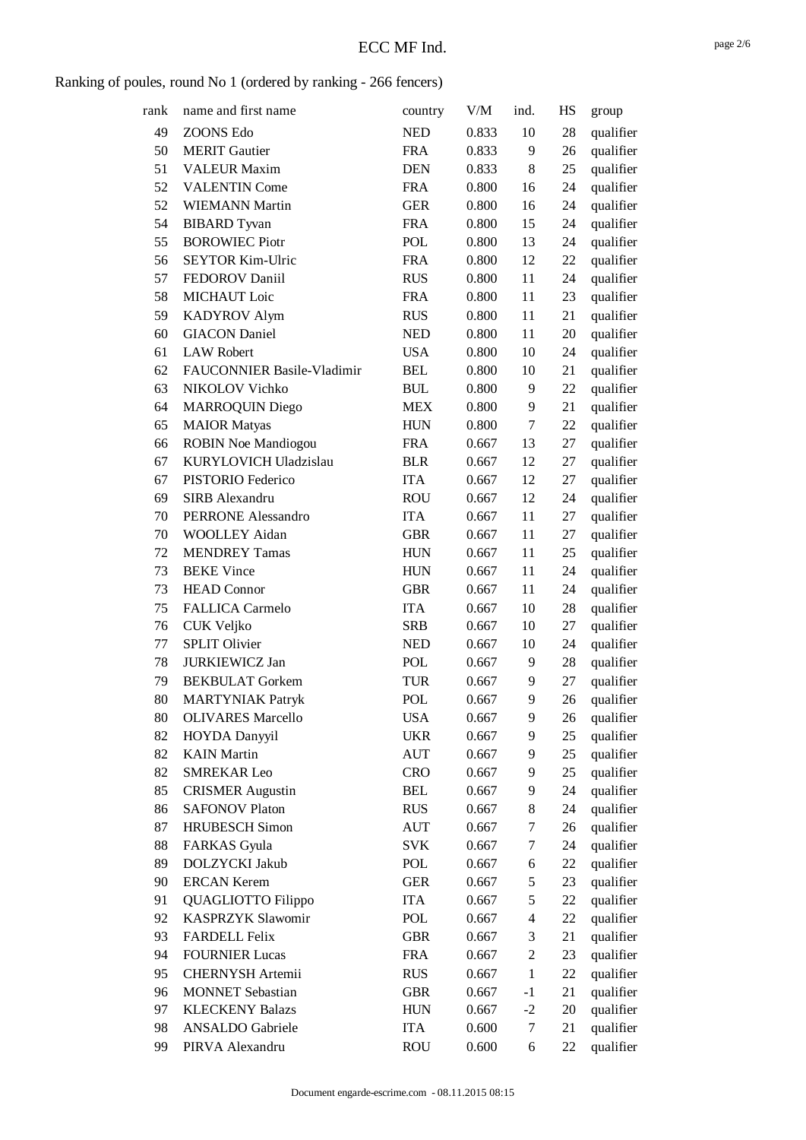| rank | name and first name        | country    | V/M   | ind.           | HS | group     |
|------|----------------------------|------------|-------|----------------|----|-----------|
| 49   | <b>ZOONS Edo</b>           | <b>NED</b> | 0.833 | 10             | 28 | qualifier |
| 50   | <b>MERIT</b> Gautier       | <b>FRA</b> | 0.833 | 9              | 26 | qualifier |
| 51   | <b>VALEUR Maxim</b>        | <b>DEN</b> | 0.833 | 8              | 25 | qualifier |
| 52   | <b>VALENTIN Come</b>       | <b>FRA</b> | 0.800 | 16             | 24 | qualifier |
| 52   | <b>WIEMANN Martin</b>      | <b>GER</b> | 0.800 | 16             | 24 | qualifier |
| 54   | <b>BIBARD</b> Tyvan        | <b>FRA</b> | 0.800 | 15             | 24 | qualifier |
| 55   | <b>BOROWIEC Piotr</b>      | POL        | 0.800 | 13             | 24 | qualifier |
| 56   | <b>SEYTOR Kim-Ulric</b>    | <b>FRA</b> | 0.800 | 12             | 22 | qualifier |
| 57   | FEDOROV Daniil             | <b>RUS</b> | 0.800 | 11             | 24 | qualifier |
| 58   | MICHAUT Loic               | <b>FRA</b> | 0.800 | 11             | 23 | qualifier |
| 59   | <b>KADYROV Alym</b>        | <b>RUS</b> | 0.800 | 11             | 21 | qualifier |
| 60   | <b>GIACON</b> Daniel       | <b>NED</b> | 0.800 | 11             | 20 | qualifier |
| 61   | <b>LAW Robert</b>          | <b>USA</b> | 0.800 | 10             | 24 | qualifier |
| 62   | FAUCONNIER Basile-Vladimir | <b>BEL</b> | 0.800 | 10             | 21 | qualifier |
| 63   | NIKOLOV Vichko             | <b>BUL</b> | 0.800 | 9              | 22 | qualifier |
| 64   | <b>MARROQUIN Diego</b>     | <b>MEX</b> | 0.800 | 9              | 21 | qualifier |
| 65   | <b>MAIOR</b> Matyas        | <b>HUN</b> | 0.800 | 7              | 22 | qualifier |
| 66   | <b>ROBIN Noe Mandiogou</b> | <b>FRA</b> | 0.667 | 13             | 27 | qualifier |
| 67   | KURYLOVICH Uladzislau      | <b>BLR</b> | 0.667 | 12             | 27 | qualifier |
| 67   | PISTORIO Federico          | <b>ITA</b> | 0.667 | 12             | 27 | qualifier |
| 69   | SIRB Alexandru             | <b>ROU</b> | 0.667 | 12             | 24 | qualifier |
| 70   | <b>PERRONE Alessandro</b>  | <b>ITA</b> | 0.667 | 11             | 27 | qualifier |
| 70   | <b>WOOLLEY Aidan</b>       | <b>GBR</b> | 0.667 | 11             | 27 | qualifier |
| 72   | <b>MENDREY Tamas</b>       | <b>HUN</b> | 0.667 | 11             | 25 | qualifier |
| 73   | <b>BEKE Vince</b>          | <b>HUN</b> | 0.667 | 11             | 24 | qualifier |
| 73   | <b>HEAD Connor</b>         | <b>GBR</b> | 0.667 | 11             | 24 | qualifier |
| 75   | <b>FALLICA Carmelo</b>     | <b>ITA</b> | 0.667 | 10             | 28 | qualifier |
| 76   | CUK Veljko                 | <b>SRB</b> | 0.667 | 10             | 27 | qualifier |
| 77   | <b>SPLIT Olivier</b>       | <b>NED</b> | 0.667 | 10             | 24 | qualifier |
| 78   | <b>JURKIEWICZ Jan</b>      | POL        | 0.667 | 9              | 28 | qualifier |
| 79   | <b>BEKBULAT</b> Gorkem     | <b>TUR</b> | 0.667 | 9              | 27 | qualifier |
| 80   | <b>MARTYNIAK Patryk</b>    | <b>POL</b> | 0.667 | 9              | 26 | qualifier |
| 80   | <b>OLIVARES Marcello</b>   | <b>USA</b> | 0.667 | 9              | 26 | qualifier |
| 82   | HOYDA Danyyil              | <b>UKR</b> | 0.667 | 9              | 25 | qualifier |
| 82   | <b>KAIN</b> Martin         | <b>AUT</b> | 0.667 | 9              | 25 | qualifier |
| 82   | <b>SMREKAR Leo</b>         | <b>CRO</b> | 0.667 | 9              | 25 | qualifier |
| 85   | <b>CRISMER Augustin</b>    | <b>BEL</b> | 0.667 | 9              | 24 | qualifier |
| 86   | <b>SAFONOV Platon</b>      | <b>RUS</b> | 0.667 | 8              | 24 | qualifier |
| 87   | <b>HRUBESCH</b> Simon      | <b>AUT</b> | 0.667 | 7              | 26 | qualifier |
| 88   | <b>FARKAS</b> Gyula        | <b>SVK</b> | 0.667 | 7              | 24 | qualifier |
| 89   | DOLZYCKI Jakub             | POL        | 0.667 | 6              | 22 | qualifier |
| 90   | <b>ERCAN Kerem</b>         | <b>GER</b> | 0.667 | 5              | 23 | qualifier |
| 91   | QUAGLIOTTO Filippo         | <b>ITA</b> | 0.667 | 5              | 22 | qualifier |
| 92   | <b>KASPRZYK Slawomir</b>   | <b>POL</b> | 0.667 | $\overline{4}$ | 22 | qualifier |
| 93   | <b>FARDELL Felix</b>       | <b>GBR</b> | 0.667 | 3              | 21 | qualifier |
| 94   | <b>FOURNIER Lucas</b>      | <b>FRA</b> | 0.667 | $\overline{c}$ | 23 | qualifier |
| 95   | CHERNYSH Artemii           | <b>RUS</b> | 0.667 | $\mathbf{1}$   | 22 | qualifier |
| 96   | <b>MONNET</b> Sebastian    | <b>GBR</b> | 0.667 | $-1$           | 21 | qualifier |
| 97   | <b>KLECKENY Balazs</b>     | <b>HUN</b> | 0.667 | $-2$           | 20 | qualifier |
| 98   | ANSALDO Gabriele           | <b>ITA</b> | 0.600 | 7              | 21 | qualifier |
| 99   | PIRVA Alexandru            | <b>ROU</b> | 0.600 | 6              | 22 | qualifier |
|      |                            |            |       |                |    |           |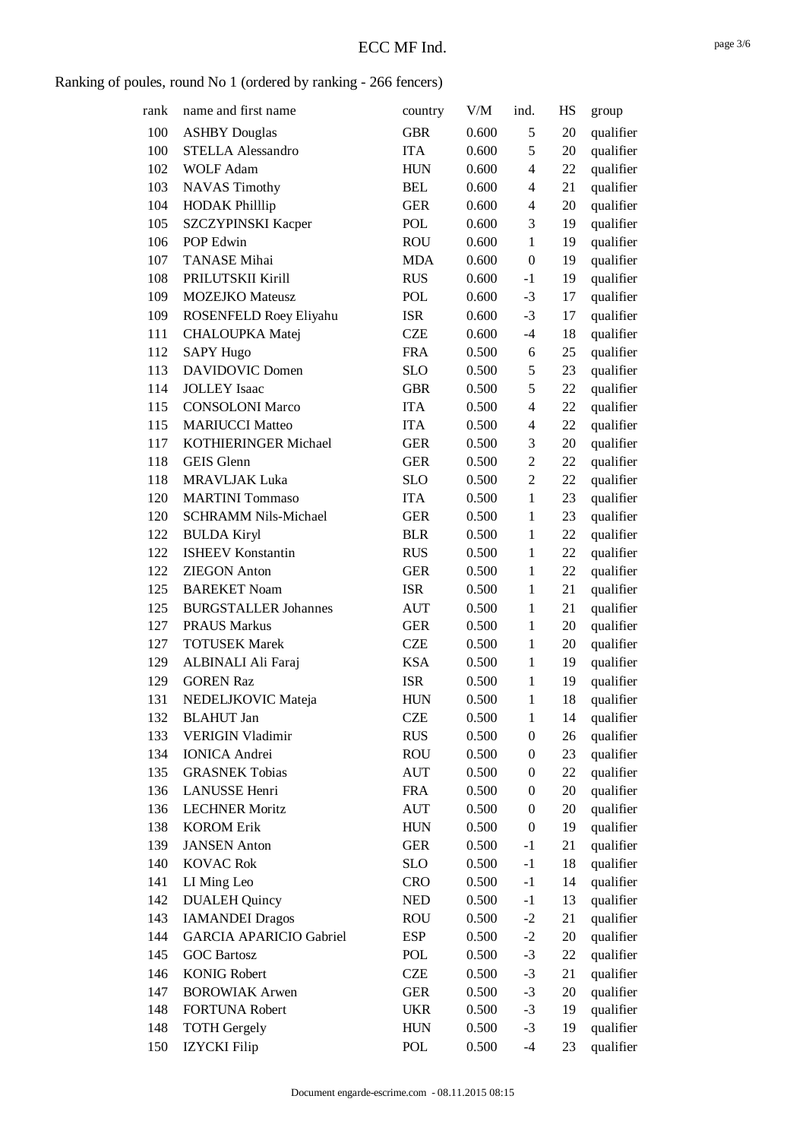| rank | name and first name            | country    | V/M   | ind.                     | HS | group     |
|------|--------------------------------|------------|-------|--------------------------|----|-----------|
| 100  | <b>ASHBY</b> Douglas           | <b>GBR</b> | 0.600 | 5                        | 20 | qualifier |
| 100  | <b>STELLA Alessandro</b>       | <b>ITA</b> | 0.600 | 5                        | 20 | qualifier |
| 102  | <b>WOLF Adam</b>               | <b>HUN</b> | 0.600 | $\overline{\mathcal{L}}$ | 22 | qualifier |
| 103  | <b>NAVAS Timothy</b>           | <b>BEL</b> | 0.600 | $\overline{4}$           | 21 | qualifier |
| 104  | <b>HODAK Philllip</b>          | <b>GER</b> | 0.600 | $\overline{4}$           | 20 | qualifier |
| 105  | <b>SZCZYPINSKI Kacper</b>      | POL        | 0.600 | 3                        | 19 | qualifier |
| 106  | POP Edwin                      | <b>ROU</b> | 0.600 | $\mathbf{1}$             | 19 | qualifier |
| 107  | <b>TANASE</b> Mihai            | <b>MDA</b> | 0.600 | $\boldsymbol{0}$         | 19 | qualifier |
| 108  | PRILUTSKII Kirill              | <b>RUS</b> | 0.600 | $-1$                     | 19 | qualifier |
| 109  | <b>MOZEJKO</b> Mateusz         | POL        | 0.600 | $-3$                     | 17 | qualifier |
| 109  | ROSENFELD Roey Eliyahu         | <b>ISR</b> | 0.600 | $-3$                     | 17 | qualifier |
| 111  | <b>CHALOUPKA Matej</b>         | <b>CZE</b> | 0.600 | $-4$                     | 18 | qualifier |
| 112  | <b>SAPY Hugo</b>               | <b>FRA</b> | 0.500 | 6                        | 25 | qualifier |
| 113  | <b>DAVIDOVIC Domen</b>         | <b>SLO</b> | 0.500 | 5                        | 23 | qualifier |
| 114  | <b>JOLLEY</b> Isaac            | <b>GBR</b> | 0.500 | 5                        | 22 | qualifier |
| 115  | <b>CONSOLONI Marco</b>         | <b>ITA</b> | 0.500 | $\overline{4}$           | 22 | qualifier |
| 115  | <b>MARIUCCI Matteo</b>         | <b>ITA</b> | 0.500 | 4                        | 22 | qualifier |
| 117  | KOTHIERINGER Michael           | <b>GER</b> | 0.500 | 3                        | 20 | qualifier |
| 118  | <b>GEIS</b> Glenn              | <b>GER</b> | 0.500 | $\overline{c}$           | 22 | qualifier |
| 118  | <b>MRAVLJAK Luka</b>           | <b>SLO</b> | 0.500 | $\overline{c}$           | 22 | qualifier |
| 120  | <b>MARTINI</b> Tommaso         | <b>ITA</b> | 0.500 | $\mathbf{1}$             | 23 | qualifier |
| 120  | <b>SCHRAMM Nils-Michael</b>    | <b>GER</b> | 0.500 | $\mathbf{1}$             | 23 | qualifier |
| 122  | <b>BULDA Kiryl</b>             | <b>BLR</b> | 0.500 | $\mathbf{1}$             | 22 | qualifier |
| 122  | <b>ISHEEV Konstantin</b>       | <b>RUS</b> | 0.500 | $\mathbf{1}$             | 22 | qualifier |
| 122  | <b>ZIEGON</b> Anton            | <b>GER</b> | 0.500 | $\mathbf{1}$             | 22 | qualifier |
| 125  | <b>BAREKET Noam</b>            | <b>ISR</b> | 0.500 | $\mathbf{1}$             | 21 | qualifier |
| 125  | <b>BURGSTALLER Johannes</b>    | <b>AUT</b> | 0.500 | $\mathbf{1}$             | 21 | qualifier |
| 127  | <b>PRAUS Markus</b>            | <b>GER</b> | 0.500 | $\mathbf{1}$             | 20 | qualifier |
| 127  | <b>TOTUSEK Marek</b>           | <b>CZE</b> | 0.500 | $\mathbf{1}$             | 20 | qualifier |
| 129  | ALBINALI Ali Faraj             | <b>KSA</b> | 0.500 | $\mathbf{1}$             | 19 | qualifier |
| 129  | <b>GOREN Raz</b>               | <b>ISR</b> | 0.500 | $\mathbf{1}$             | 19 | qualifier |
| 131  | NEDELJKOVIC Mateja             | <b>HUN</b> | 0.500 | $\mathbf{1}$             | 18 | qualifier |
| 132  | <b>BLAHUT</b> Jan              | <b>CZE</b> | 0.500 | $\mathbf{1}$             | 14 | qualifier |
| 133  | <b>VERIGIN Vladimir</b>        | <b>RUS</b> | 0.500 | $\boldsymbol{0}$         | 26 | qualifier |
| 134  | <b>IONICA</b> Andrei           | <b>ROU</b> | 0.500 | $\boldsymbol{0}$         | 23 | qualifier |
| 135  | <b>GRASNEK Tobias</b>          | <b>AUT</b> | 0.500 | $\boldsymbol{0}$         | 22 | qualifier |
| 136  | LANUSSE Henri                  | <b>FRA</b> | 0.500 | $\boldsymbol{0}$         | 20 | qualifier |
| 136  | <b>LECHNER Moritz</b>          | <b>AUT</b> | 0.500 | $\boldsymbol{0}$         | 20 | qualifier |
| 138  | <b>KOROM Erik</b>              | <b>HUN</b> | 0.500 | $\boldsymbol{0}$         | 19 | qualifier |
| 139  | <b>JANSEN</b> Anton            | <b>GER</b> | 0.500 | $-1$                     | 21 | qualifier |
| 140  | <b>KOVAC Rok</b>               | <b>SLO</b> | 0.500 | $-1$                     | 18 | qualifier |
| 141  | LI Ming Leo                    | <b>CRO</b> | 0.500 | $-1$                     | 14 | qualifier |
| 142  | <b>DUALEH Quincy</b>           | <b>NED</b> | 0.500 | $-1$                     | 13 | qualifier |
| 143  | <b>IAMANDEI Dragos</b>         | <b>ROU</b> | 0.500 | $-2$                     | 21 | qualifier |
| 144  | <b>GARCIA APARICIO Gabriel</b> | <b>ESP</b> | 0.500 | $-2$                     | 20 | qualifier |
| 145  | <b>GOC Bartosz</b>             | POL        | 0.500 | $-3$                     | 22 | qualifier |
| 146  | <b>KONIG Robert</b>            | <b>CZE</b> | 0.500 | $-3$                     | 21 | qualifier |
| 147  | <b>BOROWIAK Arwen</b>          | <b>GER</b> | 0.500 | $-3$                     | 20 | qualifier |
| 148  | <b>FORTUNA Robert</b>          | <b>UKR</b> | 0.500 | $-3$                     | 19 | qualifier |
| 148  | <b>TOTH Gergely</b>            | <b>HUN</b> | 0.500 | $-3$                     | 19 | qualifier |
| 150  | <b>IZYCKI</b> Filip            | POL        | 0.500 | $-4$                     | 23 | qualifier |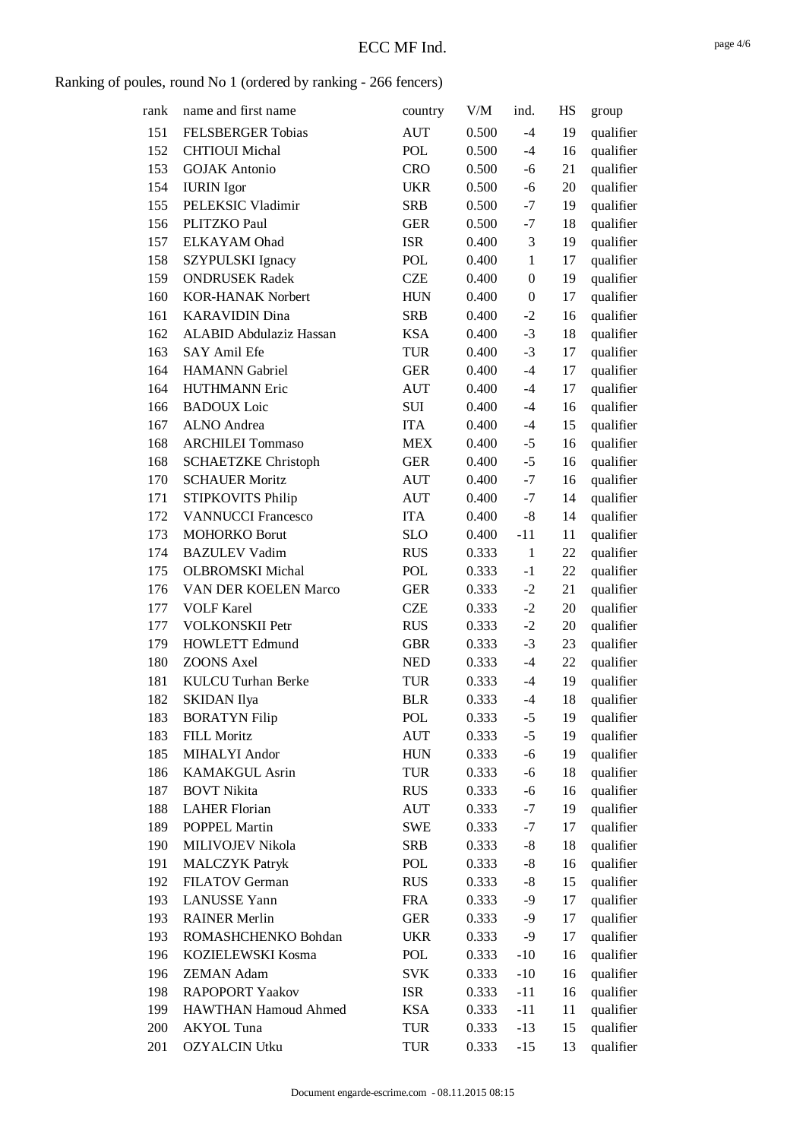| rank | name and first name        | country    | V/M   | ind.             | HS | group     |
|------|----------------------------|------------|-------|------------------|----|-----------|
| 151  | <b>FELSBERGER Tobias</b>   | <b>AUT</b> | 0.500 | $-4$             | 19 | qualifier |
| 152  | <b>CHTIOUI</b> Michal      | POL        | 0.500 | $-4$             | 16 | qualifier |
| 153  | <b>GOJAK</b> Antonio       | <b>CRO</b> | 0.500 | $-6$             | 21 | qualifier |
| 154  | <b>IURIN</b> Igor          | <b>UKR</b> | 0.500 | $-6$             | 20 | qualifier |
| 155  | PELEKSIC Vladimir          | <b>SRB</b> | 0.500 | $-7$             | 19 | qualifier |
| 156  | PLITZKO Paul               | <b>GER</b> | 0.500 | $-7$             | 18 | qualifier |
| 157  | <b>ELKAYAM</b> Ohad        | <b>ISR</b> | 0.400 | 3                | 19 | qualifier |
| 158  | SZYPULSKI Ignacy           | POL        | 0.400 | $\mathbf{1}$     | 17 | qualifier |
| 159  | <b>ONDRUSEK Radek</b>      | <b>CZE</b> | 0.400 | $\boldsymbol{0}$ | 19 | qualifier |
| 160  | <b>KOR-HANAK Norbert</b>   | <b>HUN</b> | 0.400 | $\boldsymbol{0}$ | 17 | qualifier |
| 161  | <b>KARAVIDIN Dina</b>      | <b>SRB</b> | 0.400 | $-2$             | 16 | qualifier |
| 162  | ALABID Abdulaziz Hassan    | <b>KSA</b> | 0.400 | $-3$             | 18 | qualifier |
| 163  | SAY Amil Efe               | <b>TUR</b> | 0.400 | $-3$             | 17 | qualifier |
| 164  | <b>HAMANN</b> Gabriel      | <b>GER</b> | 0.400 | $-4$             | 17 | qualifier |
| 164  | <b>HUTHMANN Eric</b>       | <b>AUT</b> | 0.400 | $-4$             | 17 | qualifier |
| 166  | <b>BADOUX</b> Loic         | <b>SUI</b> | 0.400 | $-4$             | 16 | qualifier |
| 167  | <b>ALNO</b> Andrea         | <b>ITA</b> | 0.400 | $-4$             | 15 | qualifier |
| 168  | <b>ARCHILEI Tommaso</b>    | <b>MEX</b> | 0.400 | $-5$             | 16 | qualifier |
| 168  | <b>SCHAETZKE Christoph</b> | <b>GER</b> | 0.400 | $-5$             | 16 | qualifier |
| 170  | <b>SCHAUER Moritz</b>      | <b>AUT</b> | 0.400 | $-7$             | 16 | qualifier |
| 171  | STIPKOVITS Philip          | AUT        | 0.400 | $-7$             | 14 | qualifier |
| 172  | <b>VANNUCCI Francesco</b>  | <b>ITA</b> | 0.400 | $-8$             | 14 | qualifier |
| 173  | <b>MOHORKO Borut</b>       | <b>SLO</b> | 0.400 | $-11$            | 11 | qualifier |
| 174  | <b>BAZULEV Vadim</b>       | <b>RUS</b> | 0.333 | $\mathbf{1}$     | 22 | qualifier |
| 175  | <b>OLBROMSKI</b> Michal    | <b>POL</b> | 0.333 | $-1$             | 22 | qualifier |
| 176  | VAN DER KOELEN Marco       | <b>GER</b> | 0.333 | $-2$             | 21 | qualifier |
| 177  | <b>VOLF Karel</b>          | <b>CZE</b> | 0.333 | $-2$             | 20 | qualifier |
| 177  | <b>VOLKONSKII Petr</b>     | <b>RUS</b> | 0.333 | $-2$             | 20 | qualifier |
| 179  | <b>HOWLETT Edmund</b>      | <b>GBR</b> | 0.333 | $-3$             | 23 | qualifier |
| 180  | <b>ZOONS Axel</b>          | <b>NED</b> | 0.333 | $-4$             | 22 | qualifier |
| 181  | <b>KULCU Turhan Berke</b>  | <b>TUR</b> | 0.333 | $-4$             | 19 | qualifier |
| 182  | <b>SKIDAN</b> Ilya         | <b>BLR</b> | 0.333 | $-4$             | 18 | qualifier |
| 183  | <b>BORATYN Filip</b>       | POL        | 0.333 | $-5$             | 19 | qualifier |
| 183  | FILL Moritz                | <b>AUT</b> | 0.333 | $-5$             | 19 | qualifier |
| 185  | MIHALYI Andor              | <b>HUN</b> | 0.333 | $-6$             | 19 | qualifier |
| 186  | <b>KAMAKGUL Asrin</b>      | <b>TUR</b> | 0.333 | $-6$             | 18 | qualifier |
| 187  | <b>BOVT Nikita</b>         | <b>RUS</b> | 0.333 | $-6$             | 16 | qualifier |
| 188  | <b>LAHER Florian</b>       | AUT        | 0.333 | $-7$             | 19 | qualifier |
| 189  | POPPEL Martin              | SWE        | 0.333 | $-7$             | 17 | qualifier |
| 190  | MILIVOJEV Nikola           | <b>SRB</b> | 0.333 | $-8$             | 18 | qualifier |
| 191  | <b>MALCZYK Patryk</b>      | POL        | 0.333 | $-8$             | 16 | qualifier |
| 192  | FILATOV German             | <b>RUS</b> | 0.333 | $-8$             | 15 | qualifier |
| 193  | <b>LANUSSE</b> Yann        | <b>FRA</b> | 0.333 | $-9$             | 17 | qualifier |
| 193  | <b>RAINER Merlin</b>       | <b>GER</b> | 0.333 | $-9$             | 17 | qualifier |
| 193  | ROMASHCHENKO Bohdan        | <b>UKR</b> | 0.333 | $-9$             | 17 | qualifier |
| 196  | KOZIELEWSKI Kosma          | POL        | 0.333 | $-10$            | 16 | qualifier |
| 196  | <b>ZEMAN Adam</b>          | <b>SVK</b> | 0.333 | $-10$            | 16 | qualifier |
| 198  | <b>RAPOPORT Yaakov</b>     | <b>ISR</b> | 0.333 | $-11$            | 16 | qualifier |
| 199  | HAWTHAN Hamoud Ahmed       | <b>KSA</b> | 0.333 | $-11$            | 11 | qualifier |
| 200  | AKYOL Tuna                 | <b>TUR</b> | 0.333 | $-13$            | 15 | qualifier |
| 201  | <b>OZYALCIN Utku</b>       | TUR        | 0.333 | $-15$            | 13 | qualifier |
|      |                            |            |       |                  |    |           |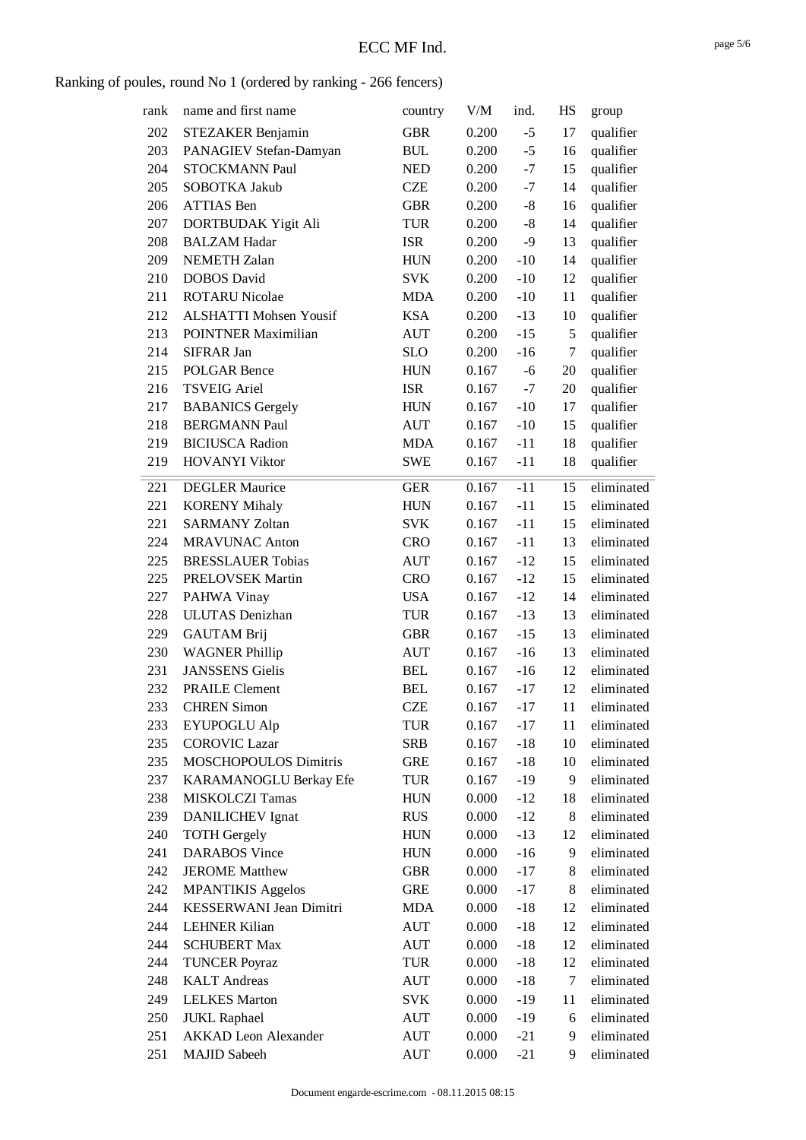| rank | name and first name           | country    | V/M   | ind.  | HS | group      |
|------|-------------------------------|------------|-------|-------|----|------------|
| 202  | STEZAKER Benjamin             | <b>GBR</b> | 0.200 | $-5$  | 17 | qualifier  |
| 203  | PANAGIEV Stefan-Damyan        | <b>BUL</b> | 0.200 | $-5$  | 16 | qualifier  |
| 204  | STOCKMANN Paul                | <b>NED</b> | 0.200 | $-7$  | 15 | qualifier  |
| 205  | SOBOTKA Jakub                 | <b>CZE</b> | 0.200 | $-7$  | 14 | qualifier  |
| 206  | <b>ATTIAS</b> Ben             | <b>GBR</b> | 0.200 | $-8$  | 16 | qualifier  |
| 207  | DORTBUDAK Yigit Ali           | <b>TUR</b> | 0.200 | $-8$  | 14 | qualifier  |
| 208  | <b>BALZAM Hadar</b>           | <b>ISR</b> | 0.200 | $-9$  | 13 | qualifier  |
| 209  | <b>NEMETH Zalan</b>           | <b>HUN</b> | 0.200 | $-10$ | 14 | qualifier  |
| 210  | <b>DOBOS</b> David            | <b>SVK</b> | 0.200 | $-10$ | 12 | qualifier  |
| 211  | <b>ROTARU Nicolae</b>         | <b>MDA</b> | 0.200 | $-10$ | 11 | qualifier  |
| 212  | <b>ALSHATTI Mohsen Yousif</b> | <b>KSA</b> | 0.200 | $-13$ | 10 | qualifier  |
| 213  | <b>POINTNER Maximilian</b>    | <b>AUT</b> | 0.200 | $-15$ | 5  | qualifier  |
| 214  | SIFRAR Jan                    | <b>SLO</b> | 0.200 | $-16$ | 7  | qualifier  |
| 215  | <b>POLGAR Bence</b>           | <b>HUN</b> | 0.167 | -6    | 20 | qualifier  |
| 216  | <b>TSVEIG Ariel</b>           | <b>ISR</b> | 0.167 | $-7$  | 20 | qualifier  |
| 217  | <b>BABANICS Gergely</b>       | <b>HUN</b> | 0.167 | $-10$ | 17 | qualifier  |
| 218  | <b>BERGMANN Paul</b>          | <b>AUT</b> | 0.167 | $-10$ | 15 | qualifier  |
| 219  | <b>BICIUSCA</b> Radion        | <b>MDA</b> | 0.167 | $-11$ | 18 | qualifier  |
| 219  | <b>HOVANYI Viktor</b>         | <b>SWE</b> | 0.167 | $-11$ | 18 | qualifier  |
|      |                               |            |       |       |    |            |
| 221  | <b>DEGLER Maurice</b>         | <b>GER</b> | 0.167 | $-11$ | 15 | eliminated |
| 221  | <b>KORENY Mihaly</b>          | <b>HUN</b> | 0.167 | $-11$ | 15 | eliminated |
| 221  | <b>SARMANY Zoltan</b>         | <b>SVK</b> | 0.167 | $-11$ | 15 | eliminated |
| 224  | <b>MRAVUNAC Anton</b>         | <b>CRO</b> | 0.167 | $-11$ | 13 | eliminated |
| 225  | <b>BRESSLAUER Tobias</b>      | <b>AUT</b> | 0.167 | $-12$ | 15 | eliminated |
| 225  | PRELOVSEK Martin              | <b>CRO</b> | 0.167 | $-12$ | 15 | eliminated |
| 227  | PAHWA Vinay                   | <b>USA</b> | 0.167 | $-12$ | 14 | eliminated |
| 228  | <b>ULUTAS</b> Denizhan        | TUR        | 0.167 | $-13$ | 13 | eliminated |
| 229  | <b>GAUTAM Brij</b>            | <b>GBR</b> | 0.167 | $-15$ | 13 | eliminated |
| 230  | <b>WAGNER Phillip</b>         | <b>AUT</b> | 0.167 | $-16$ | 13 | eliminated |
| 231  | <b>JANSSENS</b> Gielis        | <b>BEL</b> | 0.167 | $-16$ | 12 | eliminated |
| 232  | <b>PRAILE Clement</b>         | <b>BEL</b> | 0.167 | $-17$ | 12 | eliminated |
| 233  | <b>CHREN Simon</b>            | <b>CZE</b> | 0.167 | $-17$ | 11 | eliminated |
| 233  | <b>EYUPOGLU Alp</b>           | TUR        | 0.167 | $-17$ | 11 | eliminated |
| 235  | <b>COROVIC Lazar</b>          | <b>SRB</b> | 0.167 | $-18$ | 10 | eliminated |
| 235  | MOSCHOPOULOS Dimitris         | <b>GRE</b> | 0.167 | $-18$ | 10 | eliminated |
| 237  | KARAMANOGLU Berkay Efe        | TUR        | 0.167 | $-19$ | 9  | eliminated |
| 238  | <b>MISKOLCZI Tamas</b>        | <b>HUN</b> | 0.000 | $-12$ | 18 | eliminated |
| 239  | <b>DANILICHEV</b> Ignat       | <b>RUS</b> | 0.000 | $-12$ | 8  | eliminated |
| 240  | <b>TOTH Gergely</b>           | <b>HUN</b> | 0.000 | $-13$ | 12 | eliminated |
| 241  | <b>DARABOS</b> Vince          | <b>HUN</b> | 0.000 | $-16$ | 9  | eliminated |
| 242  | <b>JEROME</b> Matthew         | <b>GBR</b> | 0.000 | $-17$ | 8  | eliminated |
| 242  | <b>MPANTIKIS Aggelos</b>      | <b>GRE</b> | 0.000 | $-17$ | 8  | eliminated |
| 244  | KESSERWANI Jean Dimitri       | <b>MDA</b> | 0.000 | $-18$ | 12 | eliminated |
| 244  | <b>LEHNER Kilian</b>          | <b>AUT</b> | 0.000 | $-18$ | 12 | eliminated |
| 244  | <b>SCHUBERT Max</b>           | <b>AUT</b> | 0.000 | $-18$ | 12 | eliminated |
| 244  | <b>TUNCER Poyraz</b>          | TUR        | 0.000 | $-18$ | 12 | eliminated |
| 248  | <b>KALT</b> Andreas           | AUT        | 0.000 | $-18$ | 7  | eliminated |
| 249  | <b>LELKES</b> Marton          | <b>SVK</b> | 0.000 | $-19$ | 11 | eliminated |
| 250  | <b>JUKL Raphael</b>           | <b>AUT</b> | 0.000 | $-19$ | 6  | eliminated |
| 251  | <b>AKKAD</b> Leon Alexander   | <b>AUT</b> | 0.000 | $-21$ | 9  | eliminated |
| 251  | <b>MAJID Sabeeh</b>           | <b>AUT</b> | 0.000 | $-21$ | 9  | eliminated |
|      |                               |            |       |       |    |            |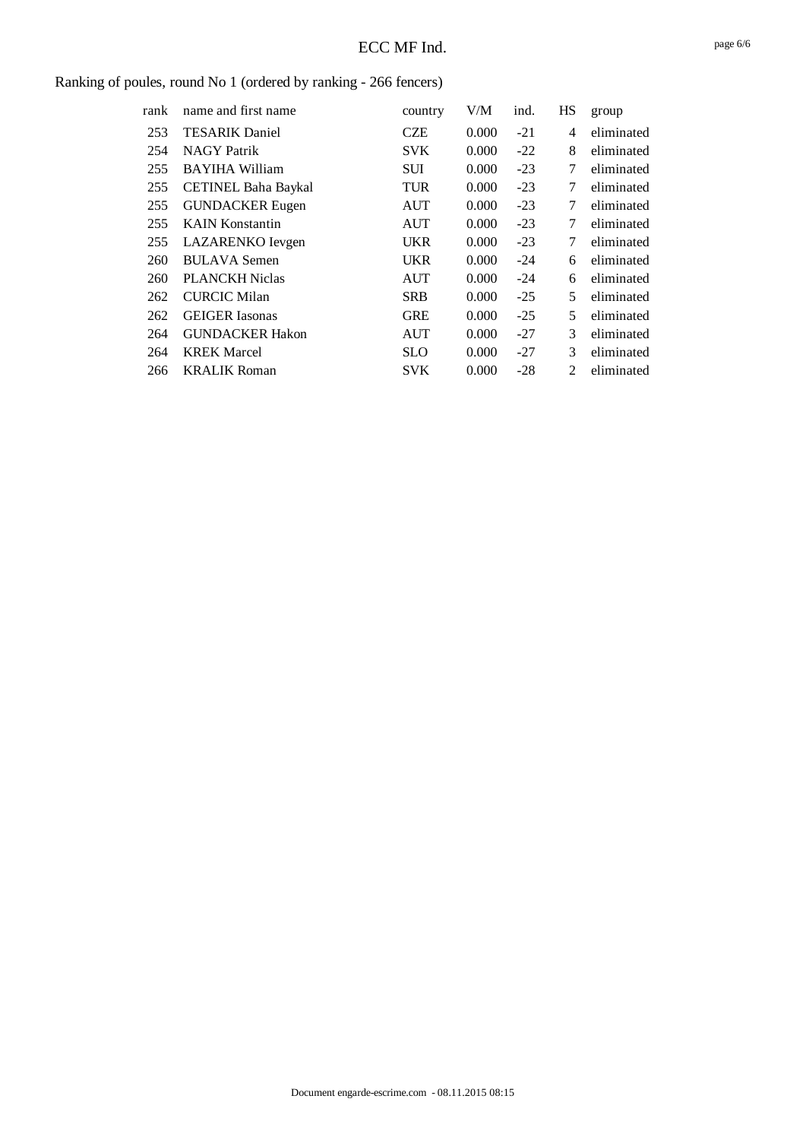| rank | name and first name        | country    | V/M   | ind.  | HS             | group      |
|------|----------------------------|------------|-------|-------|----------------|------------|
| 253  | <b>TESARIK Daniel</b>      | CZE        | 0.000 | $-21$ | 4              | eliminated |
| 254  | <b>NAGY Patrik</b>         | <b>SVK</b> | 0.000 | $-22$ | 8              | eliminated |
| 255  | <b>BAYIHA William</b>      | <b>SUI</b> | 0.000 | $-23$ | 7              | eliminated |
| 255  | <b>CETINEL Baha Baykal</b> | <b>TUR</b> | 0.000 | $-23$ | 7              | eliminated |
| 255  | <b>GUNDACKER</b> Eugen     | AUT        | 0.000 | $-23$ | 7              | eliminated |
| 255  | <b>KAIN Konstantin</b>     | <b>AUT</b> | 0.000 | $-23$ | 7              | eliminated |
| 255  | LAZARENKO Ievgen           | <b>UKR</b> | 0.000 | $-23$ | 7              | eliminated |
| 260  | <b>BULAVA Semen</b>        | <b>UKR</b> | 0.000 | $-24$ | 6              | eliminated |
| 260  | <b>PLANCKH Niclas</b>      | <b>AUT</b> | 0.000 | $-24$ | 6              | eliminated |
| 262  | <b>CURCIC Milan</b>        | <b>SRB</b> | 0.000 | $-25$ | 5              | eliminated |
| 262  | <b>GEIGER</b> Iasonas      | <b>GRE</b> | 0.000 | $-25$ | 5              | eliminated |
| 264  | <b>GUNDACKER Hakon</b>     | <b>AUT</b> | 0.000 | $-27$ | 3              | eliminated |
| 264  | <b>KREK Marcel</b>         | <b>SLO</b> | 0.000 | $-27$ | 3              | eliminated |
| 266  | <b>KRALIK Roman</b>        | <b>SVK</b> | 0.000 | $-28$ | $\mathfrak{D}$ | eliminated |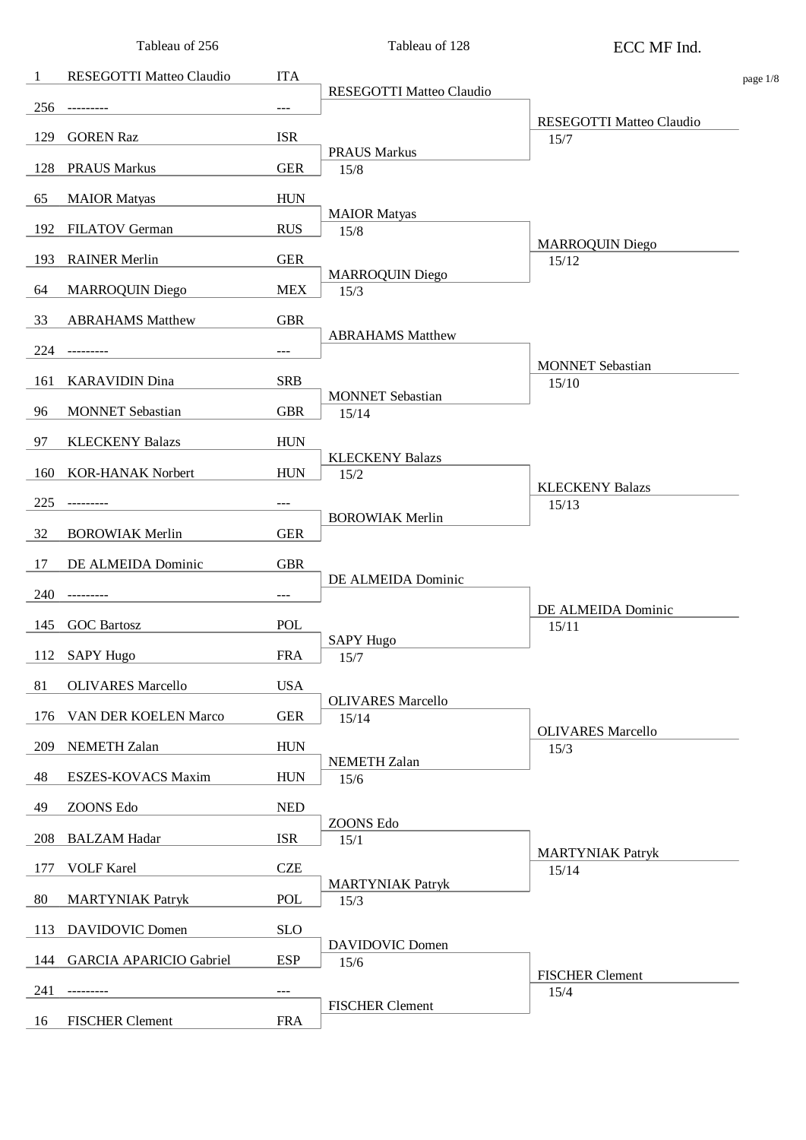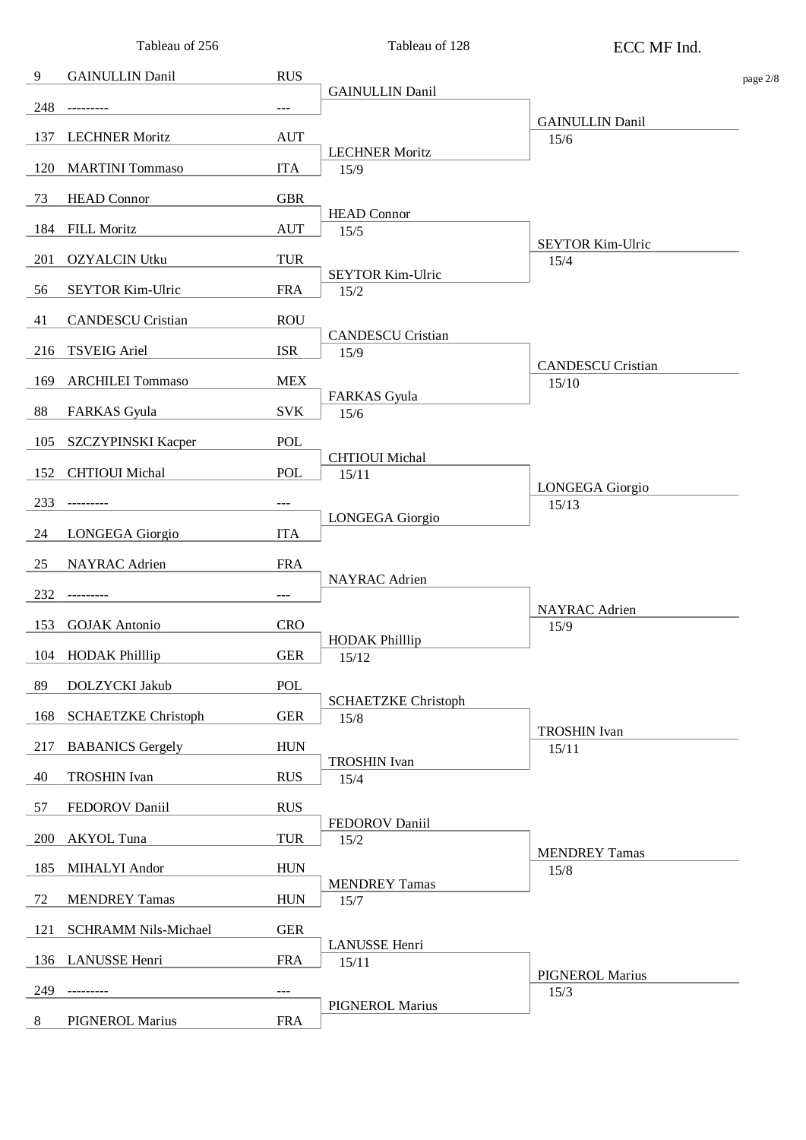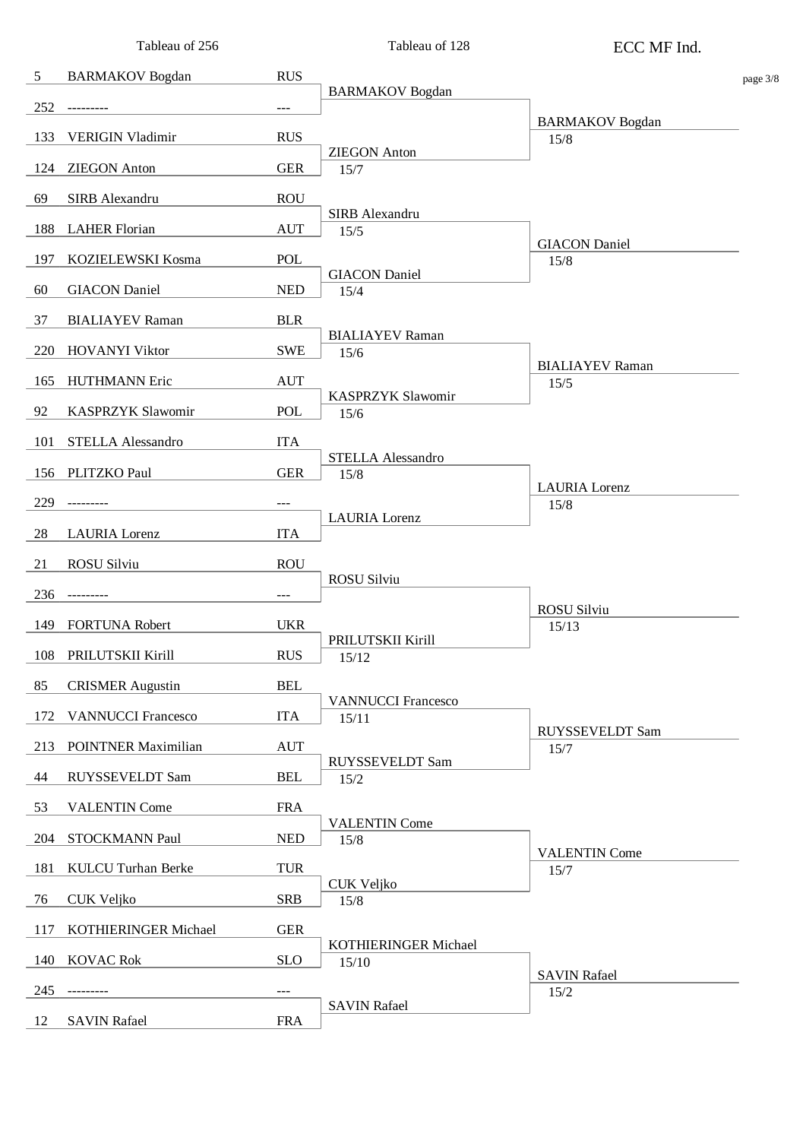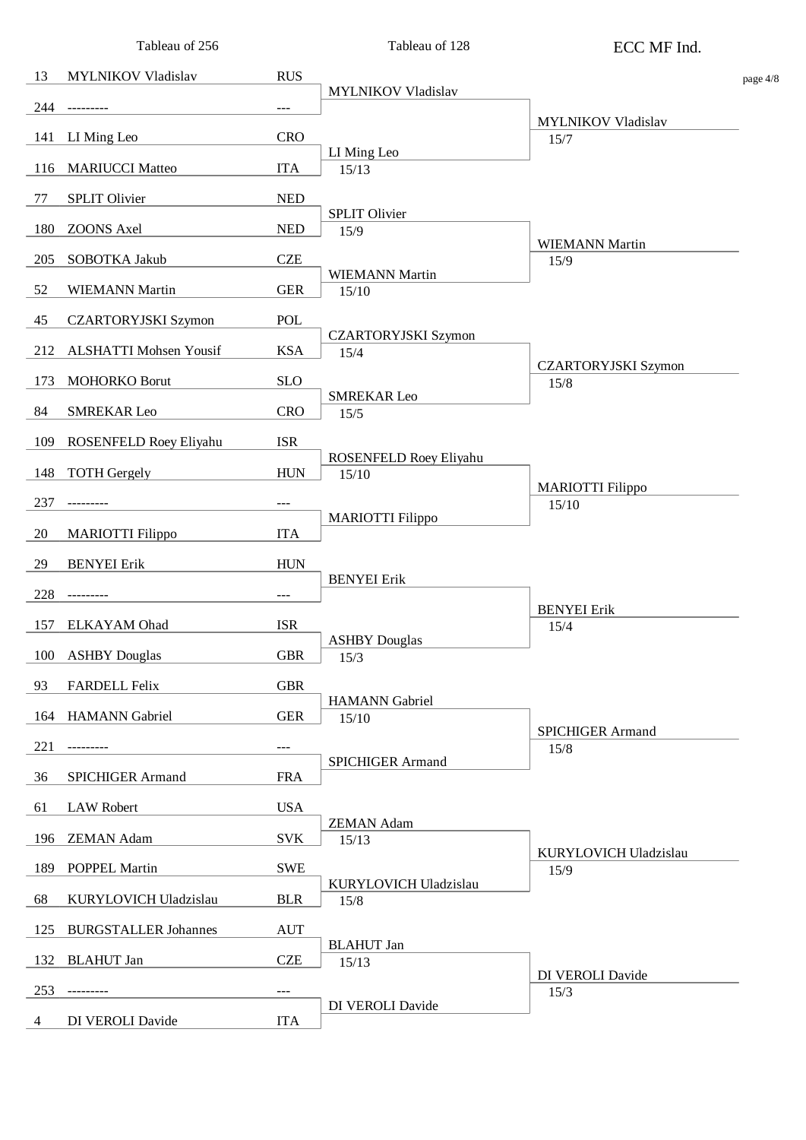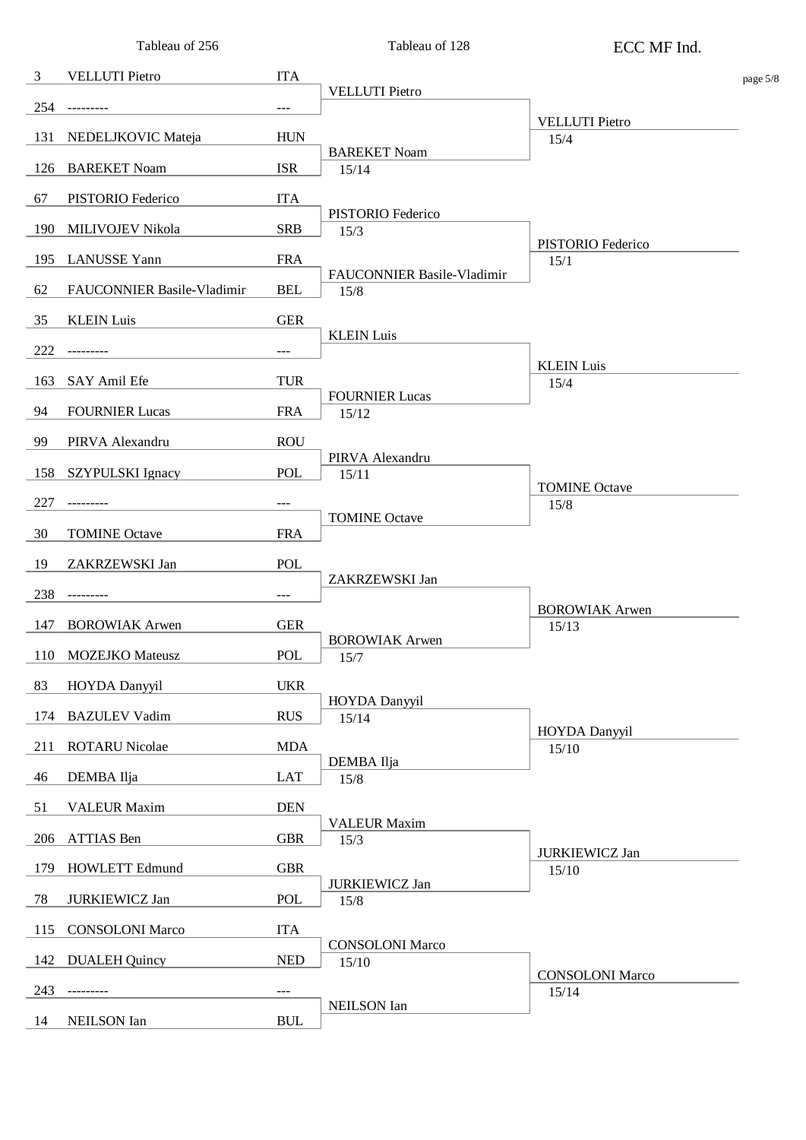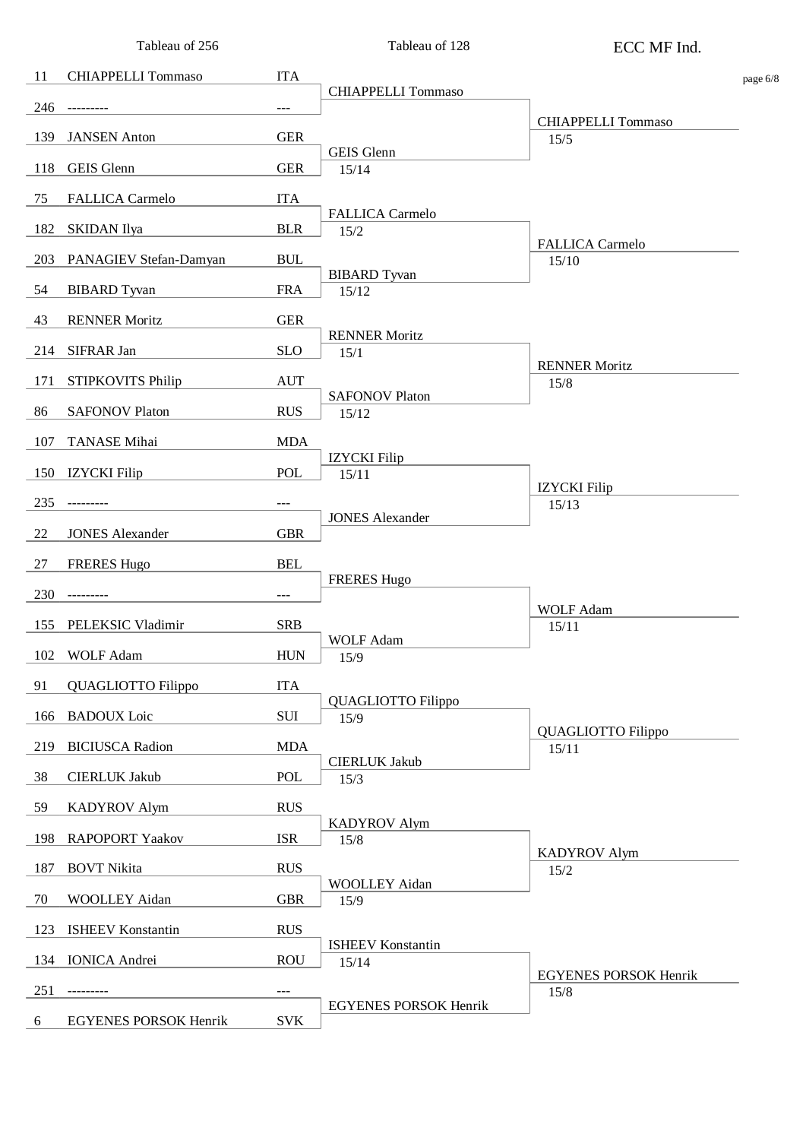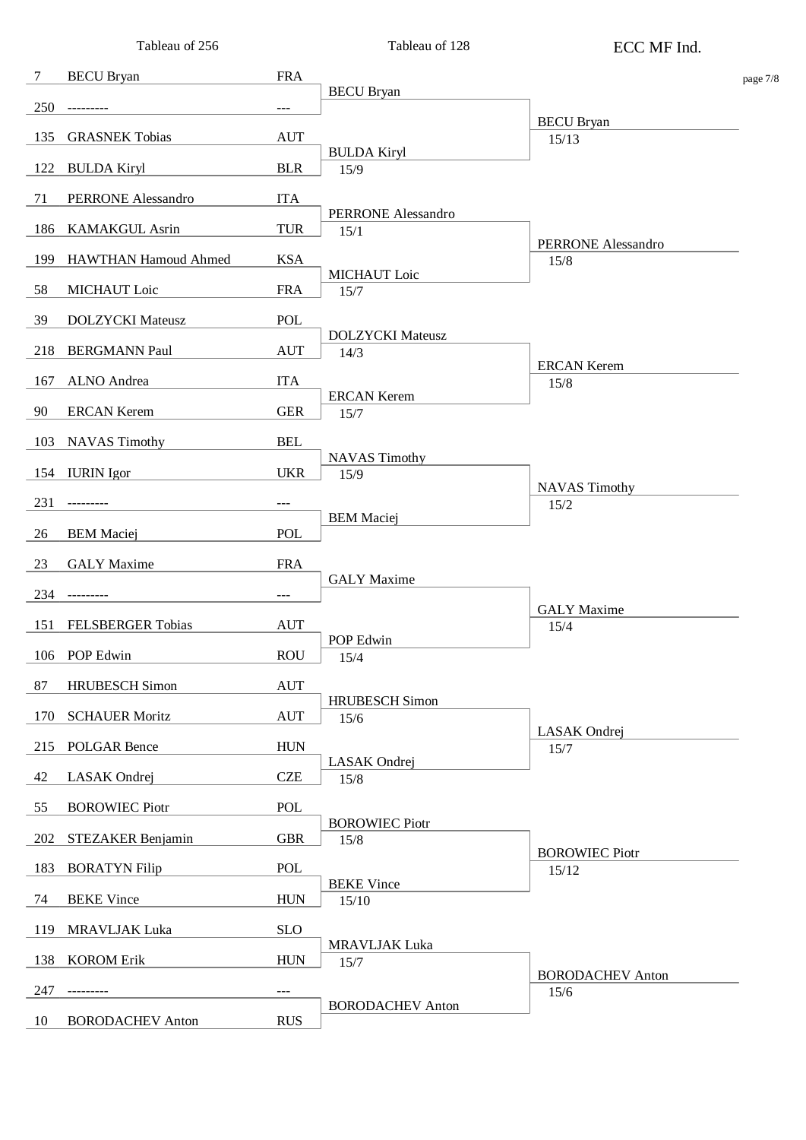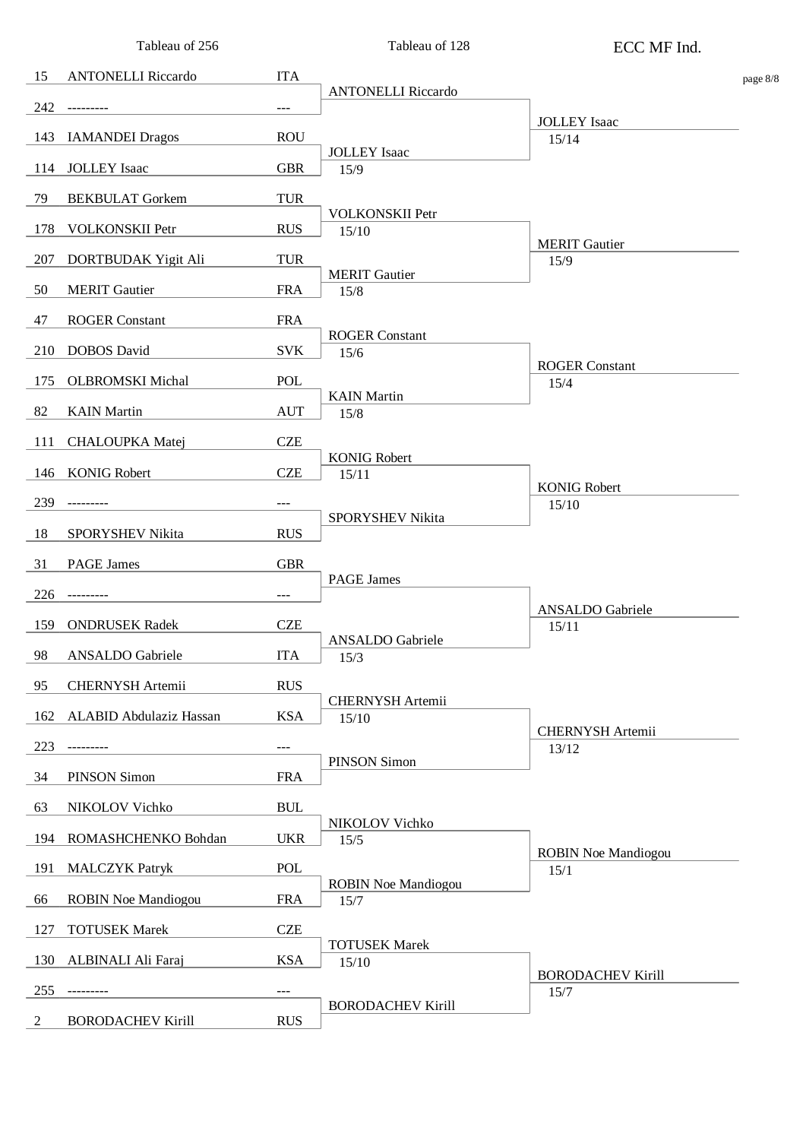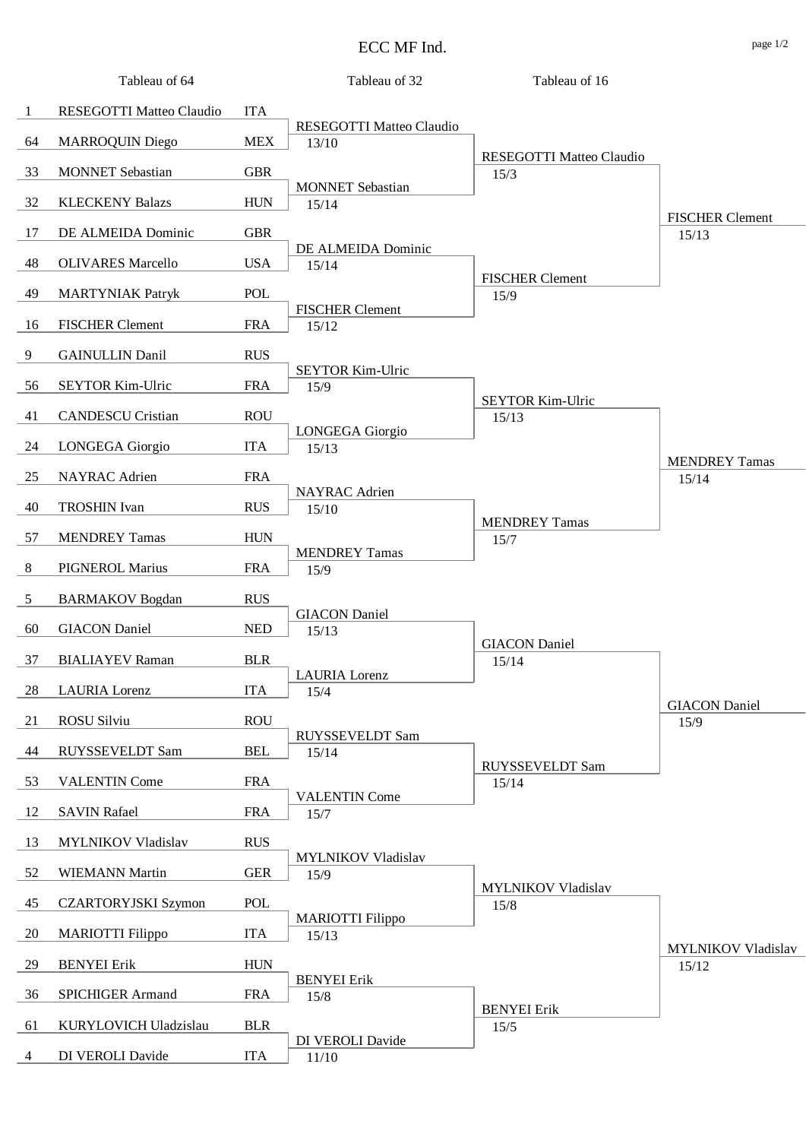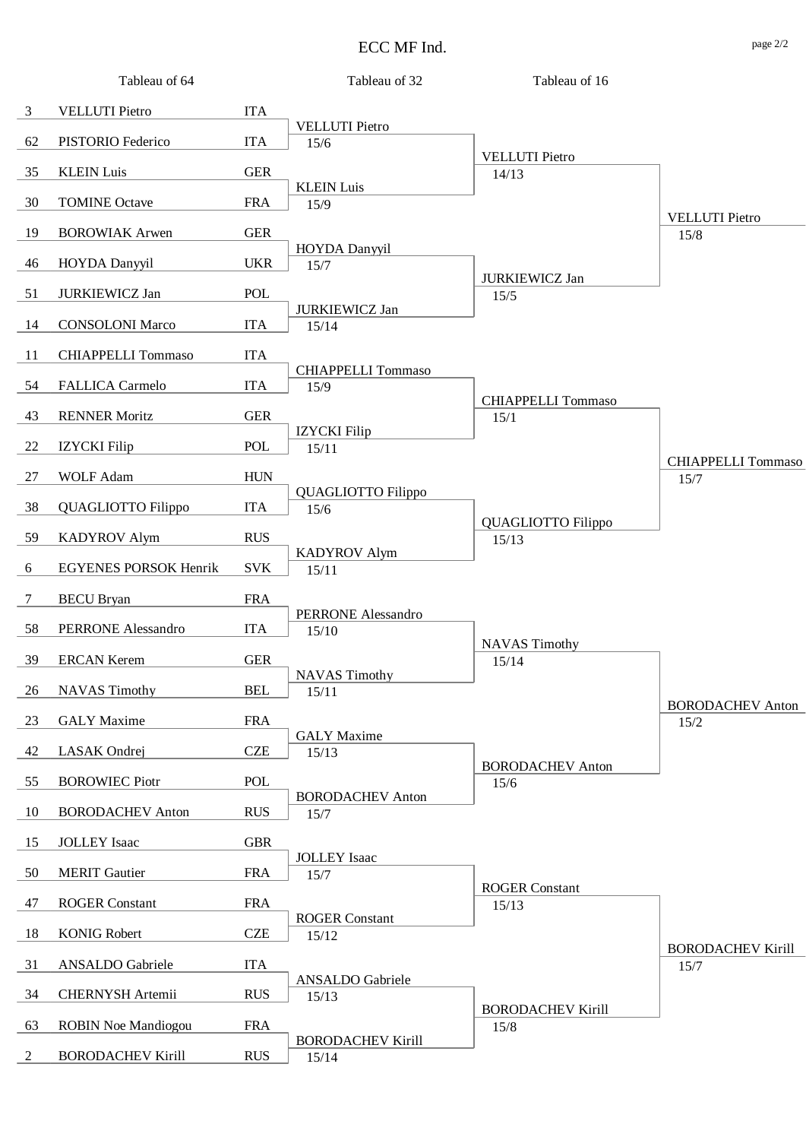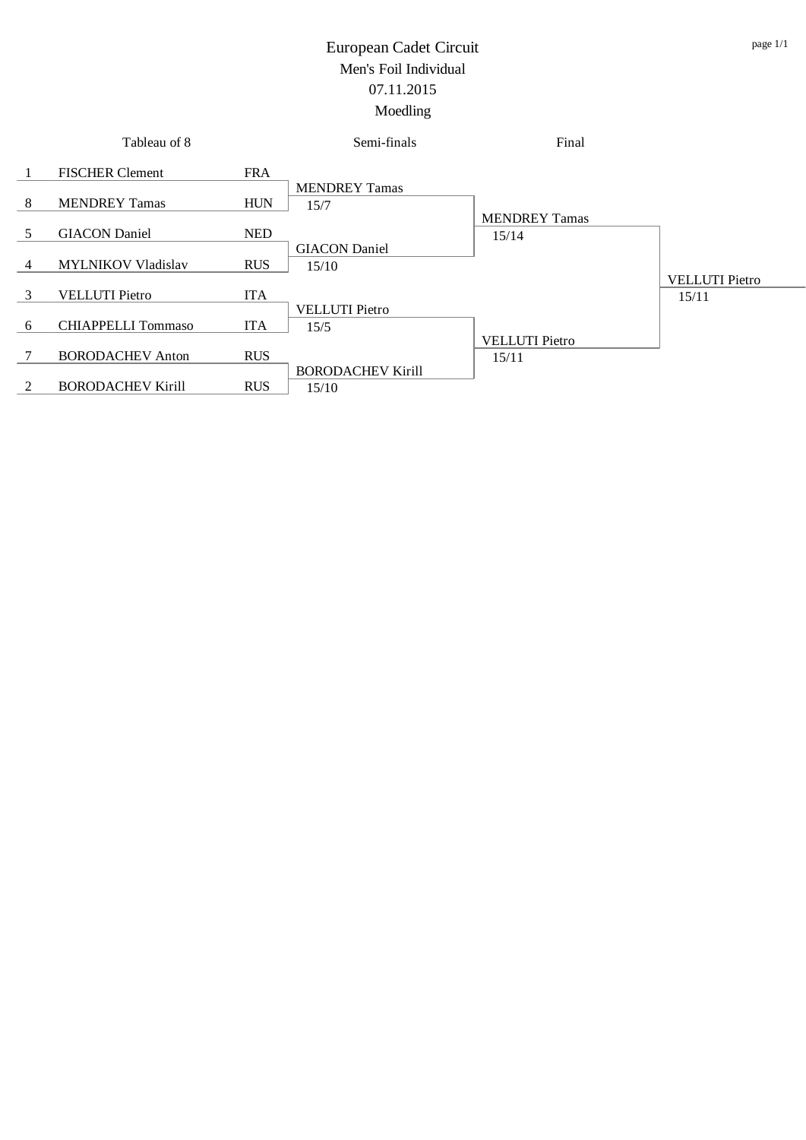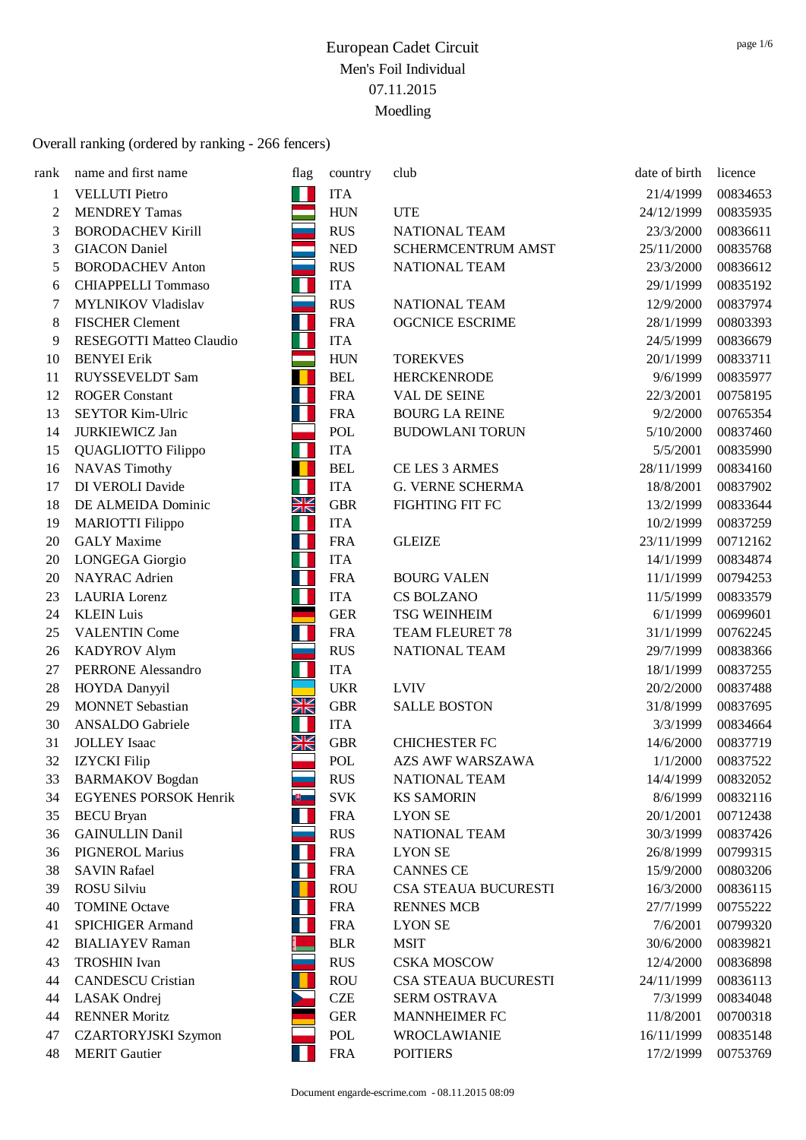| rank           | name and first name             | flag                            | country    | club                        | date of birth | licence  |
|----------------|---------------------------------|---------------------------------|------------|-----------------------------|---------------|----------|
| $\mathbf{1}$   | <b>VELLUTI</b> Pietro           | П                               | <b>ITA</b> |                             | 21/4/1999     | 00834653 |
| $\overline{c}$ | <b>MENDREY Tamas</b>            |                                 | <b>HUN</b> | <b>UTE</b>                  | 24/12/1999    | 00835935 |
| 3              | <b>BORODACHEV Kirill</b>        |                                 | <b>RUS</b> | <b>NATIONAL TEAM</b>        | 23/3/2000     | 00836611 |
| 3              | <b>GIACON</b> Daniel            |                                 | <b>NED</b> | SCHERMCENTRUM AMST          | 25/11/2000    | 00835768 |
| 5              | <b>BORODACHEV Anton</b>         |                                 | <b>RUS</b> | NATIONAL TEAM               | 23/3/2000     | 00836612 |
| 6              | <b>CHIAPPELLI Tommaso</b>       | Н                               | <b>ITA</b> |                             | 29/1/1999     | 00835192 |
| 7              | <b>MYLNIKOV Vladislav</b>       |                                 | <b>RUS</b> | NATIONAL TEAM               | 12/9/2000     | 00837974 |
| 8              | <b>FISCHER Clement</b>          | H                               | <b>FRA</b> | <b>OGCNICE ESCRIME</b>      | 28/1/1999     | 00803393 |
| 9              | <b>RESEGOTTI Matteo Claudio</b> | H                               | <b>ITA</b> |                             | 24/5/1999     | 00836679 |
| 10             | <b>BENYEI</b> Erik              |                                 | <b>HUN</b> | <b>TOREKVES</b>             | 20/1/1999     | 00833711 |
| 11             | RUYSSEVELDT Sam                 |                                 | <b>BEL</b> | <b>HERCKENRODE</b>          | 9/6/1999      | 00835977 |
| 12             | <b>ROGER Constant</b>           | Ш                               | <b>FRA</b> | VAL DE SEINE                | 22/3/2001     | 00758195 |
| 13             | <b>SEYTOR Kim-Ulric</b>         | T                               | <b>FRA</b> | <b>BOURG LA REINE</b>       | 9/2/2000      | 00765354 |
| 14             | <b>JURKIEWICZ Jan</b>           |                                 | POL        | <b>BUDOWLANI TORUN</b>      | 5/10/2000     | 00837460 |
| 15             | QUAGLIOTTO Filippo              | Ш                               | <b>ITA</b> |                             | 5/5/2001      | 00835990 |
| 16             | <b>NAVAS Timothy</b>            | п                               | <b>BEL</b> | CE LES 3 ARMES              | 28/11/1999    | 00834160 |
| 17             | <b>DI VEROLI Davide</b>         | П                               | <b>ITA</b> | <b>G. VERNE SCHERMA</b>     | 18/8/2001     | 00837902 |
| 18             | DE ALMEIDA Dominic              | XK                              | <b>GBR</b> | FIGHTING FIT FC             | 13/2/1999     | 00833644 |
| 19             | <b>MARIOTTI Filippo</b>         | Н                               | <b>ITA</b> |                             | 10/2/1999     | 00837259 |
| 20             | <b>GALY</b> Maxime              | H                               | <b>FRA</b> | <b>GLEIZE</b>               | 23/11/1999    | 00712162 |
| 20             | LONGEGA Giorgio                 | П                               | <b>ITA</b> |                             | 14/1/1999     | 00834874 |
| 20             | <b>NAYRAC</b> Adrien            | H                               | <b>FRA</b> | <b>BOURG VALEN</b>          | 11/1/1999     | 00794253 |
| 23             | <b>LAURIA</b> Lorenz            | Н                               | <b>ITA</b> | <b>CS BOLZANO</b>           | 11/5/1999     | 00833579 |
| 24             | <b>KLEIN Luis</b>               |                                 | <b>GER</b> | <b>TSG WEINHEIM</b>         | 6/1/1999      | 00699601 |
| 25             | <b>VALENTIN Come</b>            | $\mathbf{\mathbf{\mathsf{I}}}%$ | <b>FRA</b> | TEAM FLEURET 78             | 31/1/1999     | 00762245 |
| 26             | <b>KADYROV Alym</b>             |                                 | <b>RUS</b> | NATIONAL TEAM               | 29/7/1999     | 00838366 |
| 27             | <b>PERRONE Alessandro</b>       | Ш                               | <b>ITA</b> |                             | 18/1/1999     | 00837255 |
| 28             | HOYDA Danyyil                   |                                 | <b>UKR</b> | <b>LVIV</b>                 | 20/2/2000     | 00837488 |
| 29             | <b>MONNET</b> Sebastian         | XK                              | <b>GBR</b> | <b>SALLE BOSTON</b>         | 31/8/1999     | 00837695 |
| 30             | <b>ANSALDO</b> Gabriele         |                                 | <b>ITA</b> |                             | 3/3/1999      | 00834664 |
| 31             | <b>JOLLEY</b> Isaac             | NK<br>Ak                        | <b>GBR</b> | <b>CHICHESTER FC</b>        | 14/6/2000     | 00837719 |
| 32             | <b>IZYCKI</b> Filip             |                                 | <b>POL</b> | <b>AZS AWF WARSZAWA</b>     | 1/1/2000      | 00837522 |
| 33             | <b>BARMAKOV</b> Bogdan          |                                 | <b>RUS</b> | NATIONAL TEAM               | 14/4/1999     | 00832052 |
| 34             | <b>EGYENES PORSOK Henrik</b>    |                                 | <b>SVK</b> | <b>KS SAMORIN</b>           | 8/6/1999      | 00832116 |
| 35             | <b>BECU</b> Bryan               | H                               | <b>FRA</b> | <b>LYON SE</b>              | 20/1/2001     | 00712438 |
| 36             | <b>GAINULLIN Danil</b>          |                                 | <b>RUS</b> | NATIONAL TEAM               | 30/3/1999     | 00837426 |
| 36             | <b>PIGNEROL Marius</b>          | Ш                               | <b>FRA</b> | <b>LYON SE</b>              | 26/8/1999     | 00799315 |
| 38             | <b>SAVIN Rafael</b>             |                                 | <b>FRA</b> | <b>CANNES CE</b>            | 15/9/2000     | 00803206 |
| 39             | ROSU Silviu                     |                                 | <b>ROU</b> | <b>CSA STEAUA BUCURESTI</b> | 16/3/2000     | 00836115 |
| 40             | <b>TOMINE Octave</b>            | H                               | <b>FRA</b> | <b>RENNES MCB</b>           | 27/7/1999     | 00755222 |
| 41             | <b>SPICHIGER Armand</b>         | $\mathcal{A}$                   | <b>FRA</b> | <b>LYON SE</b>              | 7/6/2001      | 00799320 |
| 42             | <b>BIALIAYEV Raman</b>          |                                 | <b>BLR</b> | <b>MSIT</b>                 | 30/6/2000     | 00839821 |
| 43             | <b>TROSHIN</b> Ivan             |                                 | <b>RUS</b> | <b>CSKA MOSCOW</b>          | 12/4/2000     | 00836898 |
| 44             | <b>CANDESCU Cristian</b>        |                                 | <b>ROU</b> | CSA STEAUA BUCURESTI        | 24/11/1999    | 00836113 |
| 44             | LASAK Ondrej                    |                                 | <b>CZE</b> | SERM OSTRAVA                | 7/3/1999      | 00834048 |
| 44             | <b>RENNER Moritz</b>            |                                 | <b>GER</b> | <b>MANNHEIMER FC</b>        | 11/8/2001     | 00700318 |
| 47             | <b>CZARTORYJSKI Szymon</b>      |                                 | POL        | <b>WROCLAWIANIE</b>         | 16/11/1999    | 00835148 |
| 48             | <b>MERIT Gautier</b>            |                                 | <b>FRA</b> | <b>POITIERS</b>             | 17/2/1999     | 00753769 |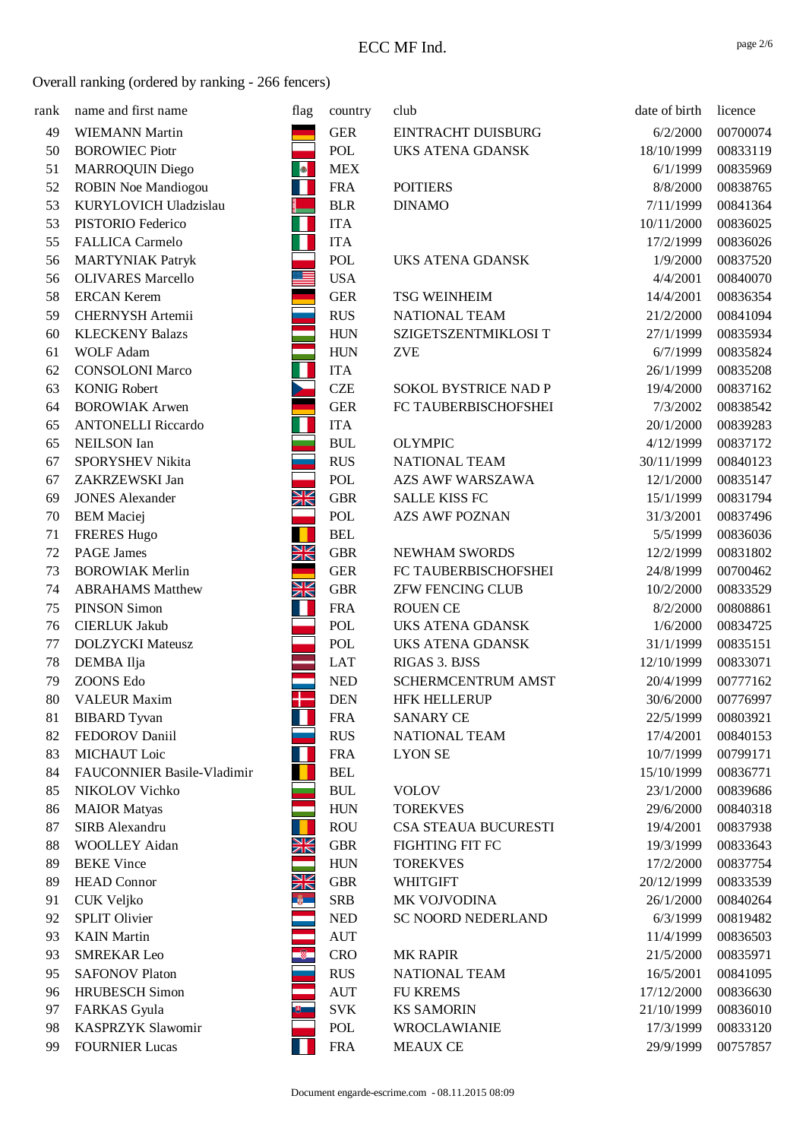| rank | name and first name        | flag          | country                          | club                    | date of birth | licence  |
|------|----------------------------|---------------|----------------------------------|-------------------------|---------------|----------|
| 49   | <b>WIEMANN Martin</b>      |               | <b>GER</b>                       | EINTRACHT DUISBURG      | 6/2/2000      | 00700074 |
| 50   | <b>BOROWIEC Piotr</b>      |               | POL                              | <b>UKS ATENA GDANSK</b> | 18/10/1999    | 00833119 |
| 51   | <b>MARROQUIN Diego</b>     |               | ${\rm MEX}$                      |                         | 6/1/1999      | 00835969 |
| 52   | <b>ROBIN Noe Mandiogou</b> | W             | <b>FRA</b>                       | <b>POITIERS</b>         | 8/8/2000      | 00838765 |
| 53   | KURYLOVICH Uladzislau      |               | <b>BLR</b>                       | <b>DINAMO</b>           | 7/11/1999     | 00841364 |
| 53   | PISTORIO Federico          | Ш             | <b>ITA</b>                       |                         | 10/11/2000    | 00836025 |
| 55   | <b>FALLICA Carmelo</b>     | П             | <b>ITA</b>                       |                         | 17/2/1999     | 00836026 |
| 56   | <b>MARTYNIAK Patryk</b>    |               | POL                              | <b>UKS ATENA GDANSK</b> | 1/9/2000      | 00837520 |
| 56   | <b>OLIVARES Marcello</b>   | $\equiv$      | <b>USA</b>                       |                         | 4/4/2001      | 00840070 |
| 58   | <b>ERCAN Kerem</b>         |               | ${\tt GER}$                      | <b>TSG WEINHEIM</b>     | 14/4/2001     | 00836354 |
| 59   | <b>CHERNYSH Artemii</b>    |               | <b>RUS</b>                       | NATIONAL TEAM           | 21/2/2000     | 00841094 |
| 60   | <b>KLECKENY Balazs</b>     |               | <b>HUN</b>                       | SZIGETSZENTMIKLOSI T    | 27/1/1999     | 00835934 |
| 61   | <b>WOLF Adam</b>           |               | <b>HUN</b>                       | <b>ZVE</b>              | 6/7/1999      | 00835824 |
| 62   | <b>CONSOLONI Marco</b>     | Ш             | <b>ITA</b>                       |                         | 26/1/1999     | 00835208 |
| 63   | <b>KONIG Robert</b>        | <b>Reg</b>    | CZE                              | SOKOL BYSTRICE NAD P    | 19/4/2000     | 00837162 |
| 64   | <b>BOROWIAK Arwen</b>      |               | <b>GER</b>                       | FC TAUBERBISCHOFSHEI    | 7/3/2002      | 00838542 |
| 65   | <b>ANTONELLI Riccardo</b>  |               | <b>ITA</b>                       |                         | 20/1/2000     | 00839283 |
| 65   | <b>NEILSON</b> Ian         |               | $\mathbf{B}\mathbf{U}\mathbf{L}$ | <b>OLYMPIC</b>          | 4/12/1999     | 00837172 |
| 67   | SPORYSHEV Nikita           |               | <b>RUS</b>                       | NATIONAL TEAM           | 30/11/1999    | 00840123 |
| 67   | ZAKRZEWSKI Jan             |               | POL                              | <b>AZS AWF WARSZAWA</b> | 12/1/2000     | 00835147 |
| 69   | <b>JONES</b> Alexander     | NK<br>Ak      | <b>GBR</b>                       | <b>SALLE KISS FC</b>    | 15/1/1999     | 00831794 |
| 70   | <b>BEM</b> Maciej          |               | POL                              | <b>AZS AWF POZNAN</b>   | 31/3/2001     | 00837496 |
| 71   | <b>FRERES Hugo</b>         |               | <b>BEL</b>                       |                         | 5/5/1999      | 00836036 |
| 72   | <b>PAGE James</b>          | XK            | <b>GBR</b>                       | <b>NEWHAM SWORDS</b>    | 12/2/1999     | 00831802 |
| 73   | <b>BOROWIAK Merlin</b>     |               | <b>GER</b>                       | FC TAUBERBISCHOFSHEI    | 24/8/1999     | 00700462 |
| 74   | <b>ABRAHAMS Matthew</b>    | NK<br>AK      | ${\rm GBR}$                      | <b>ZFW FENCING CLUB</b> | 10/2/2000     | 00833529 |
| 75   | <b>PINSON Simon</b>        | П             | <b>FRA</b>                       | <b>ROUEN CE</b>         | 8/2/2000      | 00808861 |
| 76   | <b>CIERLUK Jakub</b>       |               | <b>POL</b>                       | UKS ATENA GDANSK        | 1/6/2000      | 00834725 |
| 77   | <b>DOLZYCKI</b> Mateusz    |               | POL                              | <b>UKS ATENA GDANSK</b> | 31/1/1999     | 00835151 |
| 78   | DEMBA Ilja                 |               | <b>LAT</b>                       | RIGAS 3. BJSS           | 12/10/1999    | 00833071 |
| 79   | ZOONS Edo                  |               | $\ensuremath{\mathsf{NED}}$      | SCHERMCENTRUM AMST      | 20/4/1999     | 00777162 |
| 80   | <b>VALEUR Maxim</b>        |               | <b>DEN</b>                       | <b>HFK HELLERUP</b>     | 30/6/2000     | 00776997 |
| 81   | <b>BIBARD</b> Tyvan        | m             | <b>FRA</b>                       | <b>SANARY CE</b>        | 22/5/1999     | 00803921 |
| 82   | FEDOROV Daniil             |               | <b>RUS</b>                       | NATIONAL TEAM           | 17/4/2001     | 00840153 |
| 83   | MICHAUT Loic               | Ш             | <b>FRA</b>                       | <b>LYON SE</b>          | 10/7/1999     | 00799171 |
| 84   | FAUCONNIER Basile-Vladimir | п             | <b>BEL</b>                       |                         | 15/10/1999    | 00836771 |
| 85   | NIKOLOV Vichko             |               | <b>BUL</b>                       | <b>VOLOV</b>            | 23/1/2000     | 00839686 |
| 86   | <b>MAIOR</b> Matyas        |               | <b>HUN</b>                       | <b>TOREKVES</b>         | 29/6/2000     | 00840318 |
| 87   | SIRB Alexandru             |               | <b>ROU</b>                       | CSA STEAUA BUCURESTI    | 19/4/2001     | 00837938 |
| 88   | <b>WOOLLEY Aidan</b>       | NK<br>ZK      | ${\rm GBR}$                      | FIGHTING FIT FC         | 19/3/1999     | 00833643 |
| 89   | <b>BEKE</b> Vince          |               | <b>HUN</b>                       | <b>TOREKVES</b>         | 17/2/2000     | 00837754 |
| 89   | <b>HEAD Connor</b>         | XK            | <b>GBR</b>                       | <b>WHITGIFT</b>         | 20/12/1999    | 00833539 |
| 91   | CUK Veljko                 | $\frac{1}{2}$ | <b>SRB</b>                       | MK VOJVODINA            | 26/1/2000     | 00840264 |
| 92   | <b>SPLIT Olivier</b>       |               | <b>NED</b>                       | SC NOORD NEDERLAND      | 6/3/1999      | 00819482 |
| 93   | <b>KAIN</b> Martin         |               | <b>AUT</b>                       |                         | 11/4/1999     | 00836503 |
| 93   | <b>SMREKAR Leo</b>         | $^{\circ}$    | <b>CRO</b>                       | <b>MK RAPIR</b>         | 21/5/2000     | 00835971 |
| 95   | <b>SAFONOV Platon</b>      |               | <b>RUS</b>                       | NATIONAL TEAM           | 16/5/2001     | 00841095 |
| 96   | <b>HRUBESCH</b> Simon      |               | <b>AUT</b>                       | <b>FU KREMS</b>         | 17/12/2000    | 00836630 |
| 97   | <b>FARKAS</b> Gyula        | 81 L          | <b>SVK</b>                       | <b>KS SAMORIN</b>       | 21/10/1999    | 00836010 |
| 98   | KASPRZYK Slawomir          |               | POL                              | <b>WROCLAWIANIE</b>     | 17/3/1999     | 00833120 |
| 99   | <b>FOURNIER Lucas</b>      |               | <b>FRA</b>                       | <b>MEAUX CE</b>         | 29/9/1999     | 00757857 |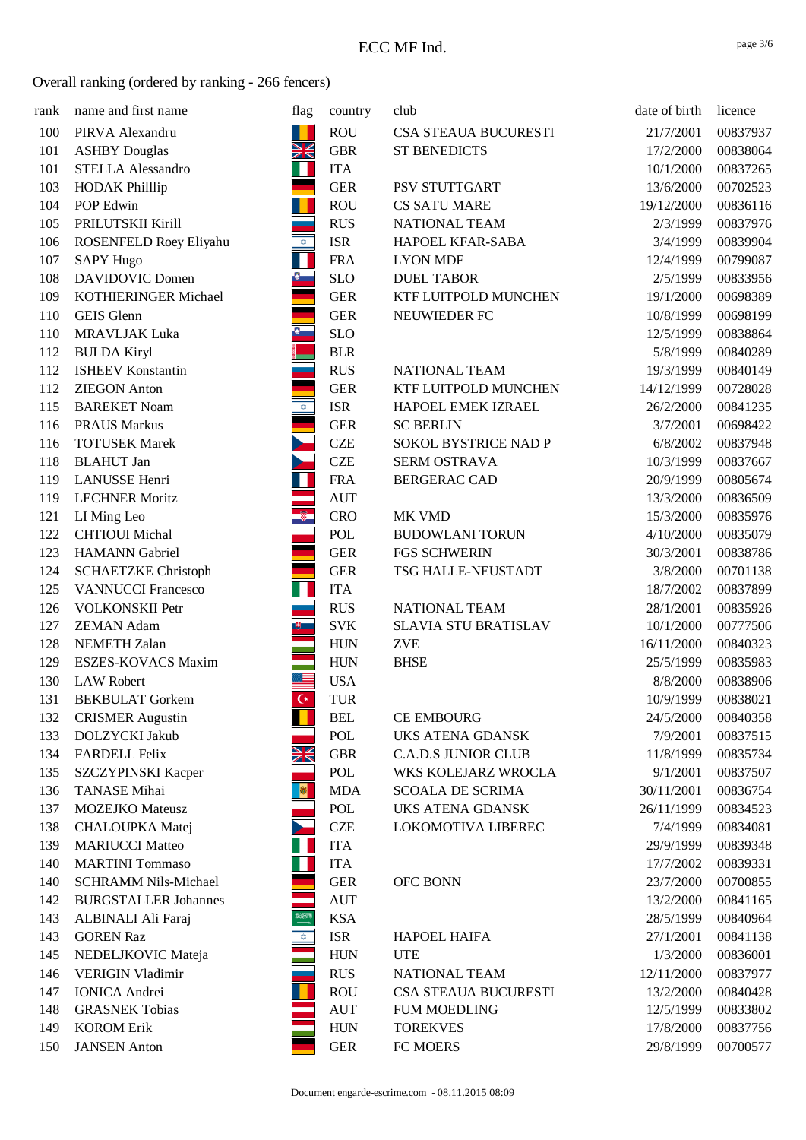| rank | name and first name         | flag                    | country    | club                       | date of birth | licence  |
|------|-----------------------------|-------------------------|------------|----------------------------|---------------|----------|
| 100  | PIRVA Alexandru             | T                       | <b>ROU</b> | CSA STEAUA BUCURESTI       | 21/7/2001     | 00837937 |
| 101  | <b>ASHBY Douglas</b>        | $\frac{N}{N}$           | <b>GBR</b> | <b>ST BENEDICTS</b>        | 17/2/2000     | 00838064 |
| 101  | <b>STELLA Alessandro</b>    | Ш                       | <b>ITA</b> |                            | 10/1/2000     | 00837265 |
| 103  | <b>HODAK Phillip</b>        |                         | <b>GER</b> | PSV STUTTGART              | 13/6/2000     | 00702523 |
| 104  | POP Edwin                   |                         | <b>ROU</b> | <b>CS SATU MARE</b>        | 19/12/2000    | 00836116 |
| 105  | PRILUTSKII Kirill           |                         | <b>RUS</b> | NATIONAL TEAM              | 2/3/1999      | 00837976 |
| 106  | ROSENFELD Roey Eliyahu      | $\bigcirc$              | <b>ISR</b> | HAPOEL KFAR-SABA           | 3/4/1999      | 00839904 |
| 107  | <b>SAPY Hugo</b>            | П                       | <b>FRA</b> | <b>LYON MDF</b>            | 12/4/1999     | 00799087 |
| 108  | <b>DAVIDOVIC Domen</b>      | V.                      | <b>SLO</b> | <b>DUEL TABOR</b>          | 2/5/1999      | 00833956 |
| 109  | KOTHIERINGER Michael        |                         | <b>GER</b> | KTF LUITPOLD MUNCHEN       | 19/1/2000     | 00698389 |
| 110  | GEIS Glenn                  |                         | <b>GER</b> | NEUWIEDER FC               | 10/8/1999     | 00698199 |
| 110  | <b>MRAVLJAK Luka</b>        | $\bullet$               | <b>SLO</b> |                            | 12/5/1999     | 00838864 |
| 112  | <b>BULDA Kiryl</b>          |                         | <b>BLR</b> |                            | 5/8/1999      | 00840289 |
| 112  | <b>ISHEEV Konstantin</b>    |                         | <b>RUS</b> | NATIONAL TEAM              | 19/3/1999     | 00840149 |
| 112  | <b>ZIEGON</b> Anton         |                         | <b>GER</b> | KTF LUITPOLD MUNCHEN       | 14/12/1999    | 00728028 |
| 115  | <b>BAREKET Noam</b>         | $\overline{\mathbf{z}}$ | <b>ISR</b> | HAPOEL EMEK IZRAEL         | 26/2/2000     | 00841235 |
| 116  | <b>PRAUS Markus</b>         |                         | <b>GER</b> | <b>SC BERLIN</b>           | 3/7/2001      | 00698422 |
| 116  | <b>TOTUSEK Marek</b>        |                         | <b>CZE</b> | SOKOL BYSTRICE NAD P       | 6/8/2002      | 00837948 |
| 118  | <b>BLAHUT</b> Jan           |                         | <b>CZE</b> | SERM OSTRAVA               | 10/3/1999     | 00837667 |
| 119  | <b>LANUSSE</b> Henri        |                         | <b>FRA</b> | <b>BERGERAC CAD</b>        | 20/9/1999     | 00805674 |
| 119  | <b>LECHNER Moritz</b>       |                         | <b>AUT</b> |                            | 13/3/2000     | 00836509 |
| 121  | LI Ming Leo                 | $\sqrt{2}$              | <b>CRO</b> | MK VMD                     | 15/3/2000     | 00835976 |
| 122  | <b>CHTIOUI</b> Michal       |                         | POL        | <b>BUDOWLANI TORUN</b>     | 4/10/2000     | 00835079 |
| 123  | <b>HAMANN</b> Gabriel       |                         | <b>GER</b> | FGS SCHWERIN               | 30/3/2001     | 00838786 |
| 124  | <b>SCHAETZKE Christoph</b>  |                         | <b>GER</b> | TSG HALLE-NEUSTADT         | 3/8/2000      | 00701138 |
| 125  | <b>VANNUCCI Francesco</b>   | П                       | <b>ITA</b> |                            | 18/7/2002     | 00837899 |
| 126  | <b>VOLKONSKII Petr</b>      |                         | <b>RUS</b> | NATIONAL TEAM              | 28/1/2001     | 00835926 |
| 127  | <b>ZEMAN Adam</b>           | ■ ●                     | <b>SVK</b> | SLAVIA STU BRATISLAV       | 10/1/2000     | 00777506 |
| 128  | <b>NEMETH Zalan</b>         |                         | <b>HUN</b> | <b>ZVE</b>                 | 16/11/2000    | 00840323 |
| 129  | ESZES-KOVACS Maxim          |                         | <b>HUN</b> | <b>BHSE</b>                | 25/5/1999     | 00835983 |
| 130  | <b>LAW Robert</b>           | ≣                       | <b>USA</b> |                            | 8/8/2000      | 00838906 |
| 131  | <b>BEKBULAT</b> Gorkem      | $\overline{C}$          | <b>TUR</b> |                            | 10/9/1999     | 00838021 |
| 132  | <b>CRISMER Augustin</b>     |                         | <b>BEL</b> | <b>CE EMBOURG</b>          | 24/5/2000     | 00840358 |
| 133  | DOLZYCKI Jakub              |                         | POL        | UKS ATENA GDANSK           | 7/9/2001      | 00837515 |
| 134  | <b>FARDELL Felix</b>        | XK                      | <b>GBR</b> | <b>C.A.D.S JUNIOR CLUB</b> | 11/8/1999     | 00835734 |
| 135  | SZCZYPINSKI Kacper          |                         | POL        | WKS KOLEJARZ WROCLA        | 9/1/2001      | 00837507 |
| 136  | <b>TANASE Mihai</b>         | - 脚                     | <b>MDA</b> | <b>SCOALA DE SCRIMA</b>    | 30/11/2001    | 00836754 |
| 137  | <b>MOZEJKO</b> Mateusz      |                         | POL        | UKS ATENA GDANSK           | 26/11/1999    | 00834523 |
| 138  | CHALOUPKA Matej             |                         | <b>CZE</b> | LOKOMOTIVA LIBEREC         | 7/4/1999      | 00834081 |
| 139  | <b>MARIUCCI Matteo</b>      | Ш                       | <b>ITA</b> |                            | 29/9/1999     | 00839348 |
| 140  | <b>MARTINI</b> Tommaso      | Ш                       | <b>ITA</b> |                            | 17/7/2002     | 00839331 |
| 140  | <b>SCHRAMM Nils-Michael</b> |                         | <b>GER</b> | OFC BONN                   | 23/7/2000     | 00700855 |
| 142  | <b>BURGSTALLER Johannes</b> |                         | <b>AUT</b> |                            | 13/2/2000     | 00841165 |
| 143  | ALBINALI Ali Faraj          | <b>XXV</b>              | <b>KSA</b> |                            | 28/5/1999     | 00840964 |
| 143  | <b>GOREN Raz</b>            | $\bigtriangledown$      | <b>ISR</b> | <b>HAPOEL HAIFA</b>        | 27/1/2001     | 00841138 |
| 145  | NEDELJKOVIC Mateja          |                         | <b>HUN</b> | <b>UTE</b>                 | 1/3/2000      | 00836001 |
| 146  | <b>VERIGIN Vladimir</b>     |                         | <b>RUS</b> | NATIONAL TEAM              | 12/11/2000    | 00837977 |
| 147  | <b>IONICA</b> Andrei        |                         | <b>ROU</b> | CSA STEAUA BUCURESTI       | 13/2/2000     | 00840428 |
| 148  | <b>GRASNEK Tobias</b>       |                         | <b>AUT</b> | <b>FUM MOEDLING</b>        | 12/5/1999     | 00833802 |
| 149  | <b>KOROM Erik</b>           |                         | <b>HUN</b> | <b>TOREKVES</b>            | 17/8/2000     | 00837756 |
| 150  | <b>JANSEN</b> Anton         |                         | <b>GER</b> | FC MOERS                   | 29/8/1999     | 00700577 |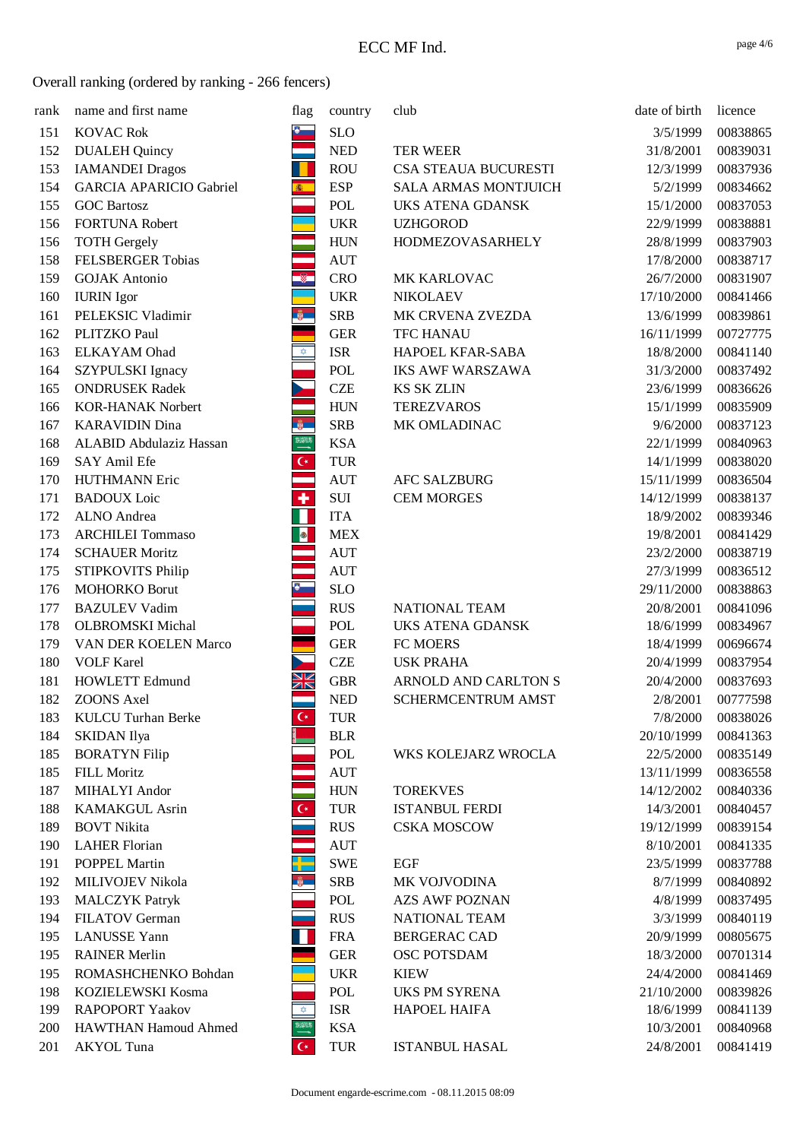| rank | name and first name            | flag                 | country                     | club                        | date of birth | licence  |
|------|--------------------------------|----------------------|-----------------------------|-----------------------------|---------------|----------|
| 151  | <b>KOVAC Rok</b>               |                      | <b>SLO</b>                  |                             | 3/5/1999      | 00838865 |
| 152  | <b>DUALEH Quincy</b>           |                      | $\ensuremath{\mathsf{NED}}$ | <b>TER WEER</b>             | 31/8/2001     | 00839031 |
| 153  | <b>IAMANDEI</b> Dragos         |                      | <b>ROU</b>                  | CSA STEAUA BUCURESTI        | 12/3/1999     | 00837936 |
| 154  | <b>GARCIA APARICIO Gabriel</b> | 6 1                  | <b>ESP</b>                  | <b>SALA ARMAS MONTJUICH</b> | 5/2/1999      | 00834662 |
| 155  | <b>GOC Bartosz</b>             |                      | POL                         | <b>UKS ATENA GDANSK</b>     | 15/1/2000     | 00837053 |
| 156  | <b>FORTUNA Robert</b>          |                      | <b>UKR</b>                  | <b>UZHGOROD</b>             | 22/9/1999     | 00838881 |
| 156  | <b>TOTH Gergely</b>            |                      | <b>HUN</b>                  | <b>HODMEZOVASARHELY</b>     | 28/8/1999     | 00837903 |
| 158  | <b>FELSBERGER Tobias</b>       |                      | <b>AUT</b>                  |                             | 17/8/2000     | 00838717 |
| 159  | <b>GOJAK</b> Antonio           | $\circledR$          | <b>CRO</b>                  | MK KARLOVAC                 | 26/7/2000     | 00831907 |
| 160  | <b>IURIN</b> Igor              |                      | <b>UKR</b>                  | <b>NIKOLAEV</b>             | 17/10/2000    | 00841466 |
| 161  | PELEKSIC Vladimir              | $\frac{1}{2}$        | <b>SRB</b>                  | MK CRVENA ZVEZDA            | 13/6/1999     | 00839861 |
| 162  | PLITZKO Paul                   |                      | <b>GER</b>                  | <b>TFC HANAU</b>            | 16/11/1999    | 00727775 |
| 163  | <b>ELKAYAM</b> Ohad            | $\bigotimes$         | <b>ISR</b>                  | HAPOEL KFAR-SABA            | 18/8/2000     | 00841140 |
| 164  | SZYPULSKI Ignacy               |                      | POL                         | <b>IKS AWF WARSZAWA</b>     | 31/3/2000     | 00837492 |
| 165  | <b>ONDRUSEK Radek</b>          |                      | <b>CZE</b>                  | <b>KS SK ZLIN</b>           | 23/6/1999     | 00836626 |
| 166  | <b>KOR-HANAK Norbert</b>       |                      | <b>HUN</b>                  | <b>TEREZVAROS</b>           | 15/1/1999     | 00835909 |
| 167  | <b>KARAVIDIN Dina</b>          | $\mathbf{w}$         | <b>SRB</b>                  | MK OMLADINAC                | 9/6/2000      | 00837123 |
| 168  | <b>ALABID Abdulaziz Hassan</b> | <b>XXXX</b>          | <b>KSA</b>                  |                             | 22/1/1999     | 00840963 |
| 169  | SAY Amil Efe                   | $\mathsf{C}^*$       | <b>TUR</b>                  |                             | 14/1/1999     | 00838020 |
| 170  | <b>HUTHMANN Eric</b>           |                      | <b>AUT</b>                  | <b>AFC SALZBURG</b>         | 15/11/1999    | 00836504 |
| 171  | <b>BADOUX</b> Loic             | ٠                    | $\mathop{\rm SUI}$          | <b>CEM MORGES</b>           | 14/12/1999    | 00838137 |
| 172  | ALNO Andrea                    | Ш                    | <b>ITA</b>                  |                             | 18/9/2002     | 00839346 |
| 173  | <b>ARCHILEI Tommaso</b>        |                      | <b>MEX</b>                  |                             | 19/8/2001     | 00841429 |
| 174  | <b>SCHAUER Moritz</b>          |                      | <b>AUT</b>                  |                             | 23/2/2000     | 00838719 |
| 175  | STIPKOVITS Philip              |                      | <b>AUT</b>                  |                             | 27/3/1999     | 00836512 |
| 176  | <b>MOHORKO Borut</b>           | Ø.                   | <b>SLO</b>                  |                             | 29/11/2000    | 00838863 |
| 177  | <b>BAZULEV Vadim</b>           |                      | <b>RUS</b>                  | NATIONAL TEAM               | 20/8/2001     | 00841096 |
| 178  | <b>OLBROMSKI</b> Michal        |                      | POL                         | <b>UKS ATENA GDANSK</b>     | 18/6/1999     | 00834967 |
| 179  | VAN DER KOELEN Marco           |                      | <b>GER</b>                  | FC MOERS                    | 18/4/1999     | 00696674 |
| 180  | <b>VOLF Karel</b>              |                      | <b>CZE</b>                  | <b>USK PRAHA</b>            | 20/4/1999     | 00837954 |
| 181  | <b>HOWLETT Edmund</b>          | XK                   | <b>GBR</b>                  | <b>ARNOLD AND CARLTON S</b> | 20/4/2000     | 00837693 |
| 182  | <b>ZOONS</b> Axel              |                      | <b>NED</b>                  | SCHERMCENTRUM AMST          | 2/8/2001      | 00777598 |
| 183  | <b>KULCU Turhan Berke</b>      | $\mathsf{C}^{\star}$ | <b>TUR</b>                  |                             | 7/8/2000      | 00838026 |
| 184  | <b>SKIDAN</b> Ilya             |                      | <b>BLR</b>                  |                             | 20/10/1999    | 00841363 |
| 185  | <b>BORATYN Filip</b>           |                      | POL                         | WKS KOLEJARZ WROCLA         | 22/5/2000     | 00835149 |
| 185  | FILL Moritz                    |                      | <b>AUT</b>                  |                             | 13/11/1999    | 00836558 |
| 187  | MIHALYI Andor                  |                      | <b>HUN</b>                  | <b>TOREKVES</b>             | 14/12/2002    | 00840336 |
| 188  | <b>KAMAKGUL Asrin</b>          | $\mathsf{C}^\star$   | TUR                         | <b>ISTANBUL FERDI</b>       | 14/3/2001     | 00840457 |
| 189  | <b>BOVT Nikita</b>             |                      | <b>RUS</b>                  | <b>CSKA MOSCOW</b>          | 19/12/1999    | 00839154 |
| 190  | <b>LAHER Florian</b>           |                      | <b>AUT</b>                  |                             | 8/10/2001     | 00841335 |
| 191  | POPPEL Martin                  |                      | <b>SWE</b>                  | <b>EGF</b>                  | 23/5/1999     | 00837788 |
| 192  | MILIVOJEV Nikola               | <b>W</b>             | <b>SRB</b>                  | MK VOJVODINA                | 8/7/1999      | 00840892 |
| 193  | <b>MALCZYK</b> Patryk          |                      | POL                         | <b>AZS AWF POZNAN</b>       | 4/8/1999      | 00837495 |
| 194  | <b>FILATOV German</b>          |                      | <b>RUS</b>                  | NATIONAL TEAM               | 3/3/1999      | 00840119 |
| 195  | <b>LANUSSE Yann</b>            | Ш                    | <b>FRA</b>                  | <b>BERGERAC CAD</b>         | 20/9/1999     | 00805675 |
| 195  | <b>RAINER Merlin</b>           |                      | ${\tt GER}$                 | OSC POTSDAM                 | 18/3/2000     | 00701314 |
| 195  | ROMASHCHENKO Bohdan            |                      | <b>UKR</b>                  | <b>KIEW</b>                 | 24/4/2000     | 00841469 |
| 198  | KOZIELEWSKI Kosma              |                      | POL                         | <b>UKS PM SYRENA</b>        | 21/10/2000    | 00839826 |
| 199  | <b>RAPOPORT Yaakov</b>         | $\hat{\mathbf{x}}$   | <b>ISR</b>                  | <b>HAPOEL HAIFA</b>         | 18/6/1999     | 00841139 |
| 200  | <b>HAWTHAN Hamoud Ahmed</b>    | <b>HEND</b>          | <b>KSA</b>                  |                             | 10/3/2001     | 00840968 |
| 201  | <b>AKYOL</b> Tuna              | $\mathsf{C}^*$       | <b>TUR</b>                  | <b>ISTANBUL HASAL</b>       | 24/8/2001     | 00841419 |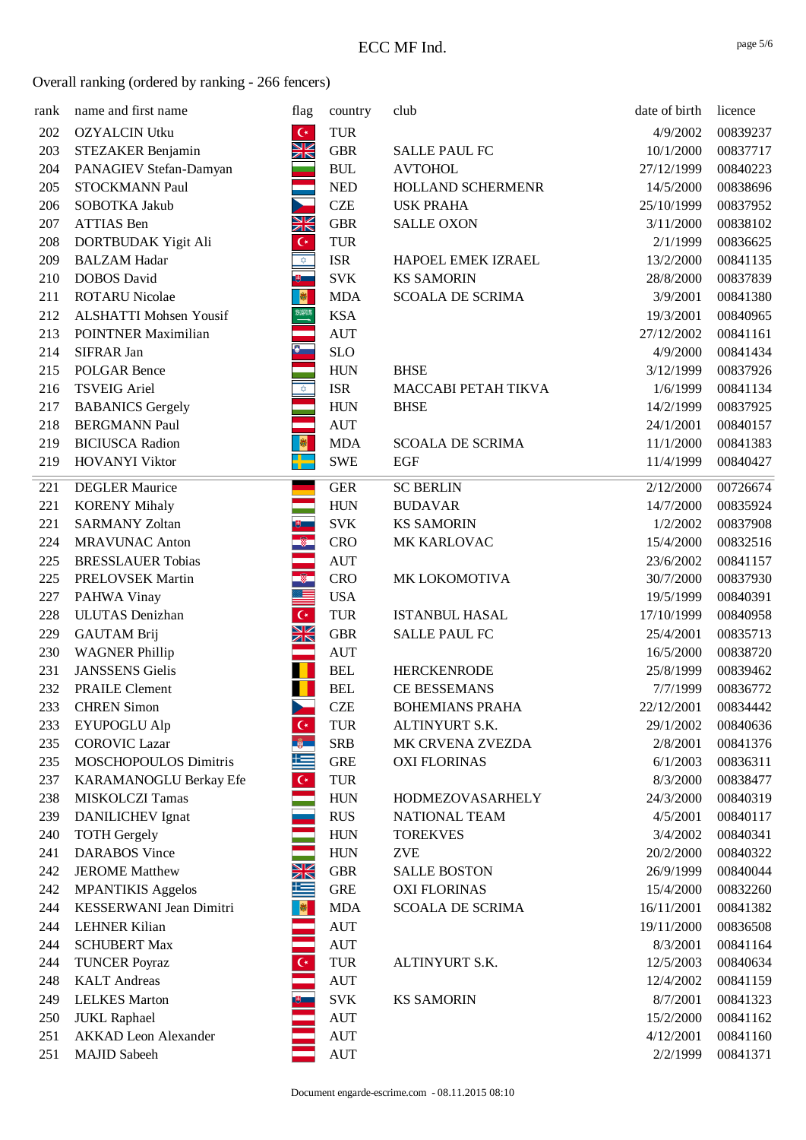| rank | name and first name           | flag                                                                                                                                                                                                                                                                                                                                                | country                          | club                    | date of birth | licence  |
|------|-------------------------------|-----------------------------------------------------------------------------------------------------------------------------------------------------------------------------------------------------------------------------------------------------------------------------------------------------------------------------------------------------|----------------------------------|-------------------------|---------------|----------|
| 202  | <b>OZYALCIN Utku</b>          | $\mathsf{C}^\star$                                                                                                                                                                                                                                                                                                                                  | <b>TUR</b>                       |                         | 4/9/2002      | 00839237 |
| 203  | STEZAKER Benjamin             | XK                                                                                                                                                                                                                                                                                                                                                  | ${\rm GBR}$                      | <b>SALLE PAUL FC</b>    | 10/1/2000     | 00837717 |
| 204  | PANAGIEV Stefan-Damyan        |                                                                                                                                                                                                                                                                                                                                                     | <b>BUL</b>                       | <b>AVTOHOL</b>          | 27/12/1999    | 00840223 |
| 205  | <b>STOCKMANN Paul</b>         |                                                                                                                                                                                                                                                                                                                                                     | <b>NED</b>                       | HOLLAND SCHERMENR       | 14/5/2000     | 00838696 |
| 206  | SOBOTKA Jakub                 |                                                                                                                                                                                                                                                                                                                                                     | <b>CZE</b>                       | <b>USK PRAHA</b>        | 25/10/1999    | 00837952 |
| 207  | <b>ATTIAS Ben</b>             | $\frac{N}{N}$                                                                                                                                                                                                                                                                                                                                       | <b>GBR</b>                       | <b>SALLE OXON</b>       | 3/11/2000     | 00838102 |
| 208  | DORTBUDAK Yigit Ali           | $\mathsf{C}^\star$                                                                                                                                                                                                                                                                                                                                  | <b>TUR</b>                       |                         | 2/1/1999      | 00836625 |
| 209  | <b>BALZAM Hadar</b>           | $\frac{1}{\sqrt{2}}$                                                                                                                                                                                                                                                                                                                                | <b>ISR</b>                       | HAPOEL EMEK IZRAEL      | 13/2/2000     | 00841135 |
| 210  | <b>DOBOS</b> David            | 9 -                                                                                                                                                                                                                                                                                                                                                 | <b>SVK</b>                       | <b>KS SAMORIN</b>       | 28/8/2000     | 00837839 |
| 211  | <b>ROTARU Nicolae</b>         | $\vert \cdot \vert$                                                                                                                                                                                                                                                                                                                                 | <b>MDA</b>                       | <b>SCOALA DE SCRIMA</b> | 3/9/2001      | 00841380 |
| 212  | <b>ALSHATTI Mohsen Yousif</b> | $\begin{picture}(20,20) \put(0,0){\line(1,0){10}} \put(15,0){\line(1,0){10}} \put(15,0){\line(1,0){10}} \put(15,0){\line(1,0){10}} \put(15,0){\line(1,0){10}} \put(15,0){\line(1,0){10}} \put(15,0){\line(1,0){10}} \put(15,0){\line(1,0){10}} \put(15,0){\line(1,0){10}} \put(15,0){\line(1,0){10}} \put(15,0){\line(1,0){10}} \put(15,0){\line(1$ | <b>KSA</b>                       |                         | 19/3/2001     | 00840965 |
| 213  | <b>POINTNER Maximilian</b>    | $\sim$                                                                                                                                                                                                                                                                                                                                              | <b>AUT</b>                       |                         | 27/12/2002    | 00841161 |
| 214  | SIFRAR Jan                    | $\bullet$                                                                                                                                                                                                                                                                                                                                           | <b>SLO</b>                       |                         | 4/9/2000      | 00841434 |
| 215  | <b>POLGAR Bence</b>           |                                                                                                                                                                                                                                                                                                                                                     | <b>HUN</b>                       | <b>BHSE</b>             | 3/12/1999     | 00837926 |
| 216  | <b>TSVEIG Ariel</b>           | $\overline{\mathbf{Q}}$                                                                                                                                                                                                                                                                                                                             | <b>ISR</b>                       | MACCABI PETAH TIKVA     | 1/6/1999      | 00841134 |
| 217  | <b>BABANICS Gergely</b>       |                                                                                                                                                                                                                                                                                                                                                     | <b>HUN</b>                       | <b>BHSE</b>             | 14/2/1999     | 00837925 |
| 218  | <b>BERGMANN Paul</b>          |                                                                                                                                                                                                                                                                                                                                                     | <b>AUT</b>                       |                         | 24/1/2001     | 00840157 |
| 219  | <b>BICIUSCA Radion</b>        | $\blacksquare$                                                                                                                                                                                                                                                                                                                                      | <b>MDA</b>                       | <b>SCOALA DE SCRIMA</b> | 11/1/2000     | 00841383 |
| 219  | <b>HOVANYI Viktor</b>         | P                                                                                                                                                                                                                                                                                                                                                   | <b>SWE</b>                       | <b>EGF</b>              | 11/4/1999     | 00840427 |
|      |                               |                                                                                                                                                                                                                                                                                                                                                     |                                  |                         |               |          |
| 221  | <b>DEGLER Maurice</b>         |                                                                                                                                                                                                                                                                                                                                                     | <b>GER</b>                       | <b>SC BERLIN</b>        | 2/12/2000     | 00726674 |
| 221  | <b>KORENY Mihaly</b>          |                                                                                                                                                                                                                                                                                                                                                     | <b>HUN</b>                       | <b>BUDAVAR</b>          | 14/7/2000     | 00835924 |
| 221  | <b>SARMANY Zoltan</b>         |                                                                                                                                                                                                                                                                                                                                                     | <b>SVK</b>                       | <b>KS SAMORIN</b>       | 1/2/2002      | 00837908 |
| 224  | <b>MRAVUNAC Anton</b>         | $^{\circledR}$                                                                                                                                                                                                                                                                                                                                      | <b>CRO</b>                       | MK KARLOVAC             | 15/4/2000     | 00832516 |
| 225  | <b>BRESSLAUER Tobias</b>      | $\bullet$                                                                                                                                                                                                                                                                                                                                           | $\mathbf{A}\mathbf{U}\mathbf{T}$ |                         | 23/6/2002     | 00841157 |
| 225  | PRELOVSEK Martin              | $^{\circ}$                                                                                                                                                                                                                                                                                                                                          | <b>CRO</b>                       | MK LOKOMOTIVA           | 30/7/2000     | 00837930 |
| 227  | PAHWA Vinay                   | E                                                                                                                                                                                                                                                                                                                                                   | <b>USA</b>                       |                         | 19/5/1999     | 00840391 |
| 228  | <b>ULUTAS</b> Denizhan        | $\overline{G}$                                                                                                                                                                                                                                                                                                                                      | TUR                              | <b>ISTANBUL HASAL</b>   | 17/10/1999    | 00840958 |
| 229  | <b>GAUTAM Brij</b>            | $\frac{N}{N}$                                                                                                                                                                                                                                                                                                                                       | <b>GBR</b>                       | <b>SALLE PAUL FC</b>    | 25/4/2001     | 00835713 |
| 230  | <b>WAGNER Phillip</b>         |                                                                                                                                                                                                                                                                                                                                                     | <b>AUT</b>                       |                         | 16/5/2000     | 00838720 |
| 231  | <b>JANSSENS</b> Gielis        |                                                                                                                                                                                                                                                                                                                                                     | <b>BEL</b>                       | <b>HERCKENRODE</b>      | 25/8/1999     | 00839462 |
| 232  | <b>PRAILE Clement</b>         |                                                                                                                                                                                                                                                                                                                                                     | <b>BEL</b>                       | <b>CE BESSEMANS</b>     | 7/7/1999      | 00836772 |
| 233  | <b>CHREN Simon</b>            |                                                                                                                                                                                                                                                                                                                                                     | <b>CZE</b>                       | <b>BOHEMIANS PRAHA</b>  | 22/12/2001    | 00834442 |
| 233  | <b>EYUPOGLU Alp</b>           | $\mathsf{C}^\star$                                                                                                                                                                                                                                                                                                                                  | <b>TUR</b>                       | ALTINYURT S.K.          | 29/1/2002     | 00840636 |
| 235  | <b>COROVIC Lazar</b>          | $\frac{a}{2}$                                                                                                                                                                                                                                                                                                                                       | <b>SRB</b>                       | MK CRVENA ZVEZDA        | 2/8/2001      | 00841376 |
| 235  | MOSCHOPOULOS Dimitris         | كا                                                                                                                                                                                                                                                                                                                                                  | <b>GRE</b>                       | <b>OXI FLORINAS</b>     | 6/1/2003      | 00836311 |
| 237  | KARAMANOGLU Berkay Efe        | $\overline{C^*}$                                                                                                                                                                                                                                                                                                                                    | <b>TUR</b>                       |                         | 8/3/2000      | 00838477 |
| 238  | MISKOLCZI Tamas               |                                                                                                                                                                                                                                                                                                                                                     | <b>HUN</b>                       | <b>HODMEZOVASARHELY</b> | 24/3/2000     | 00840319 |
| 239  | <b>DANILICHEV</b> Ignat       |                                                                                                                                                                                                                                                                                                                                                     | <b>RUS</b>                       | NATIONAL TEAM           | 4/5/2001      | 00840117 |
| 240  | <b>TOTH Gergely</b>           |                                                                                                                                                                                                                                                                                                                                                     | <b>HUN</b>                       | <b>TOREKVES</b>         | 3/4/2002      | 00840341 |
| 241  | <b>DARABOS Vince</b>          |                                                                                                                                                                                                                                                                                                                                                     | <b>HUN</b>                       | <b>ZVE</b>              | 20/2/2000     | 00840322 |
| 242  | <b>JEROME</b> Matthew         | XK                                                                                                                                                                                                                                                                                                                                                  | <b>GBR</b>                       | <b>SALLE BOSTON</b>     | 26/9/1999     | 00840044 |
| 242  | <b>MPANTIKIS Aggelos</b>      | 些                                                                                                                                                                                                                                                                                                                                                   | ${\rm GRE}$                      | <b>OXI FLORINAS</b>     | 15/4/2000     | 00832260 |
| 244  | KESSERWANI Jean Dimitri       | 图                                                                                                                                                                                                                                                                                                                                                   | <b>MDA</b>                       | <b>SCOALA DE SCRIMA</b> | 16/11/2001    | 00841382 |
| 244  | <b>LEHNER Kilian</b>          | Ξ                                                                                                                                                                                                                                                                                                                                                   | <b>AUT</b>                       |                         | 19/11/2000    | 00836508 |
| 244  | <b>SCHUBERT Max</b>           |                                                                                                                                                                                                                                                                                                                                                     | <b>AUT</b>                       |                         | 8/3/2001      | 00841164 |
| 244  | <b>TUNCER Poyraz</b>          | $\overline{C}$                                                                                                                                                                                                                                                                                                                                      | TUR                              | ALTINYURT S.K.          | 12/5/2003     | 00840634 |
| 248  | <b>KALT</b> Andreas           |                                                                                                                                                                                                                                                                                                                                                     | <b>AUT</b>                       |                         | 12/4/2002     | 00841159 |
| 249  | <b>LELKES</b> Marton          | ⊎                                                                                                                                                                                                                                                                                                                                                   | <b>SVK</b>                       | <b>KS SAMORIN</b>       | 8/7/2001      | 00841323 |
| 250  | <b>JUKL</b> Raphael           |                                                                                                                                                                                                                                                                                                                                                     | $\mathbf{A}\mathbf{U}\mathbf{T}$ |                         | 15/2/2000     | 00841162 |
| 251  | <b>AKKAD</b> Leon Alexander   |                                                                                                                                                                                                                                                                                                                                                     | <b>AUT</b>                       |                         | 4/12/2001     | 00841160 |
| 251  | <b>MAJID Sabeeh</b>           |                                                                                                                                                                                                                                                                                                                                                     | $\mathbf{A}\mathbf{U}\mathbf{T}$ |                         | 2/2/1999      | 00841371 |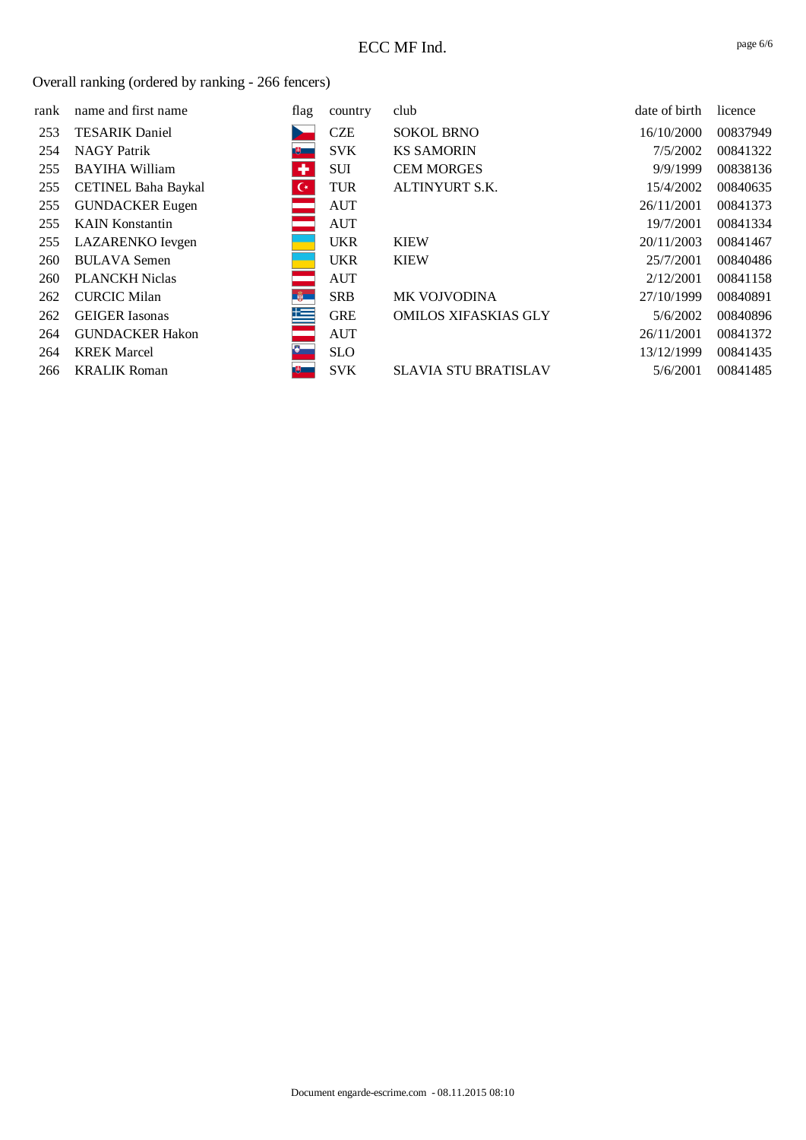| rank | name and first name        | flag           | country    | club                        | date of birth | licence  |
|------|----------------------------|----------------|------------|-----------------------------|---------------|----------|
| 253  | <b>TESARIK Daniel</b>      |                | <b>CZE</b> | <b>SOKOL BRNO</b>           | 16/10/2000    | 00837949 |
| 254  | <b>NAGY Patrik</b>         | 萝二             | <b>SVK</b> | <b>KS SAMORIN</b>           | 7/5/2002      | 00841322 |
| 255  | <b>BAYIHA William</b>      | ٠              | SUI        | <b>CEM MORGES</b>           | 9/9/1999      | 00838136 |
| 255  | <b>CETINEL Baha Baykal</b> | $\mathsf{C}^*$ | <b>TUR</b> | ALTINYURT S.K.              | 15/4/2002     | 00840635 |
| 255  | <b>GUNDACKER Eugen</b>     |                | <b>AUT</b> |                             | 26/11/2001    | 00841373 |
| 255  | <b>KAIN Konstantin</b>     |                | <b>AUT</b> |                             | 19/7/2001     | 00841334 |
| 255  | LAZARENKO Ievgen           |                | <b>UKR</b> | <b>KIEW</b>                 | 20/11/2003    | 00841467 |
| 260  | <b>BULAVA Semen</b>        |                | <b>UKR</b> | <b>KIEW</b>                 | 25/7/2001     | 00840486 |
| 260  | <b>PLANCKH Niclas</b>      |                | <b>AUT</b> |                             | 2/12/2001     | 00841158 |
| 262  | <b>CURCIC Milan</b>        | $\frac{2}{9}$  | <b>SRB</b> | <b>MK VOJVODINA</b>         | 27/10/1999    | 00840891 |
| 262  | <b>GEIGER</b> Iasonas      | 隼              | <b>GRE</b> | <b>OMILOS XIFASKIAS GLY</b> | 5/6/2002      | 00840896 |
| 264  | <b>GUNDACKER Hakon</b>     |                | <b>AUT</b> |                             | 26/11/2001    | 00841372 |
| 264  | <b>KREK Marcel</b>         | $\bullet$      | <b>SLO</b> |                             | 13/12/1999    | 00841435 |
| 266  | <b>KRALIK Roman</b>        | 15 - 16        | <b>SVK</b> | <b>SLAVIA STU BRATISLAV</b> | 5/6/2001      | 00841485 |
|      |                            |                |            |                             |               |          |